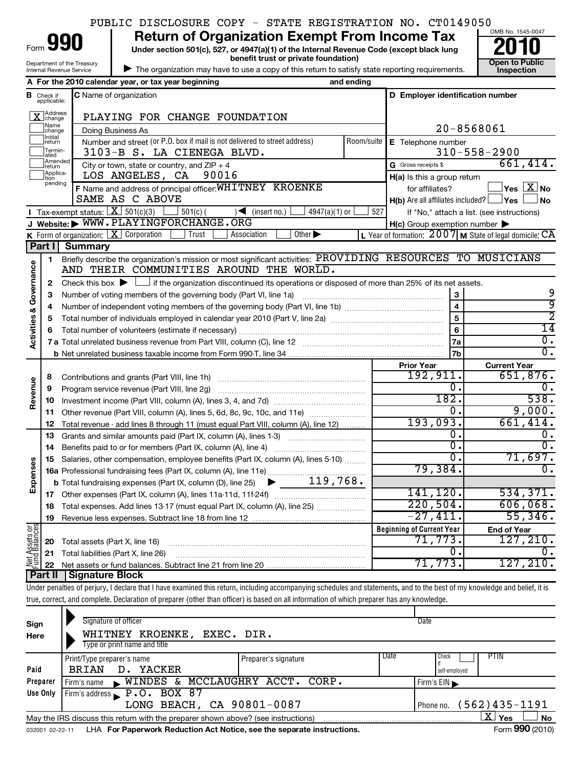| OMB No. 1545-0047<br><b>Return of Organization Exempt From Income Tax</b><br>990<br>Form<br>Under section 501(c), 527, or 4947(a)(1) of the Internal Revenue Code (except black lung<br>benefit trust or private foundation)<br><b>Open to Public</b><br>Department of the Treasury<br>The organization may have to use a copy of this return to satisfy state reporting requirements.<br><b>Inspection</b><br>Internal Revenue Service<br>A For the 2010 calendar year, or tax year beginning<br>and ending<br>D Employer identification number<br><b>C</b> Name of organization<br><b>B</b> Check if<br>applicable:<br>X Address<br>PLAYING FOR CHANGE FOUNDATION<br>Name<br>20-8568061<br>Doing Business As<br>change<br>1Initial<br>Number and street (or P.O. box if mail is not delivered to street address)<br>Room/suite<br>E Telephone number<br>return<br>Termin-<br>$310 - 558 - 2900$<br>3103-B S. LA CIENEGA BLVD.<br>lated<br>Amended<br>661,414.<br>City or town, state or country, and $ZIP + 4$<br>G Gross receipts \$<br>Ireturn<br>Applica-<br>LOS ANGELES, CA<br>90016<br>H(a) Is this a group return<br>tion<br>pending<br>F Name and address of principal officer: WHITNEY KROENKE<br>$\mathsf{Yes} \mathrel{\overline{\mathbf{X}}} \mathsf{No}$<br>for affiliates?<br>SAME AS C ABOVE<br>$H(b)$ Are all affiliates included? $\lfloor$<br>∣Yes<br>Tax-exempt status: $X \over 301(c)(3)$<br>$501(c)$ (<br>$\sqrt{4947(a)}(1)$ or<br>$\sqrt{\frac{1}{1}}$ (insert no.)<br>527<br>If "No," attach a list. (see instructions)<br>J Website: WWW. PLAYINGFORCHANGE. ORG<br>$H(c)$ Group exemption number $\blacktriangleright$<br><b>K</b> Form of organization: $X$ Corporation<br>L Year of formation: $2007$ M State of legal domicile: CA<br>Trust<br>Other $\blacktriangleright$<br>Association<br>Part I Summary<br>Briefly describe the organization's mission or most significant activities: PROVIDING RESOURCES TO MUSICIANS<br>1<br><b>Activities &amp; Governance</b><br>AND THEIR COMMUNITIES AROUND THE WORLD.<br>Check this box $\blacktriangleright$ $\Box$ if the organization discontinued its operations or disposed of more than 25% of its net assets.<br>2<br>3<br>Number of voting members of the governing body (Part VI, line 1a)<br>з<br>$\overline{\mathbf{4}}$<br>4<br>5<br>5<br>6<br>6<br>7a<br>7b<br><b>Prior Year</b><br><b>Current Year</b><br>192,911.<br>651,876.<br>8<br>Revenue<br>0.<br>9<br>Program service revenue (Part VIII, line 2g) [11] [11] matter contract the contract of Program service revenue<br>182.<br>10<br>9,000.<br>0.<br>Other revenue (Part VIII, column (A), lines 5, 6d, 8c, 9c, 10c, and 11e)<br>11<br>193,093.<br>661,414.<br>12<br>Total revenue - add lines 8 through 11 (must equal Part VIII, column (A), line 12)<br>о.<br>13<br>Grants and similar amounts paid (Part IX, column (A), lines 1-3)<br>$\overline{0}$ .<br>Benefits paid to or for members (Part IX, column (A), line 4)<br>14<br>0.<br>71,697 <b>.</b><br>Salaries, other compensation, employee benefits (Part IX, column (A), lines 5-10)<br>15<br>Expenses<br>79,384.<br>141,120.<br>534,371. |                  |
|-------------------------------------------------------------------------------------------------------------------------------------------------------------------------------------------------------------------------------------------------------------------------------------------------------------------------------------------------------------------------------------------------------------------------------------------------------------------------------------------------------------------------------------------------------------------------------------------------------------------------------------------------------------------------------------------------------------------------------------------------------------------------------------------------------------------------------------------------------------------------------------------------------------------------------------------------------------------------------------------------------------------------------------------------------------------------------------------------------------------------------------------------------------------------------------------------------------------------------------------------------------------------------------------------------------------------------------------------------------------------------------------------------------------------------------------------------------------------------------------------------------------------------------------------------------------------------------------------------------------------------------------------------------------------------------------------------------------------------------------------------------------------------------------------------------------------------------------------------------------------------------------------------------------------------------------------------------------------------------------------------------------------------------------------------------------------------------------------------------------------------------------------------------------------------------------------------------------------------------------------------------------------------------------------------------------------------------------------------------------------------------------------------------------------------------------------------------------------------------------------------------------------------------------------------------------------------------------------------------------------------------------------------------------------------------------------------------------------------------------------------------------------------------------------------------------------------------------------------------------------------------------------------------------------------------------------------------------------------------------------------------------------------------------------------------------------------------------------------------------------------------------------------|------------------|
|                                                                                                                                                                                                                                                                                                                                                                                                                                                                                                                                                                                                                                                                                                                                                                                                                                                                                                                                                                                                                                                                                                                                                                                                                                                                                                                                                                                                                                                                                                                                                                                                                                                                                                                                                                                                                                                                                                                                                                                                                                                                                                                                                                                                                                                                                                                                                                                                                                                                                                                                                                                                                                                                                                                                                                                                                                                                                                                                                                                                                                                                                                                                                       |                  |
|                                                                                                                                                                                                                                                                                                                                                                                                                                                                                                                                                                                                                                                                                                                                                                                                                                                                                                                                                                                                                                                                                                                                                                                                                                                                                                                                                                                                                                                                                                                                                                                                                                                                                                                                                                                                                                                                                                                                                                                                                                                                                                                                                                                                                                                                                                                                                                                                                                                                                                                                                                                                                                                                                                                                                                                                                                                                                                                                                                                                                                                                                                                                                       |                  |
|                                                                                                                                                                                                                                                                                                                                                                                                                                                                                                                                                                                                                                                                                                                                                                                                                                                                                                                                                                                                                                                                                                                                                                                                                                                                                                                                                                                                                                                                                                                                                                                                                                                                                                                                                                                                                                                                                                                                                                                                                                                                                                                                                                                                                                                                                                                                                                                                                                                                                                                                                                                                                                                                                                                                                                                                                                                                                                                                                                                                                                                                                                                                                       |                  |
|                                                                                                                                                                                                                                                                                                                                                                                                                                                                                                                                                                                                                                                                                                                                                                                                                                                                                                                                                                                                                                                                                                                                                                                                                                                                                                                                                                                                                                                                                                                                                                                                                                                                                                                                                                                                                                                                                                                                                                                                                                                                                                                                                                                                                                                                                                                                                                                                                                                                                                                                                                                                                                                                                                                                                                                                                                                                                                                                                                                                                                                                                                                                                       |                  |
|                                                                                                                                                                                                                                                                                                                                                                                                                                                                                                                                                                                                                                                                                                                                                                                                                                                                                                                                                                                                                                                                                                                                                                                                                                                                                                                                                                                                                                                                                                                                                                                                                                                                                                                                                                                                                                                                                                                                                                                                                                                                                                                                                                                                                                                                                                                                                                                                                                                                                                                                                                                                                                                                                                                                                                                                                                                                                                                                                                                                                                                                                                                                                       |                  |
|                                                                                                                                                                                                                                                                                                                                                                                                                                                                                                                                                                                                                                                                                                                                                                                                                                                                                                                                                                                                                                                                                                                                                                                                                                                                                                                                                                                                                                                                                                                                                                                                                                                                                                                                                                                                                                                                                                                                                                                                                                                                                                                                                                                                                                                                                                                                                                                                                                                                                                                                                                                                                                                                                                                                                                                                                                                                                                                                                                                                                                                                                                                                                       |                  |
|                                                                                                                                                                                                                                                                                                                                                                                                                                                                                                                                                                                                                                                                                                                                                                                                                                                                                                                                                                                                                                                                                                                                                                                                                                                                                                                                                                                                                                                                                                                                                                                                                                                                                                                                                                                                                                                                                                                                                                                                                                                                                                                                                                                                                                                                                                                                                                                                                                                                                                                                                                                                                                                                                                                                                                                                                                                                                                                                                                                                                                                                                                                                                       |                  |
|                                                                                                                                                                                                                                                                                                                                                                                                                                                                                                                                                                                                                                                                                                                                                                                                                                                                                                                                                                                                                                                                                                                                                                                                                                                                                                                                                                                                                                                                                                                                                                                                                                                                                                                                                                                                                                                                                                                                                                                                                                                                                                                                                                                                                                                                                                                                                                                                                                                                                                                                                                                                                                                                                                                                                                                                                                                                                                                                                                                                                                                                                                                                                       |                  |
|                                                                                                                                                                                                                                                                                                                                                                                                                                                                                                                                                                                                                                                                                                                                                                                                                                                                                                                                                                                                                                                                                                                                                                                                                                                                                                                                                                                                                                                                                                                                                                                                                                                                                                                                                                                                                                                                                                                                                                                                                                                                                                                                                                                                                                                                                                                                                                                                                                                                                                                                                                                                                                                                                                                                                                                                                                                                                                                                                                                                                                                                                                                                                       |                  |
|                                                                                                                                                                                                                                                                                                                                                                                                                                                                                                                                                                                                                                                                                                                                                                                                                                                                                                                                                                                                                                                                                                                                                                                                                                                                                                                                                                                                                                                                                                                                                                                                                                                                                                                                                                                                                                                                                                                                                                                                                                                                                                                                                                                                                                                                                                                                                                                                                                                                                                                                                                                                                                                                                                                                                                                                                                                                                                                                                                                                                                                                                                                                                       |                  |
|                                                                                                                                                                                                                                                                                                                                                                                                                                                                                                                                                                                                                                                                                                                                                                                                                                                                                                                                                                                                                                                                                                                                                                                                                                                                                                                                                                                                                                                                                                                                                                                                                                                                                                                                                                                                                                                                                                                                                                                                                                                                                                                                                                                                                                                                                                                                                                                                                                                                                                                                                                                                                                                                                                                                                                                                                                                                                                                                                                                                                                                                                                                                                       |                  |
|                                                                                                                                                                                                                                                                                                                                                                                                                                                                                                                                                                                                                                                                                                                                                                                                                                                                                                                                                                                                                                                                                                                                                                                                                                                                                                                                                                                                                                                                                                                                                                                                                                                                                                                                                                                                                                                                                                                                                                                                                                                                                                                                                                                                                                                                                                                                                                                                                                                                                                                                                                                                                                                                                                                                                                                                                                                                                                                                                                                                                                                                                                                                                       | <b>No</b>        |
|                                                                                                                                                                                                                                                                                                                                                                                                                                                                                                                                                                                                                                                                                                                                                                                                                                                                                                                                                                                                                                                                                                                                                                                                                                                                                                                                                                                                                                                                                                                                                                                                                                                                                                                                                                                                                                                                                                                                                                                                                                                                                                                                                                                                                                                                                                                                                                                                                                                                                                                                                                                                                                                                                                                                                                                                                                                                                                                                                                                                                                                                                                                                                       |                  |
|                                                                                                                                                                                                                                                                                                                                                                                                                                                                                                                                                                                                                                                                                                                                                                                                                                                                                                                                                                                                                                                                                                                                                                                                                                                                                                                                                                                                                                                                                                                                                                                                                                                                                                                                                                                                                                                                                                                                                                                                                                                                                                                                                                                                                                                                                                                                                                                                                                                                                                                                                                                                                                                                                                                                                                                                                                                                                                                                                                                                                                                                                                                                                       |                  |
|                                                                                                                                                                                                                                                                                                                                                                                                                                                                                                                                                                                                                                                                                                                                                                                                                                                                                                                                                                                                                                                                                                                                                                                                                                                                                                                                                                                                                                                                                                                                                                                                                                                                                                                                                                                                                                                                                                                                                                                                                                                                                                                                                                                                                                                                                                                                                                                                                                                                                                                                                                                                                                                                                                                                                                                                                                                                                                                                                                                                                                                                                                                                                       |                  |
|                                                                                                                                                                                                                                                                                                                                                                                                                                                                                                                                                                                                                                                                                                                                                                                                                                                                                                                                                                                                                                                                                                                                                                                                                                                                                                                                                                                                                                                                                                                                                                                                                                                                                                                                                                                                                                                                                                                                                                                                                                                                                                                                                                                                                                                                                                                                                                                                                                                                                                                                                                                                                                                                                                                                                                                                                                                                                                                                                                                                                                                                                                                                                       |                  |
|                                                                                                                                                                                                                                                                                                                                                                                                                                                                                                                                                                                                                                                                                                                                                                                                                                                                                                                                                                                                                                                                                                                                                                                                                                                                                                                                                                                                                                                                                                                                                                                                                                                                                                                                                                                                                                                                                                                                                                                                                                                                                                                                                                                                                                                                                                                                                                                                                                                                                                                                                                                                                                                                                                                                                                                                                                                                                                                                                                                                                                                                                                                                                       |                  |
|                                                                                                                                                                                                                                                                                                                                                                                                                                                                                                                                                                                                                                                                                                                                                                                                                                                                                                                                                                                                                                                                                                                                                                                                                                                                                                                                                                                                                                                                                                                                                                                                                                                                                                                                                                                                                                                                                                                                                                                                                                                                                                                                                                                                                                                                                                                                                                                                                                                                                                                                                                                                                                                                                                                                                                                                                                                                                                                                                                                                                                                                                                                                                       |                  |
|                                                                                                                                                                                                                                                                                                                                                                                                                                                                                                                                                                                                                                                                                                                                                                                                                                                                                                                                                                                                                                                                                                                                                                                                                                                                                                                                                                                                                                                                                                                                                                                                                                                                                                                                                                                                                                                                                                                                                                                                                                                                                                                                                                                                                                                                                                                                                                                                                                                                                                                                                                                                                                                                                                                                                                                                                                                                                                                                                                                                                                                                                                                                                       |                  |
|                                                                                                                                                                                                                                                                                                                                                                                                                                                                                                                                                                                                                                                                                                                                                                                                                                                                                                                                                                                                                                                                                                                                                                                                                                                                                                                                                                                                                                                                                                                                                                                                                                                                                                                                                                                                                                                                                                                                                                                                                                                                                                                                                                                                                                                                                                                                                                                                                                                                                                                                                                                                                                                                                                                                                                                                                                                                                                                                                                                                                                                                                                                                                       | 9                |
|                                                                                                                                                                                                                                                                                                                                                                                                                                                                                                                                                                                                                                                                                                                                                                                                                                                                                                                                                                                                                                                                                                                                                                                                                                                                                                                                                                                                                                                                                                                                                                                                                                                                                                                                                                                                                                                                                                                                                                                                                                                                                                                                                                                                                                                                                                                                                                                                                                                                                                                                                                                                                                                                                                                                                                                                                                                                                                                                                                                                                                                                                                                                                       | 9                |
|                                                                                                                                                                                                                                                                                                                                                                                                                                                                                                                                                                                                                                                                                                                                                                                                                                                                                                                                                                                                                                                                                                                                                                                                                                                                                                                                                                                                                                                                                                                                                                                                                                                                                                                                                                                                                                                                                                                                                                                                                                                                                                                                                                                                                                                                                                                                                                                                                                                                                                                                                                                                                                                                                                                                                                                                                                                                                                                                                                                                                                                                                                                                                       | $\overline{2}$   |
|                                                                                                                                                                                                                                                                                                                                                                                                                                                                                                                                                                                                                                                                                                                                                                                                                                                                                                                                                                                                                                                                                                                                                                                                                                                                                                                                                                                                                                                                                                                                                                                                                                                                                                                                                                                                                                                                                                                                                                                                                                                                                                                                                                                                                                                                                                                                                                                                                                                                                                                                                                                                                                                                                                                                                                                                                                                                                                                                                                                                                                                                                                                                                       | $\overline{14}$  |
|                                                                                                                                                                                                                                                                                                                                                                                                                                                                                                                                                                                                                                                                                                                                                                                                                                                                                                                                                                                                                                                                                                                                                                                                                                                                                                                                                                                                                                                                                                                                                                                                                                                                                                                                                                                                                                                                                                                                                                                                                                                                                                                                                                                                                                                                                                                                                                                                                                                                                                                                                                                                                                                                                                                                                                                                                                                                                                                                                                                                                                                                                                                                                       | $\overline{0}$ . |
|                                                                                                                                                                                                                                                                                                                                                                                                                                                                                                                                                                                                                                                                                                                                                                                                                                                                                                                                                                                                                                                                                                                                                                                                                                                                                                                                                                                                                                                                                                                                                                                                                                                                                                                                                                                                                                                                                                                                                                                                                                                                                                                                                                                                                                                                                                                                                                                                                                                                                                                                                                                                                                                                                                                                                                                                                                                                                                                                                                                                                                                                                                                                                       | $\overline{0}$ . |
|                                                                                                                                                                                                                                                                                                                                                                                                                                                                                                                                                                                                                                                                                                                                                                                                                                                                                                                                                                                                                                                                                                                                                                                                                                                                                                                                                                                                                                                                                                                                                                                                                                                                                                                                                                                                                                                                                                                                                                                                                                                                                                                                                                                                                                                                                                                                                                                                                                                                                                                                                                                                                                                                                                                                                                                                                                                                                                                                                                                                                                                                                                                                                       |                  |
|                                                                                                                                                                                                                                                                                                                                                                                                                                                                                                                                                                                                                                                                                                                                                                                                                                                                                                                                                                                                                                                                                                                                                                                                                                                                                                                                                                                                                                                                                                                                                                                                                                                                                                                                                                                                                                                                                                                                                                                                                                                                                                                                                                                                                                                                                                                                                                                                                                                                                                                                                                                                                                                                                                                                                                                                                                                                                                                                                                                                                                                                                                                                                       |                  |
|                                                                                                                                                                                                                                                                                                                                                                                                                                                                                                                                                                                                                                                                                                                                                                                                                                                                                                                                                                                                                                                                                                                                                                                                                                                                                                                                                                                                                                                                                                                                                                                                                                                                                                                                                                                                                                                                                                                                                                                                                                                                                                                                                                                                                                                                                                                                                                                                                                                                                                                                                                                                                                                                                                                                                                                                                                                                                                                                                                                                                                                                                                                                                       | 0.               |
|                                                                                                                                                                                                                                                                                                                                                                                                                                                                                                                                                                                                                                                                                                                                                                                                                                                                                                                                                                                                                                                                                                                                                                                                                                                                                                                                                                                                                                                                                                                                                                                                                                                                                                                                                                                                                                                                                                                                                                                                                                                                                                                                                                                                                                                                                                                                                                                                                                                                                                                                                                                                                                                                                                                                                                                                                                                                                                                                                                                                                                                                                                                                                       | 538.             |
|                                                                                                                                                                                                                                                                                                                                                                                                                                                                                                                                                                                                                                                                                                                                                                                                                                                                                                                                                                                                                                                                                                                                                                                                                                                                                                                                                                                                                                                                                                                                                                                                                                                                                                                                                                                                                                                                                                                                                                                                                                                                                                                                                                                                                                                                                                                                                                                                                                                                                                                                                                                                                                                                                                                                                                                                                                                                                                                                                                                                                                                                                                                                                       |                  |
|                                                                                                                                                                                                                                                                                                                                                                                                                                                                                                                                                                                                                                                                                                                                                                                                                                                                                                                                                                                                                                                                                                                                                                                                                                                                                                                                                                                                                                                                                                                                                                                                                                                                                                                                                                                                                                                                                                                                                                                                                                                                                                                                                                                                                                                                                                                                                                                                                                                                                                                                                                                                                                                                                                                                                                                                                                                                                                                                                                                                                                                                                                                                                       |                  |
|                                                                                                                                                                                                                                                                                                                                                                                                                                                                                                                                                                                                                                                                                                                                                                                                                                                                                                                                                                                                                                                                                                                                                                                                                                                                                                                                                                                                                                                                                                                                                                                                                                                                                                                                                                                                                                                                                                                                                                                                                                                                                                                                                                                                                                                                                                                                                                                                                                                                                                                                                                                                                                                                                                                                                                                                                                                                                                                                                                                                                                                                                                                                                       | 0.               |
|                                                                                                                                                                                                                                                                                                                                                                                                                                                                                                                                                                                                                                                                                                                                                                                                                                                                                                                                                                                                                                                                                                                                                                                                                                                                                                                                                                                                                                                                                                                                                                                                                                                                                                                                                                                                                                                                                                                                                                                                                                                                                                                                                                                                                                                                                                                                                                                                                                                                                                                                                                                                                                                                                                                                                                                                                                                                                                                                                                                                                                                                                                                                                       | σ.               |
|                                                                                                                                                                                                                                                                                                                                                                                                                                                                                                                                                                                                                                                                                                                                                                                                                                                                                                                                                                                                                                                                                                                                                                                                                                                                                                                                                                                                                                                                                                                                                                                                                                                                                                                                                                                                                                                                                                                                                                                                                                                                                                                                                                                                                                                                                                                                                                                                                                                                                                                                                                                                                                                                                                                                                                                                                                                                                                                                                                                                                                                                                                                                                       | ᠗.               |
|                                                                                                                                                                                                                                                                                                                                                                                                                                                                                                                                                                                                                                                                                                                                                                                                                                                                                                                                                                                                                                                                                                                                                                                                                                                                                                                                                                                                                                                                                                                                                                                                                                                                                                                                                                                                                                                                                                                                                                                                                                                                                                                                                                                                                                                                                                                                                                                                                                                                                                                                                                                                                                                                                                                                                                                                                                                                                                                                                                                                                                                                                                                                                       |                  |
|                                                                                                                                                                                                                                                                                                                                                                                                                                                                                                                                                                                                                                                                                                                                                                                                                                                                                                                                                                                                                                                                                                                                                                                                                                                                                                                                                                                                                                                                                                                                                                                                                                                                                                                                                                                                                                                                                                                                                                                                                                                                                                                                                                                                                                                                                                                                                                                                                                                                                                                                                                                                                                                                                                                                                                                                                                                                                                                                                                                                                                                                                                                                                       |                  |
| 17<br>220,504.<br>606,068.                                                                                                                                                                                                                                                                                                                                                                                                                                                                                                                                                                                                                                                                                                                                                                                                                                                                                                                                                                                                                                                                                                                                                                                                                                                                                                                                                                                                                                                                                                                                                                                                                                                                                                                                                                                                                                                                                                                                                                                                                                                                                                                                                                                                                                                                                                                                                                                                                                                                                                                                                                                                                                                                                                                                                                                                                                                                                                                                                                                                                                                                                                                            |                  |
| Total expenses. Add lines 13-17 (must equal Part IX, column (A), line 25)<br>18<br>55,346.<br>$-27,411.$                                                                                                                                                                                                                                                                                                                                                                                                                                                                                                                                                                                                                                                                                                                                                                                                                                                                                                                                                                                                                                                                                                                                                                                                                                                                                                                                                                                                                                                                                                                                                                                                                                                                                                                                                                                                                                                                                                                                                                                                                                                                                                                                                                                                                                                                                                                                                                                                                                                                                                                                                                                                                                                                                                                                                                                                                                                                                                                                                                                                                                              |                  |
| 19<br><b>Beginning of Current Year</b>                                                                                                                                                                                                                                                                                                                                                                                                                                                                                                                                                                                                                                                                                                                                                                                                                                                                                                                                                                                                                                                                                                                                                                                                                                                                                                                                                                                                                                                                                                                                                                                                                                                                                                                                                                                                                                                                                                                                                                                                                                                                                                                                                                                                                                                                                                                                                                                                                                                                                                                                                                                                                                                                                                                                                                                                                                                                                                                                                                                                                                                                                                                |                  |
| <b>End of Year</b><br>127,210.<br>71,773.                                                                                                                                                                                                                                                                                                                                                                                                                                                                                                                                                                                                                                                                                                                                                                                                                                                                                                                                                                                                                                                                                                                                                                                                                                                                                                                                                                                                                                                                                                                                                                                                                                                                                                                                                                                                                                                                                                                                                                                                                                                                                                                                                                                                                                                                                                                                                                                                                                                                                                                                                                                                                                                                                                                                                                                                                                                                                                                                                                                                                                                                                                             |                  |
| Net Assets or<br>20<br>Total assets (Part X, line 16)<br>0.                                                                                                                                                                                                                                                                                                                                                                                                                                                                                                                                                                                                                                                                                                                                                                                                                                                                                                                                                                                                                                                                                                                                                                                                                                                                                                                                                                                                                                                                                                                                                                                                                                                                                                                                                                                                                                                                                                                                                                                                                                                                                                                                                                                                                                                                                                                                                                                                                                                                                                                                                                                                                                                                                                                                                                                                                                                                                                                                                                                                                                                                                           | 0.               |
| 21<br>Total liabilities (Part X, line 26)<br>71,773.<br>127, 210.                                                                                                                                                                                                                                                                                                                                                                                                                                                                                                                                                                                                                                                                                                                                                                                                                                                                                                                                                                                                                                                                                                                                                                                                                                                                                                                                                                                                                                                                                                                                                                                                                                                                                                                                                                                                                                                                                                                                                                                                                                                                                                                                                                                                                                                                                                                                                                                                                                                                                                                                                                                                                                                                                                                                                                                                                                                                                                                                                                                                                                                                                     |                  |
| 22<br>Part II<br><b>Signature Block</b>                                                                                                                                                                                                                                                                                                                                                                                                                                                                                                                                                                                                                                                                                                                                                                                                                                                                                                                                                                                                                                                                                                                                                                                                                                                                                                                                                                                                                                                                                                                                                                                                                                                                                                                                                                                                                                                                                                                                                                                                                                                                                                                                                                                                                                                                                                                                                                                                                                                                                                                                                                                                                                                                                                                                                                                                                                                                                                                                                                                                                                                                                                               |                  |
| Under penalties of perjury, I declare that I have examined this return, including accompanying schedules and statements, and to the best of my knowledge and belief, it is                                                                                                                                                                                                                                                                                                                                                                                                                                                                                                                                                                                                                                                                                                                                                                                                                                                                                                                                                                                                                                                                                                                                                                                                                                                                                                                                                                                                                                                                                                                                                                                                                                                                                                                                                                                                                                                                                                                                                                                                                                                                                                                                                                                                                                                                                                                                                                                                                                                                                                                                                                                                                                                                                                                                                                                                                                                                                                                                                                            |                  |
| true, correct, and complete. Declaration of preparer (other than officer) is based on all information of which preparer has any knowledge.                                                                                                                                                                                                                                                                                                                                                                                                                                                                                                                                                                                                                                                                                                                                                                                                                                                                                                                                                                                                                                                                                                                                                                                                                                                                                                                                                                                                                                                                                                                                                                                                                                                                                                                                                                                                                                                                                                                                                                                                                                                                                                                                                                                                                                                                                                                                                                                                                                                                                                                                                                                                                                                                                                                                                                                                                                                                                                                                                                                                            |                  |
|                                                                                                                                                                                                                                                                                                                                                                                                                                                                                                                                                                                                                                                                                                                                                                                                                                                                                                                                                                                                                                                                                                                                                                                                                                                                                                                                                                                                                                                                                                                                                                                                                                                                                                                                                                                                                                                                                                                                                                                                                                                                                                                                                                                                                                                                                                                                                                                                                                                                                                                                                                                                                                                                                                                                                                                                                                                                                                                                                                                                                                                                                                                                                       |                  |

| Sign<br>Here | Signature of officer<br>WHITNEY KROENKE, EXEC. DIR.<br>Type or print name and title |                      |      | Date                                  |
|--------------|-------------------------------------------------------------------------------------|----------------------|------|---------------------------------------|
| Paid         | Print/Type preparer's name<br>D. YACKER<br><b>BRIAN</b>                             | Preparer's signature | Date | <b>PTIN</b><br>Check<br>self-employed |
| Preparer     | NINDES & MCCLAUGHRY ACCT. CORP.<br>Firm's name                                      |                      |      | Firm's $EIN$                          |
| Use Only     | Firm's address $\blacktriangleright$ P.O. BOX 87<br>LONG BEACH, CA 90801-0087       |                      |      | $(562)$ 435-1191<br>Phone no.         |
|              | May the IRS discuss this return with the preparer shown above? (see instructions)   |                      |      | ΧI<br>Yes<br><b>No</b><br>$\sim$      |

032001 02-22-11 **For Paperwork Reduction Act Notice, see the separate instructions.** LHA Form (2010)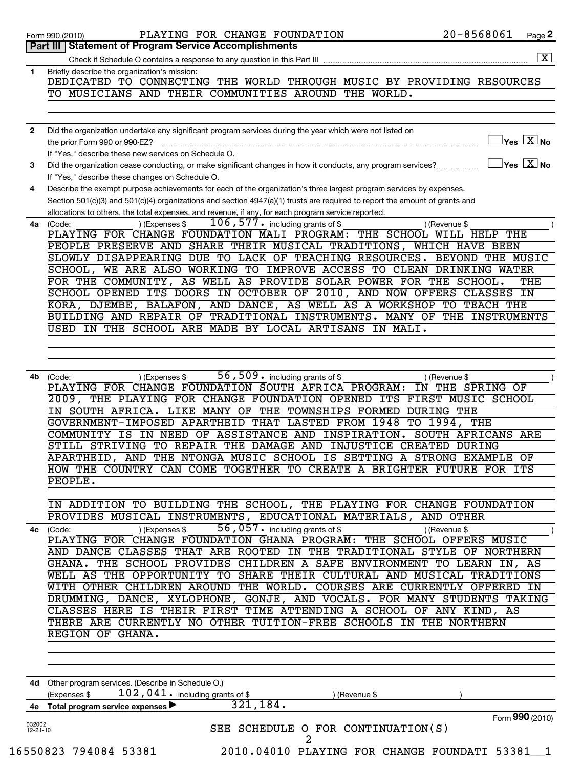|                          | PLAYING FOR CHANGE FOUNDATION<br>Form 990 (2010)                                                                            | $20 - 8568061$<br>Page 2                            |
|--------------------------|-----------------------------------------------------------------------------------------------------------------------------|-----------------------------------------------------|
|                          | <b>Part III   Statement of Program Service Accomplishments</b>                                                              |                                                     |
|                          |                                                                                                                             |                                                     |
| 1                        | Briefly describe the organization's mission:<br>DEDICATED TO CONNECTING THE WORLD THROUGH MUSIC BY PROVIDING RESOURCES      |                                                     |
|                          | TO MUSICIANS AND THEIR COMMUNITIES AROUND THE WORLD.                                                                        |                                                     |
|                          |                                                                                                                             |                                                     |
|                          |                                                                                                                             |                                                     |
| $\mathbf{2}$             | Did the organization undertake any significant program services during the year which were not listed on                    |                                                     |
|                          | the prior Form 990 or 990-EZ?                                                                                               | $\overline{\ }$ Yes $\overline{\rm \bf X}$ No       |
|                          | If "Yes," describe these new services on Schedule O.                                                                        |                                                     |
| 3                        | Did the organization cease conducting, or make significant changes in how it conducts, any program services?                | $\mathbf{y}_{\text{es}}$ $\overline{\mathbf{X}}$ No |
|                          | If "Yes," describe these changes on Schedule O.                                                                             |                                                     |
| 4                        | Describe the exempt purpose achievements for each of the organization's three largest program services by expenses.         |                                                     |
|                          | Section 501(c)(3) and 501(c)(4) organizations and section 4947(a)(1) trusts are required to report the amount of grants and |                                                     |
|                          | allocations to others, the total expenses, and revenue, if any, for each program service reported.                          |                                                     |
| 4a                       | $106$ , 577. including grants of \$<br>) (Expenses \$<br>(Code:                                                             | ) (Revenue \$                                       |
|                          | PLAYING FOR CHANGE FOUNDATION MALI PROGRAM: THE SCHOOL WILL HELP                                                            | THE                                                 |
|                          | PEOPLE PRESERVE AND SHARE THEIR MUSICAL TRADITIONS, WHICH HAVE BEEN                                                         |                                                     |
|                          | SLOWLY DISAPPEARING DUE TO LACK OF TEACHING RESOURCES.                                                                      | <b>BEYOND</b><br>THE MUSIC                          |
|                          | SCHOOL, WE ARE ALSO WORKING TO IMPROVE ACCESS TO CLEAN DRINKING WATER                                                       |                                                     |
|                          | FOR THE COMMUNITY, AS WELL AS PROVIDE SOLAR POWER FOR THE                                                                   | SCHOOL.<br>THE                                      |
|                          | SCHOOL OPENED ITS DOORS IN OCTOBER OF 2010, AND NOW OFFERS                                                                  | <b>CLASSES</b><br>IN                                |
|                          | KORA, DJEMBE, BALAFON, AND DANCE, AS WELL AS A WORKSHOP                                                                     | <b>TO TEACH THE</b>                                 |
|                          | BUILDING AND REPAIR OF TRADITIONAL INSTRUMENTS. MANY OF THE INSTRUMENTS                                                     |                                                     |
|                          | USED IN THE SCHOOL ARE MADE BY LOCAL ARTISANS IN MALI.                                                                      |                                                     |
|                          |                                                                                                                             |                                                     |
|                          |                                                                                                                             |                                                     |
| 4b                       | 56, 509. including grants of \$                                                                                             |                                                     |
|                          | (Code:<br>) (Expenses \$<br>PLAYING FOR CHANGE FOUNDATION SOUTH AFRICA PROGRAM:                                             | ) (Revenue \$<br>IN THE SPRING OF                   |
|                          | 2009, THE PLAYING FOR CHANGE FOUNDATION OPENED ITS FIRST MUSIC SCHOOL                                                       |                                                     |
|                          | IN SOUTH AFRICA.<br>LIKE MANY OF THE TOWNSHIPS FORMED DURING THE                                                            |                                                     |
|                          | GOVERNMENT-IMPOSED APARTHEID THAT LASTED FROM 1948 TO 1994, THE                                                             |                                                     |
|                          | IN NEED OF ASSISTANCE AND INSPIRATION.<br>$\overline{IS}$<br>COMMUNITY                                                      | <b>SOUTH AFRICANS ARE</b>                           |
|                          | STILL STRIVING TO REPAIR THE DAMAGE AND INJUSTICE CREATED DURING                                                            |                                                     |
|                          | APARTHEID, AND THE NTONGA MUSIC SCHOOL IS SETTING A STRONG EXAMPLE OF                                                       |                                                     |
|                          | HOW THE COUNTRY CAN COME TOGETHER TO CREATE A BRIGHTER FUTURE FOR ITS                                                       |                                                     |
|                          | PEOPLE.                                                                                                                     |                                                     |
|                          |                                                                                                                             |                                                     |
|                          | IN ADDITION TO BUILDING THE SCHOOL, THE PLAYING FOR CHANGE FOUNDATION                                                       |                                                     |
|                          | PROVIDES MUSICAL INSTRUMENTS, EDUCATIONAL MATERIALS, AND OTHER                                                              |                                                     |
| 4c (Code:                | 56, 057. including grants of \$<br>) (Expenses \$                                                                           | ) (Revenue \$                                       |
|                          | PLAYING FOR CHANGE FOUNDATION GHANA PROGRAM: THE SCHOOL OFFERS MUSIC                                                        |                                                     |
|                          | AND DANCE CLASSES THAT ARE ROOTED IN THE TRADITIONAL STYLE OF NORTHERN                                                      |                                                     |
|                          | GHANA. THE SCHOOL PROVIDES CHILDREN A SAFE ENVIRONMENT TO LEARN IN, AS                                                      |                                                     |
|                          | WELL AS THE OPPORTUNITY TO SHARE THEIR CULTURAL AND MUSICAL TRADITIONS                                                      |                                                     |
|                          | WITH OTHER CHILDREN AROUND THE WORLD. COURSES ARE CURRENTLY OFFERED IN                                                      |                                                     |
|                          | DRUMMING, DANCE, XYLOPHONE, GONJE, AND VOCALS. FOR MANY STUDENTS TAKING                                                     |                                                     |
|                          | CLASSES HERE IS THEIR FIRST TIME ATTENDING A SCHOOL OF ANY KIND, AS                                                         |                                                     |
|                          | THERE ARE CURRENTLY NO OTHER TUITION-FREE SCHOOLS IN THE NORTHERN                                                           |                                                     |
|                          | REGION OF GHANA.                                                                                                            |                                                     |
|                          |                                                                                                                             |                                                     |
|                          |                                                                                                                             |                                                     |
|                          |                                                                                                                             |                                                     |
|                          | 4d Other program services. (Describe in Schedule O.)<br>$102$ , $041$ $\cdot$ including grants of \$<br>(Expenses \$        |                                                     |
|                          | ) (Revenue \$<br>321, 184.<br>4e Total program service expenses                                                             |                                                     |
|                          |                                                                                                                             | Form 990 (2010)                                     |
| 032002<br>$12 - 21 - 10$ | SEE SCHEDULE O FOR CONTINUATION(S)<br>2                                                                                     |                                                     |
|                          | 16550823 794084 53381<br>2010.04010 PLAYING FOR CHANGE FOUNDATI 53381 1                                                     |                                                     |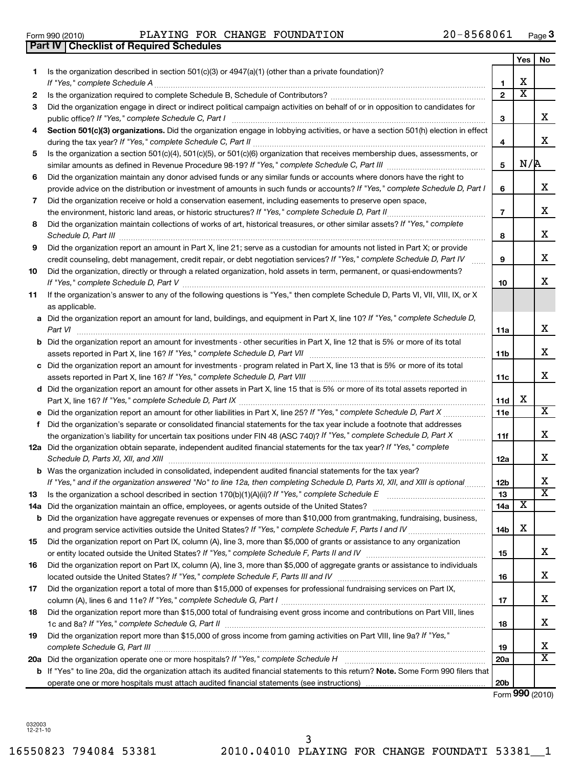**1**

**2 3**

16550823 794084 53381 2010.04010 PLAYING FOR CHANGE FOUNDATI 53381\_\_1 3

| 4   | Section 501(c)(3) organizations. Did the organization engage in lobbying activities, or have a section 501(h) election in effect                                                              |                 |     |                         |
|-----|-----------------------------------------------------------------------------------------------------------------------------------------------------------------------------------------------|-----------------|-----|-------------------------|
|     | during the tax year? If "Yes," complete Schedule C, Part II                                                                                                                                   | 4               |     | x                       |
| 5   | Is the organization a section 501(c)(4), 501(c)(5), or 501(c)(6) organization that receives membership dues, assessments, or                                                                  | 5               | N/R |                         |
| 6   | Did the organization maintain any donor advised funds or any similar funds or accounts where donors have the right to                                                                         |                 |     |                         |
|     | provide advice on the distribution or investment of amounts in such funds or accounts? If "Yes," complete Schedule D, Part I                                                                  | 6               |     | X                       |
| 7   | Did the organization receive or hold a conservation easement, including easements to preserve open space,                                                                                     |                 |     |                         |
|     | the environment, historic land areas, or historic structures? If "Yes," complete Schedule D, Part II                                                                                          | $\overline{7}$  |     | x                       |
| 8   | Did the organization maintain collections of works of art, historical treasures, or other similar assets? If "Yes," complete<br>Schedule D, Part III                                          | 8               |     | x                       |
| 9   | Did the organization report an amount in Part X, line 21; serve as a custodian for amounts not listed in Part X; or provide                                                                   |                 |     |                         |
|     | credit counseling, debt management, credit repair, or debt negotiation services? If "Yes," complete Schedule D, Part IV                                                                       | 9               |     | x                       |
| 10  | Did the organization, directly or through a related organization, hold assets in term, permanent, or quasi-endowments?                                                                        |                 |     | X                       |
|     |                                                                                                                                                                                               | 10              |     |                         |
| 11  | If the organization's answer to any of the following questions is "Yes," then complete Schedule D, Parts VI, VII, VIII, IX, or X                                                              |                 |     |                         |
|     | as applicable.                                                                                                                                                                                |                 |     |                         |
|     | a Did the organization report an amount for land, buildings, and equipment in Part X, line 10? If "Yes," complete Schedule D,                                                                 |                 |     | X                       |
|     | Part VI                                                                                                                                                                                       | 11a             |     |                         |
|     | <b>b</b> Did the organization report an amount for investments - other securities in Part X, line 12 that is 5% or more of its total                                                          |                 |     | X                       |
|     |                                                                                                                                                                                               | 11b             |     |                         |
|     | c Did the organization report an amount for investments - program related in Part X, line 13 that is 5% or more of its total                                                                  |                 |     | X                       |
|     |                                                                                                                                                                                               | 11c             |     |                         |
|     | d Did the organization report an amount for other assets in Part X, line 15 that is 5% or more of its total assets reported in                                                                |                 | x   |                         |
|     |                                                                                                                                                                                               | 11d             |     | $\overline{X}$          |
| е   |                                                                                                                                                                                               | <b>11e</b>      |     |                         |
|     | f Did the organization's separate or consolidated financial statements for the tax year include a footnote that addresses                                                                     |                 |     | X                       |
|     | the organization's liability for uncertain tax positions under FIN 48 (ASC 740)? If "Yes," complete Schedule D, Part X                                                                        | 11f             |     |                         |
|     | 12a Did the organization obtain separate, independent audited financial statements for the tax year? If "Yes," complete<br>Schedule D, Parts XI, XII, and XIII                                | 12a             |     | X                       |
|     | <b>b</b> Was the organization included in consolidated, independent audited financial statements for the tax year?                                                                            |                 |     |                         |
|     | If "Yes," and if the organization answered "No" to line 12a, then completing Schedule D, Parts XI, XII, and XIII is optional                                                                  | 12b             |     | х                       |
| 13  |                                                                                                                                                                                               | 13              |     | $\overline{\mathtt{x}}$ |
| 14a | Did the organization maintain an office, employees, or agents outside of the United States? [111] Did the organization maintain an office, employees, or agents outside of the United States? | 14a             | х   |                         |
|     | <b>b</b> Did the organization have aggregate revenues or expenses of more than \$10,000 from grantmaking, fundraising, business,                                                              |                 |     |                         |
|     |                                                                                                                                                                                               | 14 <sub>b</sub> | х   |                         |
| 15  | Did the organization report on Part IX, column (A), line 3, more than \$5,000 of grants or assistance to any organization                                                                     |                 |     |                         |
|     |                                                                                                                                                                                               | 15              |     | X                       |
| 16  | Did the organization report on Part IX, column (A), line 3, more than \$5,000 of aggregate grants or assistance to individuals                                                                |                 |     |                         |
|     |                                                                                                                                                                                               | 16              |     | Χ                       |
| 17  | Did the organization report a total of more than \$15,000 of expenses for professional fundraising services on Part IX,                                                                       |                 |     |                         |
|     |                                                                                                                                                                                               | 17              |     | x                       |
| 18  | Did the organization report more than \$15,000 total of fundraising event gross income and contributions on Part VIII, lines                                                                  | 18              |     | х                       |
| 19  | Did the organization report more than \$15,000 of gross income from gaming activities on Part VIII, line 9a? If "Yes,"                                                                        |                 |     |                         |
|     |                                                                                                                                                                                               | 19              |     | X                       |
|     |                                                                                                                                                                                               | 20a             |     | $\overline{\mathbf{x}}$ |
|     | b If "Yes" to line 20a, did the organization attach its audited financial statements to this return? Note. Some Form 990 filers that                                                          |                 |     |                         |
|     |                                                                                                                                                                                               | 20 <sub>b</sub> |     |                         |
|     |                                                                                                                                                                                               |                 |     | Form 990 (2010)         |

| Form 990 (2010)                                  |  | PLAYING FOR CHANGE FOUNDATION | 20-8568061 | Page |
|--------------------------------------------------|--|-------------------------------|------------|------|
| <b>Part IV   Checklist of Required Schedules</b> |  |                               |            |      |

Is the organization described in section 501(c)(3) or 4947(a)(1) (other than a private foundation)?

*If "Yes," complete Schedule A* ~~~~~~~~~~~~~~~~~~~~~~~~~~~~~~~~~~~~~~~~~~~~~~~

Is the organization required to complete Schedule B, Schedule of Contributors? ~~~~~~~~~~~~~~~~~~~~~~ Did the organization engage in direct or indirect political campaign activities on behalf of or in opposition to candidates for

*If "Yes," complete Schedule C, Part I* public office? ~~~~~~~~~~~~~~~~~~~~~~~~~~~~~~~~~~~~

**3**

**1 2**

**3**

**Yes No**

X

X  $\overline{\text{x}}$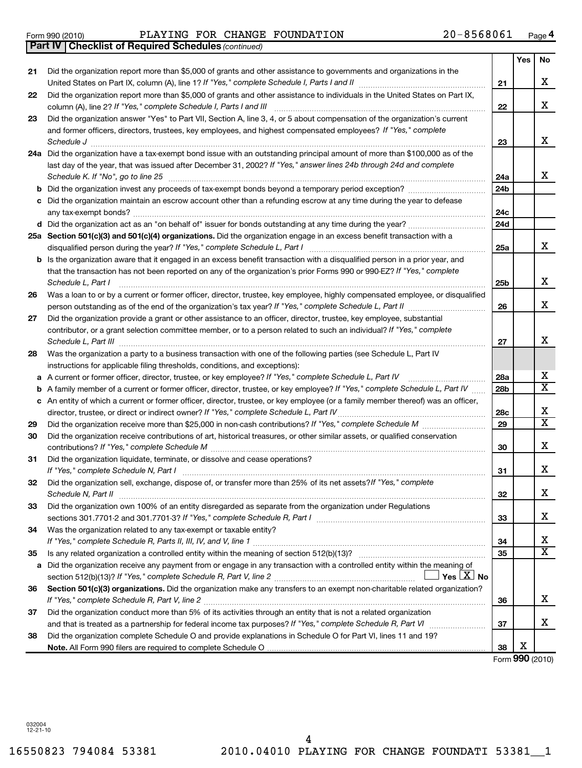Form 990 (2010) PLAYING FOR CHANGE FOUNDATION 2 0-8568061 Page

*(continued)* **Part IV Checklist of Required Schedules**

| 21<br>x<br>United States on Part IX, column (A), line 1? If "Yes," complete Schedule I, Parts I and II [111] [11] [11] [1<br>21<br>Did the organization report more than \$5,000 of grants and other assistance to individuals in the United States on Part IX,<br>22<br>x<br>column (A), line 2? If "Yes," complete Schedule I, Parts I and III<br>22<br>Did the organization answer "Yes" to Part VII, Section A, line 3, 4, or 5 about compensation of the organization's current<br>23<br>and former officers, directors, trustees, key employees, and highest compensated employees? If "Yes," complete<br>x<br>Schedule J<br>23<br>24a Did the organization have a tax-exempt bond issue with an outstanding principal amount of more than \$100,000 as of the<br>last day of the year, that was issued after December 31, 2002? If "Yes," answer lines 24b through 24d and complete<br>x<br>Schedule K. If "No", go to line 25<br>24a<br>Did the organization invest any proceeds of tax-exempt bonds beyond a temporary period exception?<br>24b<br>b<br>Did the organization maintain an escrow account other than a refunding escrow at any time during the year to defease<br>с<br>24c<br>24d<br>25a Section 501(c)(3) and 501(c)(4) organizations. Did the organization engage in an excess benefit transaction with a<br>x<br>disqualified person during the year? If "Yes," complete Schedule L, Part I<br>25a<br>Is the organization aware that it engaged in an excess benefit transaction with a disqualified person in a prior year, and<br>b<br>that the transaction has not been reported on any of the organization's prior Forms 990 or 990-EZ? If "Yes," complete<br>x<br>Schedule L, Part I<br>25b<br>Was a loan to or by a current or former officer, director, trustee, key employee, highly compensated employee, or disqualified<br>26<br>x<br>26<br>Did the organization provide a grant or other assistance to an officer, director, trustee, key employee, substantial<br>27<br>contributor, or a grant selection committee member, or to a person related to such an individual? If "Yes," complete<br>x<br>Schedule L, Part III<br>27<br>Was the organization a party to a business transaction with one of the following parties (see Schedule L, Part IV<br>28<br>instructions for applicable filing thresholds, conditions, and exceptions):<br>x<br>a A current or former officer, director, trustee, or key employee? If "Yes," complete Schedule L, Part IV<br>28a<br>$\overline{\texttt{x}}$<br>A family member of a current or former officer, director, trustee, or key employee? If "Yes," complete Schedule L, Part IV<br>28b<br>b<br>c An entity of which a current or former officer, director, trustee, or key employee (or a family member thereof) was an officer,<br>x<br>director, trustee, or direct or indirect owner? If "Yes," complete Schedule L, Part IV<br>28c<br>$\overline{\texttt{x}}$<br>29<br>29<br>Did the organization receive contributions of art, historical treasures, or other similar assets, or qualified conservation<br>30<br>x<br>contributions? If "Yes," complete Schedule M<br>30<br>Did the organization liquidate, terminate, or dissolve and cease operations?<br>31<br>X.<br>If "Yes," complete Schedule N, Part I<br>31<br>Did the organization sell, exchange, dispose of, or transfer more than 25% of its net assets? If "Yes," complete<br>32<br>х<br>32<br>Schedule N. Part II<br>Did the organization own 100% of an entity disregarded as separate from the organization under Regulations<br>33<br>x<br>sections 301.7701-2 and 301.7701-3? If "Yes," complete Schedule R, Part I [1] [1] [1] [1] [1] [1] [1] [1] [1] [<br>33<br>Was the organization related to any tax-exempt or taxable entity?<br>34<br>x<br>34<br>X<br>35<br>35<br>Did the organization receive any payment from or engage in any transaction with a controlled entity within the meaning of<br>a<br>Yes $ \underline{X} $ No<br>Section 501(c)(3) organizations. Did the organization make any transfers to an exempt non-charitable related organization?<br>36<br>x<br>36<br>Did the organization conduct more than 5% of its activities through an entity that is not a related organization<br>37<br>X.<br>37<br>Did the organization complete Schedule O and provide explanations in Schedule O for Part VI, lines 11 and 19?<br>38<br>х<br>38 |                                                                                                                      | Yes | No |
|-----------------------------------------------------------------------------------------------------------------------------------------------------------------------------------------------------------------------------------------------------------------------------------------------------------------------------------------------------------------------------------------------------------------------------------------------------------------------------------------------------------------------------------------------------------------------------------------------------------------------------------------------------------------------------------------------------------------------------------------------------------------------------------------------------------------------------------------------------------------------------------------------------------------------------------------------------------------------------------------------------------------------------------------------------------------------------------------------------------------------------------------------------------------------------------------------------------------------------------------------------------------------------------------------------------------------------------------------------------------------------------------------------------------------------------------------------------------------------------------------------------------------------------------------------------------------------------------------------------------------------------------------------------------------------------------------------------------------------------------------------------------------------------------------------------------------------------------------------------------------------------------------------------------------------------------------------------------------------------------------------------------------------------------------------------------------------------------------------------------------------------------------------------------------------------------------------------------------------------------------------------------------------------------------------------------------------------------------------------------------------------------------------------------------------------------------------------------------------------------------------------------------------------------------------------------------------------------------------------------------------------------------------------------------------------------------------------------------------------------------------------------------------------------------------------------------------------------------------------------------------------------------------------------------------------------------------------------------------------------------------------------------------------------------------------------------------------------------------------------------------------------------------------------------------------------------------------------------------------------------------------------------------------------------------------------------------------------------------------------------------------------------------------------------------------------------------------------------------------------------------------------------------------------------------------------------------------------------------------------------------------------------------------------------------------------------------------------------------------------------------------------------------------------------------------------------------------------------------------------------------------------------------------------------------------------------------------------------------------------------------------------------------------------------------------------------------------------------------------------------------------------------------------------------------------------------------------------------------------------------------------------------------------------------------------------------------------------------------------------------------------------------------------------------|----------------------------------------------------------------------------------------------------------------------|-----|----|
|                                                                                                                                                                                                                                                                                                                                                                                                                                                                                                                                                                                                                                                                                                                                                                                                                                                                                                                                                                                                                                                                                                                                                                                                                                                                                                                                                                                                                                                                                                                                                                                                                                                                                                                                                                                                                                                                                                                                                                                                                                                                                                                                                                                                                                                                                                                                                                                                                                                                                                                                                                                                                                                                                                                                                                                                                                                                                                                                                                                                                                                                                                                                                                                                                                                                                                                                                                                                                                                                                                                                                                                                                                                                                                                                                                                                                                                                                                                                                                                                                                                                                                                                                                                                                                                                                                                                                                                                                       | Did the organization report more than \$5,000 of grants and other assistance to governments and organizations in the |     |    |
|                                                                                                                                                                                                                                                                                                                                                                                                                                                                                                                                                                                                                                                                                                                                                                                                                                                                                                                                                                                                                                                                                                                                                                                                                                                                                                                                                                                                                                                                                                                                                                                                                                                                                                                                                                                                                                                                                                                                                                                                                                                                                                                                                                                                                                                                                                                                                                                                                                                                                                                                                                                                                                                                                                                                                                                                                                                                                                                                                                                                                                                                                                                                                                                                                                                                                                                                                                                                                                                                                                                                                                                                                                                                                                                                                                                                                                                                                                                                                                                                                                                                                                                                                                                                                                                                                                                                                                                                                       |                                                                                                                      |     |    |
|                                                                                                                                                                                                                                                                                                                                                                                                                                                                                                                                                                                                                                                                                                                                                                                                                                                                                                                                                                                                                                                                                                                                                                                                                                                                                                                                                                                                                                                                                                                                                                                                                                                                                                                                                                                                                                                                                                                                                                                                                                                                                                                                                                                                                                                                                                                                                                                                                                                                                                                                                                                                                                                                                                                                                                                                                                                                                                                                                                                                                                                                                                                                                                                                                                                                                                                                                                                                                                                                                                                                                                                                                                                                                                                                                                                                                                                                                                                                                                                                                                                                                                                                                                                                                                                                                                                                                                                                                       |                                                                                                                      |     |    |
|                                                                                                                                                                                                                                                                                                                                                                                                                                                                                                                                                                                                                                                                                                                                                                                                                                                                                                                                                                                                                                                                                                                                                                                                                                                                                                                                                                                                                                                                                                                                                                                                                                                                                                                                                                                                                                                                                                                                                                                                                                                                                                                                                                                                                                                                                                                                                                                                                                                                                                                                                                                                                                                                                                                                                                                                                                                                                                                                                                                                                                                                                                                                                                                                                                                                                                                                                                                                                                                                                                                                                                                                                                                                                                                                                                                                                                                                                                                                                                                                                                                                                                                                                                                                                                                                                                                                                                                                                       |                                                                                                                      |     |    |
|                                                                                                                                                                                                                                                                                                                                                                                                                                                                                                                                                                                                                                                                                                                                                                                                                                                                                                                                                                                                                                                                                                                                                                                                                                                                                                                                                                                                                                                                                                                                                                                                                                                                                                                                                                                                                                                                                                                                                                                                                                                                                                                                                                                                                                                                                                                                                                                                                                                                                                                                                                                                                                                                                                                                                                                                                                                                                                                                                                                                                                                                                                                                                                                                                                                                                                                                                                                                                                                                                                                                                                                                                                                                                                                                                                                                                                                                                                                                                                                                                                                                                                                                                                                                                                                                                                                                                                                                                       |                                                                                                                      |     |    |
|                                                                                                                                                                                                                                                                                                                                                                                                                                                                                                                                                                                                                                                                                                                                                                                                                                                                                                                                                                                                                                                                                                                                                                                                                                                                                                                                                                                                                                                                                                                                                                                                                                                                                                                                                                                                                                                                                                                                                                                                                                                                                                                                                                                                                                                                                                                                                                                                                                                                                                                                                                                                                                                                                                                                                                                                                                                                                                                                                                                                                                                                                                                                                                                                                                                                                                                                                                                                                                                                                                                                                                                                                                                                                                                                                                                                                                                                                                                                                                                                                                                                                                                                                                                                                                                                                                                                                                                                                       |                                                                                                                      |     |    |
|                                                                                                                                                                                                                                                                                                                                                                                                                                                                                                                                                                                                                                                                                                                                                                                                                                                                                                                                                                                                                                                                                                                                                                                                                                                                                                                                                                                                                                                                                                                                                                                                                                                                                                                                                                                                                                                                                                                                                                                                                                                                                                                                                                                                                                                                                                                                                                                                                                                                                                                                                                                                                                                                                                                                                                                                                                                                                                                                                                                                                                                                                                                                                                                                                                                                                                                                                                                                                                                                                                                                                                                                                                                                                                                                                                                                                                                                                                                                                                                                                                                                                                                                                                                                                                                                                                                                                                                                                       |                                                                                                                      |     |    |
|                                                                                                                                                                                                                                                                                                                                                                                                                                                                                                                                                                                                                                                                                                                                                                                                                                                                                                                                                                                                                                                                                                                                                                                                                                                                                                                                                                                                                                                                                                                                                                                                                                                                                                                                                                                                                                                                                                                                                                                                                                                                                                                                                                                                                                                                                                                                                                                                                                                                                                                                                                                                                                                                                                                                                                                                                                                                                                                                                                                                                                                                                                                                                                                                                                                                                                                                                                                                                                                                                                                                                                                                                                                                                                                                                                                                                                                                                                                                                                                                                                                                                                                                                                                                                                                                                                                                                                                                                       |                                                                                                                      |     |    |
|                                                                                                                                                                                                                                                                                                                                                                                                                                                                                                                                                                                                                                                                                                                                                                                                                                                                                                                                                                                                                                                                                                                                                                                                                                                                                                                                                                                                                                                                                                                                                                                                                                                                                                                                                                                                                                                                                                                                                                                                                                                                                                                                                                                                                                                                                                                                                                                                                                                                                                                                                                                                                                                                                                                                                                                                                                                                                                                                                                                                                                                                                                                                                                                                                                                                                                                                                                                                                                                                                                                                                                                                                                                                                                                                                                                                                                                                                                                                                                                                                                                                                                                                                                                                                                                                                                                                                                                                                       |                                                                                                                      |     |    |
|                                                                                                                                                                                                                                                                                                                                                                                                                                                                                                                                                                                                                                                                                                                                                                                                                                                                                                                                                                                                                                                                                                                                                                                                                                                                                                                                                                                                                                                                                                                                                                                                                                                                                                                                                                                                                                                                                                                                                                                                                                                                                                                                                                                                                                                                                                                                                                                                                                                                                                                                                                                                                                                                                                                                                                                                                                                                                                                                                                                                                                                                                                                                                                                                                                                                                                                                                                                                                                                                                                                                                                                                                                                                                                                                                                                                                                                                                                                                                                                                                                                                                                                                                                                                                                                                                                                                                                                                                       |                                                                                                                      |     |    |
|                                                                                                                                                                                                                                                                                                                                                                                                                                                                                                                                                                                                                                                                                                                                                                                                                                                                                                                                                                                                                                                                                                                                                                                                                                                                                                                                                                                                                                                                                                                                                                                                                                                                                                                                                                                                                                                                                                                                                                                                                                                                                                                                                                                                                                                                                                                                                                                                                                                                                                                                                                                                                                                                                                                                                                                                                                                                                                                                                                                                                                                                                                                                                                                                                                                                                                                                                                                                                                                                                                                                                                                                                                                                                                                                                                                                                                                                                                                                                                                                                                                                                                                                                                                                                                                                                                                                                                                                                       |                                                                                                                      |     |    |
|                                                                                                                                                                                                                                                                                                                                                                                                                                                                                                                                                                                                                                                                                                                                                                                                                                                                                                                                                                                                                                                                                                                                                                                                                                                                                                                                                                                                                                                                                                                                                                                                                                                                                                                                                                                                                                                                                                                                                                                                                                                                                                                                                                                                                                                                                                                                                                                                                                                                                                                                                                                                                                                                                                                                                                                                                                                                                                                                                                                                                                                                                                                                                                                                                                                                                                                                                                                                                                                                                                                                                                                                                                                                                                                                                                                                                                                                                                                                                                                                                                                                                                                                                                                                                                                                                                                                                                                                                       |                                                                                                                      |     |    |
|                                                                                                                                                                                                                                                                                                                                                                                                                                                                                                                                                                                                                                                                                                                                                                                                                                                                                                                                                                                                                                                                                                                                                                                                                                                                                                                                                                                                                                                                                                                                                                                                                                                                                                                                                                                                                                                                                                                                                                                                                                                                                                                                                                                                                                                                                                                                                                                                                                                                                                                                                                                                                                                                                                                                                                                                                                                                                                                                                                                                                                                                                                                                                                                                                                                                                                                                                                                                                                                                                                                                                                                                                                                                                                                                                                                                                                                                                                                                                                                                                                                                                                                                                                                                                                                                                                                                                                                                                       |                                                                                                                      |     |    |
|                                                                                                                                                                                                                                                                                                                                                                                                                                                                                                                                                                                                                                                                                                                                                                                                                                                                                                                                                                                                                                                                                                                                                                                                                                                                                                                                                                                                                                                                                                                                                                                                                                                                                                                                                                                                                                                                                                                                                                                                                                                                                                                                                                                                                                                                                                                                                                                                                                                                                                                                                                                                                                                                                                                                                                                                                                                                                                                                                                                                                                                                                                                                                                                                                                                                                                                                                                                                                                                                                                                                                                                                                                                                                                                                                                                                                                                                                                                                                                                                                                                                                                                                                                                                                                                                                                                                                                                                                       |                                                                                                                      |     |    |
|                                                                                                                                                                                                                                                                                                                                                                                                                                                                                                                                                                                                                                                                                                                                                                                                                                                                                                                                                                                                                                                                                                                                                                                                                                                                                                                                                                                                                                                                                                                                                                                                                                                                                                                                                                                                                                                                                                                                                                                                                                                                                                                                                                                                                                                                                                                                                                                                                                                                                                                                                                                                                                                                                                                                                                                                                                                                                                                                                                                                                                                                                                                                                                                                                                                                                                                                                                                                                                                                                                                                                                                                                                                                                                                                                                                                                                                                                                                                                                                                                                                                                                                                                                                                                                                                                                                                                                                                                       |                                                                                                                      |     |    |
|                                                                                                                                                                                                                                                                                                                                                                                                                                                                                                                                                                                                                                                                                                                                                                                                                                                                                                                                                                                                                                                                                                                                                                                                                                                                                                                                                                                                                                                                                                                                                                                                                                                                                                                                                                                                                                                                                                                                                                                                                                                                                                                                                                                                                                                                                                                                                                                                                                                                                                                                                                                                                                                                                                                                                                                                                                                                                                                                                                                                                                                                                                                                                                                                                                                                                                                                                                                                                                                                                                                                                                                                                                                                                                                                                                                                                                                                                                                                                                                                                                                                                                                                                                                                                                                                                                                                                                                                                       |                                                                                                                      |     |    |
|                                                                                                                                                                                                                                                                                                                                                                                                                                                                                                                                                                                                                                                                                                                                                                                                                                                                                                                                                                                                                                                                                                                                                                                                                                                                                                                                                                                                                                                                                                                                                                                                                                                                                                                                                                                                                                                                                                                                                                                                                                                                                                                                                                                                                                                                                                                                                                                                                                                                                                                                                                                                                                                                                                                                                                                                                                                                                                                                                                                                                                                                                                                                                                                                                                                                                                                                                                                                                                                                                                                                                                                                                                                                                                                                                                                                                                                                                                                                                                                                                                                                                                                                                                                                                                                                                                                                                                                                                       |                                                                                                                      |     |    |
|                                                                                                                                                                                                                                                                                                                                                                                                                                                                                                                                                                                                                                                                                                                                                                                                                                                                                                                                                                                                                                                                                                                                                                                                                                                                                                                                                                                                                                                                                                                                                                                                                                                                                                                                                                                                                                                                                                                                                                                                                                                                                                                                                                                                                                                                                                                                                                                                                                                                                                                                                                                                                                                                                                                                                                                                                                                                                                                                                                                                                                                                                                                                                                                                                                                                                                                                                                                                                                                                                                                                                                                                                                                                                                                                                                                                                                                                                                                                                                                                                                                                                                                                                                                                                                                                                                                                                                                                                       |                                                                                                                      |     |    |
|                                                                                                                                                                                                                                                                                                                                                                                                                                                                                                                                                                                                                                                                                                                                                                                                                                                                                                                                                                                                                                                                                                                                                                                                                                                                                                                                                                                                                                                                                                                                                                                                                                                                                                                                                                                                                                                                                                                                                                                                                                                                                                                                                                                                                                                                                                                                                                                                                                                                                                                                                                                                                                                                                                                                                                                                                                                                                                                                                                                                                                                                                                                                                                                                                                                                                                                                                                                                                                                                                                                                                                                                                                                                                                                                                                                                                                                                                                                                                                                                                                                                                                                                                                                                                                                                                                                                                                                                                       |                                                                                                                      |     |    |
|                                                                                                                                                                                                                                                                                                                                                                                                                                                                                                                                                                                                                                                                                                                                                                                                                                                                                                                                                                                                                                                                                                                                                                                                                                                                                                                                                                                                                                                                                                                                                                                                                                                                                                                                                                                                                                                                                                                                                                                                                                                                                                                                                                                                                                                                                                                                                                                                                                                                                                                                                                                                                                                                                                                                                                                                                                                                                                                                                                                                                                                                                                                                                                                                                                                                                                                                                                                                                                                                                                                                                                                                                                                                                                                                                                                                                                                                                                                                                                                                                                                                                                                                                                                                                                                                                                                                                                                                                       |                                                                                                                      |     |    |
|                                                                                                                                                                                                                                                                                                                                                                                                                                                                                                                                                                                                                                                                                                                                                                                                                                                                                                                                                                                                                                                                                                                                                                                                                                                                                                                                                                                                                                                                                                                                                                                                                                                                                                                                                                                                                                                                                                                                                                                                                                                                                                                                                                                                                                                                                                                                                                                                                                                                                                                                                                                                                                                                                                                                                                                                                                                                                                                                                                                                                                                                                                                                                                                                                                                                                                                                                                                                                                                                                                                                                                                                                                                                                                                                                                                                                                                                                                                                                                                                                                                                                                                                                                                                                                                                                                                                                                                                                       |                                                                                                                      |     |    |
|                                                                                                                                                                                                                                                                                                                                                                                                                                                                                                                                                                                                                                                                                                                                                                                                                                                                                                                                                                                                                                                                                                                                                                                                                                                                                                                                                                                                                                                                                                                                                                                                                                                                                                                                                                                                                                                                                                                                                                                                                                                                                                                                                                                                                                                                                                                                                                                                                                                                                                                                                                                                                                                                                                                                                                                                                                                                                                                                                                                                                                                                                                                                                                                                                                                                                                                                                                                                                                                                                                                                                                                                                                                                                                                                                                                                                                                                                                                                                                                                                                                                                                                                                                                                                                                                                                                                                                                                                       |                                                                                                                      |     |    |
|                                                                                                                                                                                                                                                                                                                                                                                                                                                                                                                                                                                                                                                                                                                                                                                                                                                                                                                                                                                                                                                                                                                                                                                                                                                                                                                                                                                                                                                                                                                                                                                                                                                                                                                                                                                                                                                                                                                                                                                                                                                                                                                                                                                                                                                                                                                                                                                                                                                                                                                                                                                                                                                                                                                                                                                                                                                                                                                                                                                                                                                                                                                                                                                                                                                                                                                                                                                                                                                                                                                                                                                                                                                                                                                                                                                                                                                                                                                                                                                                                                                                                                                                                                                                                                                                                                                                                                                                                       |                                                                                                                      |     |    |
|                                                                                                                                                                                                                                                                                                                                                                                                                                                                                                                                                                                                                                                                                                                                                                                                                                                                                                                                                                                                                                                                                                                                                                                                                                                                                                                                                                                                                                                                                                                                                                                                                                                                                                                                                                                                                                                                                                                                                                                                                                                                                                                                                                                                                                                                                                                                                                                                                                                                                                                                                                                                                                                                                                                                                                                                                                                                                                                                                                                                                                                                                                                                                                                                                                                                                                                                                                                                                                                                                                                                                                                                                                                                                                                                                                                                                                                                                                                                                                                                                                                                                                                                                                                                                                                                                                                                                                                                                       |                                                                                                                      |     |    |
|                                                                                                                                                                                                                                                                                                                                                                                                                                                                                                                                                                                                                                                                                                                                                                                                                                                                                                                                                                                                                                                                                                                                                                                                                                                                                                                                                                                                                                                                                                                                                                                                                                                                                                                                                                                                                                                                                                                                                                                                                                                                                                                                                                                                                                                                                                                                                                                                                                                                                                                                                                                                                                                                                                                                                                                                                                                                                                                                                                                                                                                                                                                                                                                                                                                                                                                                                                                                                                                                                                                                                                                                                                                                                                                                                                                                                                                                                                                                                                                                                                                                                                                                                                                                                                                                                                                                                                                                                       |                                                                                                                      |     |    |
|                                                                                                                                                                                                                                                                                                                                                                                                                                                                                                                                                                                                                                                                                                                                                                                                                                                                                                                                                                                                                                                                                                                                                                                                                                                                                                                                                                                                                                                                                                                                                                                                                                                                                                                                                                                                                                                                                                                                                                                                                                                                                                                                                                                                                                                                                                                                                                                                                                                                                                                                                                                                                                                                                                                                                                                                                                                                                                                                                                                                                                                                                                                                                                                                                                                                                                                                                                                                                                                                                                                                                                                                                                                                                                                                                                                                                                                                                                                                                                                                                                                                                                                                                                                                                                                                                                                                                                                                                       |                                                                                                                      |     |    |
|                                                                                                                                                                                                                                                                                                                                                                                                                                                                                                                                                                                                                                                                                                                                                                                                                                                                                                                                                                                                                                                                                                                                                                                                                                                                                                                                                                                                                                                                                                                                                                                                                                                                                                                                                                                                                                                                                                                                                                                                                                                                                                                                                                                                                                                                                                                                                                                                                                                                                                                                                                                                                                                                                                                                                                                                                                                                                                                                                                                                                                                                                                                                                                                                                                                                                                                                                                                                                                                                                                                                                                                                                                                                                                                                                                                                                                                                                                                                                                                                                                                                                                                                                                                                                                                                                                                                                                                                                       |                                                                                                                      |     |    |
|                                                                                                                                                                                                                                                                                                                                                                                                                                                                                                                                                                                                                                                                                                                                                                                                                                                                                                                                                                                                                                                                                                                                                                                                                                                                                                                                                                                                                                                                                                                                                                                                                                                                                                                                                                                                                                                                                                                                                                                                                                                                                                                                                                                                                                                                                                                                                                                                                                                                                                                                                                                                                                                                                                                                                                                                                                                                                                                                                                                                                                                                                                                                                                                                                                                                                                                                                                                                                                                                                                                                                                                                                                                                                                                                                                                                                                                                                                                                                                                                                                                                                                                                                                                                                                                                                                                                                                                                                       |                                                                                                                      |     |    |
|                                                                                                                                                                                                                                                                                                                                                                                                                                                                                                                                                                                                                                                                                                                                                                                                                                                                                                                                                                                                                                                                                                                                                                                                                                                                                                                                                                                                                                                                                                                                                                                                                                                                                                                                                                                                                                                                                                                                                                                                                                                                                                                                                                                                                                                                                                                                                                                                                                                                                                                                                                                                                                                                                                                                                                                                                                                                                                                                                                                                                                                                                                                                                                                                                                                                                                                                                                                                                                                                                                                                                                                                                                                                                                                                                                                                                                                                                                                                                                                                                                                                                                                                                                                                                                                                                                                                                                                                                       |                                                                                                                      |     |    |
|                                                                                                                                                                                                                                                                                                                                                                                                                                                                                                                                                                                                                                                                                                                                                                                                                                                                                                                                                                                                                                                                                                                                                                                                                                                                                                                                                                                                                                                                                                                                                                                                                                                                                                                                                                                                                                                                                                                                                                                                                                                                                                                                                                                                                                                                                                                                                                                                                                                                                                                                                                                                                                                                                                                                                                                                                                                                                                                                                                                                                                                                                                                                                                                                                                                                                                                                                                                                                                                                                                                                                                                                                                                                                                                                                                                                                                                                                                                                                                                                                                                                                                                                                                                                                                                                                                                                                                                                                       |                                                                                                                      |     |    |
|                                                                                                                                                                                                                                                                                                                                                                                                                                                                                                                                                                                                                                                                                                                                                                                                                                                                                                                                                                                                                                                                                                                                                                                                                                                                                                                                                                                                                                                                                                                                                                                                                                                                                                                                                                                                                                                                                                                                                                                                                                                                                                                                                                                                                                                                                                                                                                                                                                                                                                                                                                                                                                                                                                                                                                                                                                                                                                                                                                                                                                                                                                                                                                                                                                                                                                                                                                                                                                                                                                                                                                                                                                                                                                                                                                                                                                                                                                                                                                                                                                                                                                                                                                                                                                                                                                                                                                                                                       |                                                                                                                      |     |    |
|                                                                                                                                                                                                                                                                                                                                                                                                                                                                                                                                                                                                                                                                                                                                                                                                                                                                                                                                                                                                                                                                                                                                                                                                                                                                                                                                                                                                                                                                                                                                                                                                                                                                                                                                                                                                                                                                                                                                                                                                                                                                                                                                                                                                                                                                                                                                                                                                                                                                                                                                                                                                                                                                                                                                                                                                                                                                                                                                                                                                                                                                                                                                                                                                                                                                                                                                                                                                                                                                                                                                                                                                                                                                                                                                                                                                                                                                                                                                                                                                                                                                                                                                                                                                                                                                                                                                                                                                                       |                                                                                                                      |     |    |
|                                                                                                                                                                                                                                                                                                                                                                                                                                                                                                                                                                                                                                                                                                                                                                                                                                                                                                                                                                                                                                                                                                                                                                                                                                                                                                                                                                                                                                                                                                                                                                                                                                                                                                                                                                                                                                                                                                                                                                                                                                                                                                                                                                                                                                                                                                                                                                                                                                                                                                                                                                                                                                                                                                                                                                                                                                                                                                                                                                                                                                                                                                                                                                                                                                                                                                                                                                                                                                                                                                                                                                                                                                                                                                                                                                                                                                                                                                                                                                                                                                                                                                                                                                                                                                                                                                                                                                                                                       |                                                                                                                      |     |    |
|                                                                                                                                                                                                                                                                                                                                                                                                                                                                                                                                                                                                                                                                                                                                                                                                                                                                                                                                                                                                                                                                                                                                                                                                                                                                                                                                                                                                                                                                                                                                                                                                                                                                                                                                                                                                                                                                                                                                                                                                                                                                                                                                                                                                                                                                                                                                                                                                                                                                                                                                                                                                                                                                                                                                                                                                                                                                                                                                                                                                                                                                                                                                                                                                                                                                                                                                                                                                                                                                                                                                                                                                                                                                                                                                                                                                                                                                                                                                                                                                                                                                                                                                                                                                                                                                                                                                                                                                                       |                                                                                                                      |     |    |

Form (2010) **990**

032004 12-21-10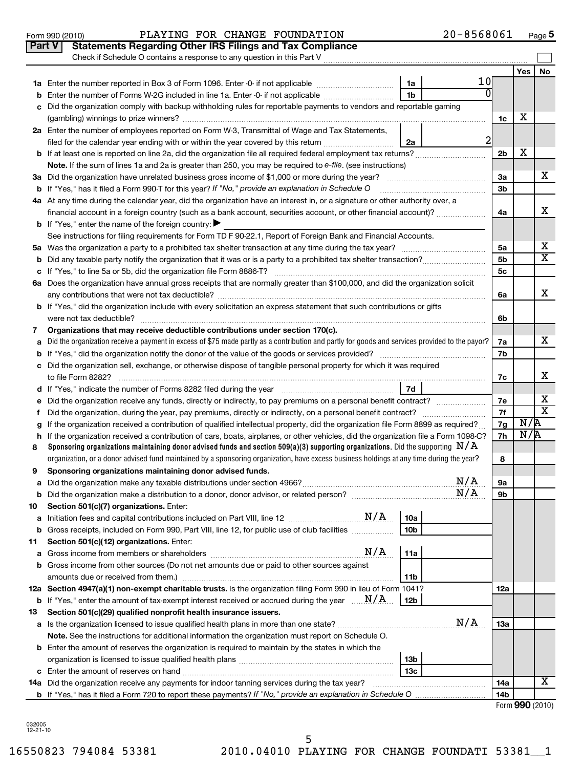|    | Check if Schedule O contains a response to any question in this Part V                                                                          |                |                |       |    |
|----|-------------------------------------------------------------------------------------------------------------------------------------------------|----------------|----------------|-------|----|
|    |                                                                                                                                                 |                |                | Yes l | No |
|    | 1a                                                                                                                                              | 10             |                |       |    |
| b  | 1 <sub>b</sub><br>Enter the number of Forms W-2G included in line 1a. Enter -0- if not applicable                                               |                |                |       |    |
| C  | Did the organization comply with backup withholding rules for reportable payments to vendors and reportable gaming                              |                |                |       |    |
|    |                                                                                                                                                 |                | 1c             | х     |    |
|    | 2a Enter the number of employees reported on Form W-3, Transmittal of Wage and Tax Statements,                                                  |                |                |       |    |
|    | filed for the calendar year ending with or within the year covered by this return<br>2a                                                         | $\overline{2}$ |                |       |    |
|    |                                                                                                                                                 |                | 2 <sub>b</sub> | х     |    |
|    | Note. If the sum of lines 1a and 2a is greater than 250, you may be required to e-file. (see instructions)                                      |                |                |       |    |
|    |                                                                                                                                                 |                | За             |       | x. |
|    | <b>b</b> If "Yes," has it filed a Form 990-T for this year? If "No," provide an explanation in Schedule O                                       |                | 3b             |       |    |
|    | 4a At any time during the calendar year, did the organization have an interest in, or a signature or other authority over, a                    |                |                |       |    |
|    | financial account in a foreign country (such as a bank account, securities account, or other financial account)?                                |                | 4a             |       | x  |
|    | <b>b</b> If "Yes," enter the name of the foreign country:                                                                                       |                |                |       |    |
|    | See instructions for filing requirements for Form TD F 90-22.1, Report of Foreign Bank and Financial Accounts.                                  |                |                |       |    |
|    |                                                                                                                                                 |                | 5a             |       | X  |
|    |                                                                                                                                                 |                | 5 <sub>b</sub> |       | X  |
|    |                                                                                                                                                 |                | 5c             |       |    |
|    | 6a Does the organization have annual gross receipts that are normally greater than \$100,000, and did the organization solicit                  |                |                |       |    |
|    |                                                                                                                                                 |                | 6a             |       | x  |
|    | <b>b</b> If "Yes," did the organization include with every solicitation an express statement that such contributions or gifts                   |                |                |       |    |
|    |                                                                                                                                                 |                | 6b             |       |    |
| 7  | Organizations that may receive deductible contributions under section 170(c).                                                                   |                |                |       | x. |
| a  | Did the organization receive a payment in excess of \$75 made partly as a contribution and partly for goods and services provided to the payor? |                | 7a<br>7b       |       |    |
| b  | c Did the organization sell, exchange, or otherwise dispose of tangible personal property for which it was required                             |                |                |       |    |
|    |                                                                                                                                                 |                | 7c             |       | x  |
|    | 7d                                                                                                                                              |                |                |       |    |
| е  |                                                                                                                                                 |                | 7e             |       | х  |
| Ť. |                                                                                                                                                 |                | 7f             |       | X  |
| g  | If the organization received a contribution of qualified intellectual property, did the organization file Form 8899 as required?                |                | 7g             | N/R   |    |
| h. | If the organization received a contribution of cars, boats, airplanes, or other vehicles, did the organization file a Form 1098-C?              |                | 7h             | N/R   |    |
| 8  | Sponsoring organizations maintaining donor advised funds and section 509(a)(3) supporting organizations. Did the supporting $N/A$               |                |                |       |    |
|    | organization, or a donor advised fund maintained by a sponsoring organization, have excess business holdings at any time during the year?       |                | 8              |       |    |
| 9  | Sponsoring organizations maintaining donor advised funds.                                                                                       |                |                |       |    |
|    | N/A                                                                                                                                             |                | 9а             |       |    |
| b  | N/A                                                                                                                                             |                | 9b             |       |    |
| 10 | Section 501(c)(7) organizations. Enter:                                                                                                         |                |                |       |    |
| а  | 10a                                                                                                                                             |                |                |       |    |
| b  | Gross receipts, included on Form 990, Part VIII, line 12, for public use of club facilities<br>10b                                              |                |                |       |    |
| 11 | Section 501(c)(12) organizations. Enter:                                                                                                        |                |                |       |    |
| а  | N/A<br>11a                                                                                                                                      |                |                |       |    |
| b  | Gross income from other sources (Do not net amounts due or paid to other sources against                                                        |                |                |       |    |
|    | 11b                                                                                                                                             |                |                |       |    |
|    | 12a Section 4947(a)(1) non-exempt charitable trusts. Is the organization filing Form 990 in lieu of Form 1041?                                  |                | 12a            |       |    |
|    | <b>b</b> If "Yes," enter the amount of tax-exempt interest received or accrued during the year $\ldots \mathbf{N}/\mathbf{A}$ .<br>12b          |                |                |       |    |
| 13 | Section 501(c)(29) qualified nonprofit health insurance issuers.<br>N/A                                                                         |                |                |       |    |
|    |                                                                                                                                                 |                | 13a            |       |    |
|    | Note. See the instructions for additional information the organization must report on Schedule O.                                               |                |                |       |    |
|    | <b>b</b> Enter the amount of reserves the organization is required to maintain by the states in which the<br>13 <sub>b</sub>                    |                |                |       |    |
|    | 13с                                                                                                                                             |                |                |       |    |
|    |                                                                                                                                                 |                | 14a            |       | х  |
|    |                                                                                                                                                 |                | 14b            |       |    |
|    |                                                                                                                                                 |                |                |       |    |

032005 12-21-10

|  | Tilea for the c        |  |  |
|--|------------------------|--|--|
|  | المتحاسب والقماق المرا |  |  |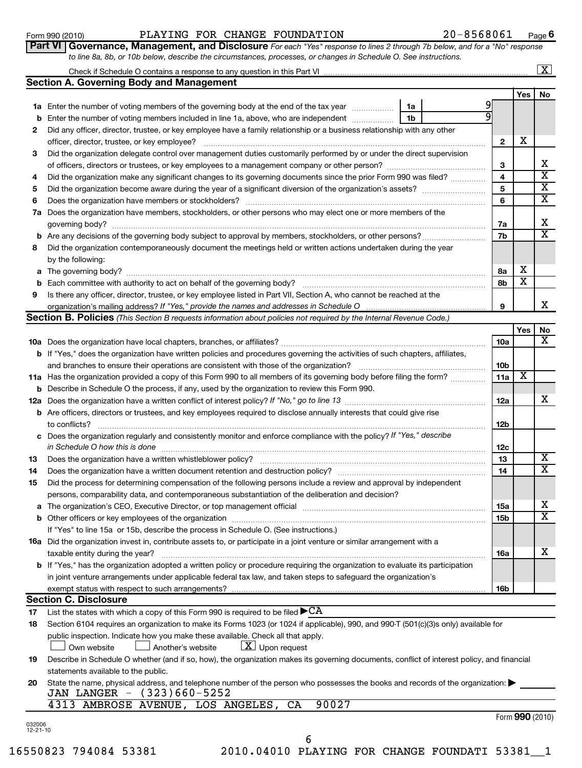|    | 20-8568061<br>PLAYING FOR CHANGE FOUNDATION<br>Form 990 (2010)                                                                       |                         |                             | Page $6$                |
|----|--------------------------------------------------------------------------------------------------------------------------------------|-------------------------|-----------------------------|-------------------------|
|    | Part VI   Governance, Management, and Disclosure For each "Yes" response to lines 2 through 7b below, and for a "No" response        |                         |                             |                         |
|    | to line 8a, 8b, or 10b below, describe the circumstances, processes, or changes in Schedule O. See instructions.                     |                         |                             |                         |
|    |                                                                                                                                      |                         |                             | $\boxed{\textbf{X}}$    |
|    | <b>Section A. Governing Body and Management</b>                                                                                      |                         |                             |                         |
|    |                                                                                                                                      |                         | Yes                         | No.                     |
|    | 1a Enter the number of voting members of the governing body at the end of the tax year <i>manuming</i><br>1a                         |                         |                             |                         |
| b  | Enter the number of voting members included in line 1a, above, who are independent<br>1b                                             |                         |                             |                         |
| 2  | Did any officer, director, trustee, or key employee have a family relationship or a business relationship with any other             |                         |                             |                         |
|    | officer, director, trustee, or key employee?                                                                                         | $\mathbf{2}$            | х                           |                         |
| 3  | Did the organization delegate control over management duties customarily performed by or under the direct supervision                |                         |                             |                         |
|    |                                                                                                                                      | 3                       |                             | X                       |
| 4  | Did the organization make any significant changes to its governing documents since the prior Form 990 was filed?                     | $\overline{\mathbf{A}}$ |                             | X                       |
| 5  |                                                                                                                                      | 5                       |                             | х                       |
| 6  | Does the organization have members or stockholders?                                                                                  | 6                       |                             | $\overline{\mathbf{x}}$ |
| 7a | Does the organization have members, stockholders, or other persons who may elect one or more members of the                          |                         |                             |                         |
|    | governing body?                                                                                                                      | 7a                      |                             | х                       |
|    |                                                                                                                                      | 7b                      |                             | $\overline{\mathbf{x}}$ |
| 8  | Did the organization contemporaneously document the meetings held or written actions undertaken during the year                      |                         |                             |                         |
|    | by the following:                                                                                                                    |                         |                             |                         |
|    | a The governing body?                                                                                                                | 8a                      | X                           |                         |
| b  | Each committee with authority to act on behalf of the governing body?                                                                | 8b                      | х                           |                         |
| 9  | Is there any officer, director, trustee, or key employee listed in Part VII, Section A, who cannot be reached at the                 |                         |                             |                         |
|    |                                                                                                                                      | 9                       |                             | x                       |
|    | <b>Section B. Policies</b> (This Section B requests information about policies not required by the Internal Revenue Code.)           |                         |                             |                         |
|    |                                                                                                                                      |                         | Yes                         | No                      |
|    | <b>10a</b> Does the organization have local chapters, branches, or affiliates?                                                       | 10a                     |                             | X                       |
|    | <b>b</b> If "Yes," does the organization have written policies and procedures governing the activities of such chapters, affiliates, |                         |                             |                         |
|    | and branches to ensure their operations are consistent with those of the organization?                                               | 10 <sub>b</sub>         |                             |                         |
|    | 11a Has the organization provided a copy of this Form 990 to all members of its governing body before filing the form?               | 11a                     | $\overline{\textnormal{x}}$ |                         |
| b  | Describe in Schedule O the process, if any, used by the organization to review this Form 990.                                        |                         |                             |                         |
|    |                                                                                                                                      | 12a                     |                             | x                       |
|    | <b>b</b> Are officers, directors or trustees, and key employees required to disclose annually interests that could give rise         |                         |                             |                         |
|    | to conflicts?                                                                                                                        | 12 <sub>b</sub>         |                             |                         |
|    | arganization requierly and consistently monitor and                                                                                  |                         |                             |                         |

|    | c Does the organization regularly and consistently monitor and enforce compliance with the policy? If "Yes," describe                                                                                                          |     |   |
|----|--------------------------------------------------------------------------------------------------------------------------------------------------------------------------------------------------------------------------------|-----|---|
|    | in Schedule O how this is done                                                                                                                                                                                                 | 12c |   |
| 13 | Does the organization have a written whistleblower policy?                                                                                                                                                                     | 13  | х |
| 14 | Does the organization have a written document retention and destruction policy?                                                                                                                                                | 14  | x |
| 15 | Did the process for determining compensation of the following persons include a review and approval by independent                                                                                                             |     |   |
|    | persons, comparability data, and contemporaneous substantiation of the deliberation and decision?                                                                                                                              |     |   |
|    | <b>a</b> The organization's CEO, Executive Director, or top management official                                                                                                                                                | 15a | х |
|    | b Other officers or key employees of the organization manufactured content of the organization manufactured content of the organization manufactured content of the organization manufactured content of the organization manu | 15b | X |
|    | If "Yes" to line 15a or 15b, describe the process in Schedule O. (See instructions.)                                                                                                                                           |     |   |
|    | <b>16a</b> Did the organization invest in, contribute assets to, or participate in a joint venture or similar arrangement with a                                                                                               |     |   |
|    | taxable entity during the year?                                                                                                                                                                                                | 16a | х |
|    | <b>b</b> If "Yes," has the organization adopted a written policy or procedure requiring the organization to evaluate its participation                                                                                         |     |   |
|    | in joint venture arrangements under applicable federal tax law, and taken steps to safeguard the organization's                                                                                                                |     |   |
|    | exempt status with respect to such arrangements?                                                                                                                                                                               | 16b |   |

# **Section C. Disclosure**

**17** List the states with which a copy of this Form 990 is required to be filed  $\blacktriangleright$   $\rm CA$ 

|                    | 18 Section 6104 requires an organization to make its Forms 1023 (or 1024 if applicable), 990, and 990-T (501(c)(3)s only) available for |                                  |  |  |
|--------------------|-----------------------------------------------------------------------------------------------------------------------------------------|----------------------------------|--|--|
|                    | public inspection. Indicate how you make these available. Check all that apply.                                                         |                                  |  |  |
| $\Box$ Own website | Another's website                                                                                                                       | $\lfloor x \rfloor$ Upon request |  |  |

**19** Describe in Schedule O whether (and if so, how), the organization makes its governing documents, conflict of interest policy, and financial statements available to the public.

| 20 State the name, physical address, and telephone number of the person who possesses the books and records of the organization: |
|----------------------------------------------------------------------------------------------------------------------------------|
| JAN LANGER - (323)660-5252                                                                                                       |

4313 AMBROSE AVENUE, LOS ANGELES, CA 90027

Form (2010) **990**

6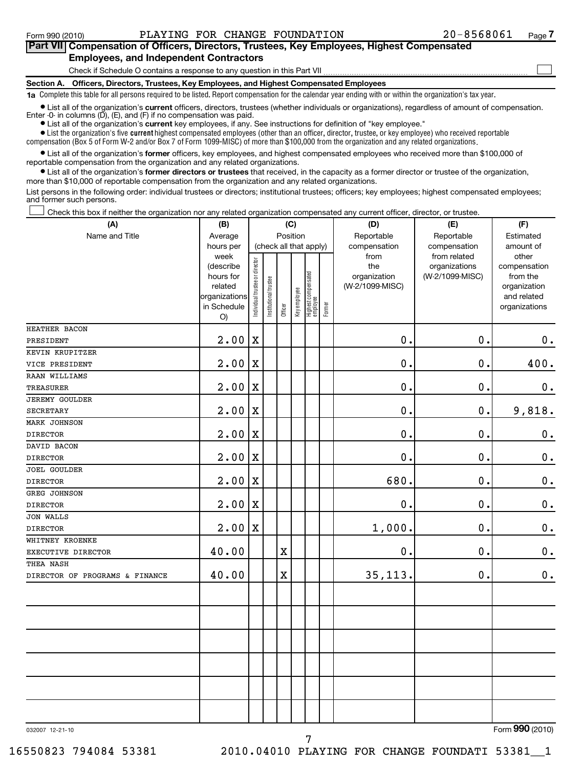#### **Section A. Officers, Directors, Trustees, Key Employees, and Highest Compensated Employees** Check if Schedule O contains a response to any question in this Part VII **Part VII Compensation of Officers, Directors, Trustees, Key Employees, Highest Compensated Employees, and Independent Contractors**  $\sim$

**1a**  Complete this table for all persons required to be listed. Report compensation for the calendar year ending with or within the organization's tax year.

• List all of the organization's current officers, directors, trustees (whether individuals or organizations), regardless of amount of compensation. Enter -0- in columns  $(D)$ ,  $(E)$ , and  $(F)$  if no compensation was paid.

**•** List all of the organization's **current** key employees, if any. See instructions for definition of "key employee."

 $\bullet$  List the organization's five  $\tt current$  highest compensated employees (other than an officer, director, trustee, or key employee) who received reportable compensation (Box 5 of Form W-2 and/or Box 7 of Form 1099-MISC) of more than \$100,000 from the organization and any related organizations .

 $\bullet$  List all of the organization's former officers, key employees, and highest compensated employees who received more than \$100,000 of reportable compensation from the organization and any related organizations.

**•** List all of the organization's former directors or trustees that received, in the capacity as a former director or trustee of the organization, more than \$10,000 of reportable compensation from the organization and any related organizations.

List persons in the following order: individual trustees or directors; institutional trustees; officers; key employees; highest compensated employees; and former such persons.

Check this box if neither the organization nor any related organization compensated any current officer, director, or trustee.  $\left\vert \cdot\right\vert$ 

| (A)                            | (B)                                   |                                |                        | (C)         |              |                                 |        | (D)                             | (E)                                           | (F)                                     |
|--------------------------------|---------------------------------------|--------------------------------|------------------------|-------------|--------------|---------------------------------|--------|---------------------------------|-----------------------------------------------|-----------------------------------------|
| Name and Title                 | Average                               |                                |                        | Position    |              |                                 |        | Reportable                      | Reportable                                    | Estimated                               |
|                                | hours per<br>week<br>(describe        |                                | (check all that apply) |             |              |                                 |        | compensation<br>from<br>the     | compensation<br>from related<br>organizations | amount of<br>other<br>compensation      |
|                                | hours for<br>related<br>organizations | Individual trustee or director | Institutional trustee  |             | Key employee | Highest compensated<br>employee |        | organization<br>(W-2/1099-MISC) | (W-2/1099-MISC)                               | from the<br>organization<br>and related |
|                                | in Schedule<br>O)                     |                                |                        | Officer     |              |                                 | Former |                                 |                                               | organizations                           |
| HEATHER BACON                  |                                       |                                |                        |             |              |                                 |        |                                 |                                               |                                         |
| PRESIDENT                      | 2.00                                  | $\mathbf X$                    |                        |             |              |                                 |        | $\mathbf 0$ .                   | $\mathbf 0$ .                                 | 0.                                      |
| KEVIN KRUPITZER                |                                       |                                |                        |             |              |                                 |        |                                 |                                               |                                         |
| VICE PRESIDENT                 | 2.00                                  | X                              |                        |             |              |                                 |        | $\mathbf 0$ .                   | 0.                                            | 400.                                    |
| RAAN WILLIAMS                  |                                       |                                |                        |             |              |                                 |        |                                 |                                               |                                         |
| <b>TREASURER</b>               | 2.00                                  | $\mathbf X$                    |                        |             |              |                                 |        | $\mathbf 0$                     | 0.                                            | $\mathbf 0$ .                           |
| <b>JEREMY GOULDER</b>          |                                       |                                |                        |             |              |                                 |        |                                 |                                               |                                         |
| <b>SECRETARY</b>               | 2.00                                  | $\mathbf X$                    |                        |             |              |                                 |        | 0.                              | 0.                                            | 9,818.                                  |
| <b>MARK JOHNSON</b>            |                                       |                                |                        |             |              |                                 |        |                                 |                                               |                                         |
| <b>DIRECTOR</b>                | 2.00                                  | X                              |                        |             |              |                                 |        | $\mathbf 0$ .                   | $\mathbf 0$ .                                 | $\mathbf 0$ .                           |
| DAVID BACON                    |                                       |                                |                        |             |              |                                 |        |                                 |                                               |                                         |
| <b>DIRECTOR</b>                | 2.00                                  | $\mathbf X$                    |                        |             |              |                                 |        | $\mathbf 0$ .                   | $\mathbf 0$ .                                 | $\mathbf 0$ .                           |
| <b>JOEL GOULDER</b>            |                                       |                                |                        |             |              |                                 |        |                                 |                                               |                                         |
| <b>DIRECTOR</b>                | 2.00                                  | X                              |                        |             |              |                                 |        | 680.                            | $\mathbf 0$ .                                 | $\boldsymbol{0}$ .                      |
| GREG JOHNSON                   |                                       |                                |                        |             |              |                                 |        |                                 |                                               |                                         |
| <b>DIRECTOR</b>                | 2.00                                  | $\mathbf X$                    |                        |             |              |                                 |        | $\mathbf 0$ .                   | 0.                                            | $\mathbf 0$ .                           |
| <b>JON WALLS</b>               |                                       |                                |                        |             |              |                                 |        |                                 |                                               |                                         |
| <b>DIRECTOR</b>                | 2.00                                  | $\mathbf X$                    |                        |             |              |                                 |        | 1,000.                          | 0.                                            | $\mathbf 0$ .                           |
| WHITNEY KROENKE                |                                       |                                |                        |             |              |                                 |        |                                 |                                               |                                         |
| EXECUTIVE DIRECTOR             | 40.00                                 |                                |                        | $\mathbf X$ |              |                                 |        | 0.                              | $\mathbf 0$ .                                 | $\boldsymbol{0}$ .                      |
| THEA NASH                      |                                       |                                |                        |             |              |                                 |        |                                 |                                               |                                         |
| DIRECTOR OF PROGRAMS & FINANCE | 40.00                                 |                                |                        | $\rm X$     |              |                                 |        | 35, 113.                        | $\mathbf 0$ .                                 | $\mathbf 0$ .                           |
|                                |                                       |                                |                        |             |              |                                 |        |                                 |                                               |                                         |
|                                |                                       |                                |                        |             |              |                                 |        |                                 |                                               |                                         |
|                                |                                       |                                |                        |             |              |                                 |        |                                 |                                               |                                         |
|                                |                                       |                                |                        |             |              |                                 |        |                                 |                                               |                                         |
|                                |                                       |                                |                        |             |              |                                 |        |                                 |                                               |                                         |
|                                |                                       |                                |                        |             |              |                                 |        |                                 |                                               |                                         |
|                                |                                       |                                |                        |             |              |                                 |        |                                 |                                               |                                         |
| 000007 10.01.10                |                                       |                                |                        |             |              |                                 |        |                                 |                                               | $F_{\text{arm}}$ QQ $\Omega$ (2010)     |

7

032007 12-21-10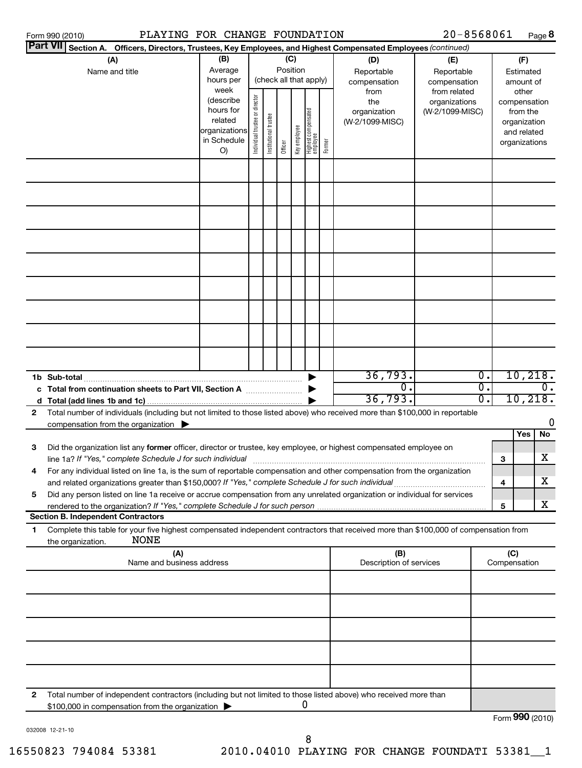|   | PLAYING FOR CHANGE FOUNDATION<br>Form 990 (2010)                                                                                                                                                                                |                                                                                                                                                                                                                    |  |                                                |                                                  |                        |                                                                                   |                                   | $20 - 8568061$                    |                  |                                        | Page 8                        |
|---|---------------------------------------------------------------------------------------------------------------------------------------------------------------------------------------------------------------------------------|--------------------------------------------------------------------------------------------------------------------------------------------------------------------------------------------------------------------|--|------------------------------------------------|--------------------------------------------------|------------------------|-----------------------------------------------------------------------------------|-----------------------------------|-----------------------------------|------------------|----------------------------------------|-------------------------------|
|   | Part VII Section A. Officers, Directors, Trustees, Key Employees, and Highest Compensated Employees (continued)                                                                                                                 |                                                                                                                                                                                                                    |  |                                                |                                                  |                        |                                                                                   |                                   |                                   |                  |                                        |                               |
|   | (A)<br>Name and title                                                                                                                                                                                                           | (B)<br>Average<br>hours per                                                                                                                                                                                        |  | Position                                       | (C)                                              | (check all that apply) |                                                                                   | (D)<br>Reportable<br>compensation | (E)<br>Reportable<br>compensation |                  |                                        | (F)<br>Estimated<br>amount of |
|   |                                                                                                                                                                                                                                 | week<br>Individual trustee or director<br>(describe<br>hours for<br>Highest compensated<br>employee<br>Institutional trustee<br>related<br>Key employee<br>organizations<br>in Schedule<br>Former<br>Officer<br>O) |  | from<br>the<br>organization<br>(W-2/1099-MISC) | from related<br>organizations<br>(W-2/1099-MISC) |                        | other<br>compensation<br>from the<br>organization<br>and related<br>organizations |                                   |                                   |                  |                                        |                               |
|   |                                                                                                                                                                                                                                 |                                                                                                                                                                                                                    |  |                                                |                                                  |                        |                                                                                   |                                   |                                   |                  |                                        |                               |
|   |                                                                                                                                                                                                                                 |                                                                                                                                                                                                                    |  |                                                |                                                  |                        |                                                                                   |                                   |                                   |                  |                                        |                               |
|   |                                                                                                                                                                                                                                 |                                                                                                                                                                                                                    |  |                                                |                                                  |                        |                                                                                   |                                   |                                   |                  |                                        |                               |
|   |                                                                                                                                                                                                                                 |                                                                                                                                                                                                                    |  |                                                |                                                  |                        |                                                                                   |                                   |                                   |                  |                                        |                               |
|   |                                                                                                                                                                                                                                 |                                                                                                                                                                                                                    |  |                                                |                                                  |                        |                                                                                   |                                   |                                   |                  |                                        |                               |
|   |                                                                                                                                                                                                                                 |                                                                                                                                                                                                                    |  |                                                |                                                  |                        |                                                                                   |                                   |                                   |                  |                                        |                               |
|   |                                                                                                                                                                                                                                 |                                                                                                                                                                                                                    |  |                                                |                                                  |                        |                                                                                   | 36,793.                           |                                   | $\overline{0}$ . |                                        | 10,218.                       |
|   | 1b Sub-total<br>c Total from continuation sheets to Part VII, Section A                                                                                                                                                         |                                                                                                                                                                                                                    |  |                                                |                                                  |                        |                                                                                   | σ.<br>36,793.                     |                                   | σ.<br>σ.         | $\overline{\mathfrak{o}}$ .<br>10,218. |                               |
| 2 | Total number of individuals (including but not limited to those listed above) who received more than \$100,000 in reportable<br>compensation from the organization $\blacktriangleright$                                        |                                                                                                                                                                                                                    |  |                                                |                                                  |                        |                                                                                   |                                   |                                   |                  |                                        | 0                             |
| з | Did the organization list any former officer, director or trustee, key employee, or highest compensated employee on<br>line 1a? If "Yes," complete Schedule J for such individual                                               |                                                                                                                                                                                                                    |  |                                                |                                                  |                        |                                                                                   |                                   |                                   |                  | 3                                      | Yes<br>No<br>x                |
| 4 | For any individual listed on line 1a, is the sum of reportable compensation and other compensation from the organization<br>and related organizations greater than \$150,000? If "Yes," complete Schedule J for such individual |                                                                                                                                                                                                                    |  |                                                |                                                  |                        |                                                                                   |                                   |                                   |                  | 4                                      | х                             |
| 5 | Did any person listed on line 1a receive or accrue compensation from any unrelated organization or individual for services<br><b>Section B. Independent Contractors</b>                                                         |                                                                                                                                                                                                                    |  |                                                |                                                  |                        |                                                                                   |                                   |                                   |                  | 5                                      | X                             |
| 1 | Complete this table for your five highest compensated independent contractors that received more than \$100,000 of compensation from<br><b>NONE</b><br>the organization.                                                        |                                                                                                                                                                                                                    |  |                                                |                                                  |                        |                                                                                   |                                   |                                   |                  |                                        |                               |
|   | (A)<br>Name and business address                                                                                                                                                                                                |                                                                                                                                                                                                                    |  |                                                |                                                  |                        |                                                                                   | (B)<br>Description of services    |                                   |                  | (C)<br>Compensation                    |                               |
|   |                                                                                                                                                                                                                                 |                                                                                                                                                                                                                    |  |                                                |                                                  |                        |                                                                                   |                                   |                                   |                  |                                        |                               |
|   |                                                                                                                                                                                                                                 |                                                                                                                                                                                                                    |  |                                                |                                                  |                        |                                                                                   |                                   |                                   |                  |                                        |                               |
|   |                                                                                                                                                                                                                                 |                                                                                                                                                                                                                    |  |                                                |                                                  |                        |                                                                                   |                                   |                                   |                  |                                        |                               |
| 2 | Total number of independent contractors (including but not limited to those listed above) who received more than                                                                                                                |                                                                                                                                                                                                                    |  |                                                |                                                  |                        |                                                                                   |                                   |                                   |                  |                                        |                               |
|   | \$100,000 in compensation from the organization                                                                                                                                                                                 |                                                                                                                                                                                                                    |  |                                                |                                                  | 0                      |                                                                                   |                                   |                                   |                  |                                        | Form 990 (2010)               |

032008 12-21-10

Form **990** (2010)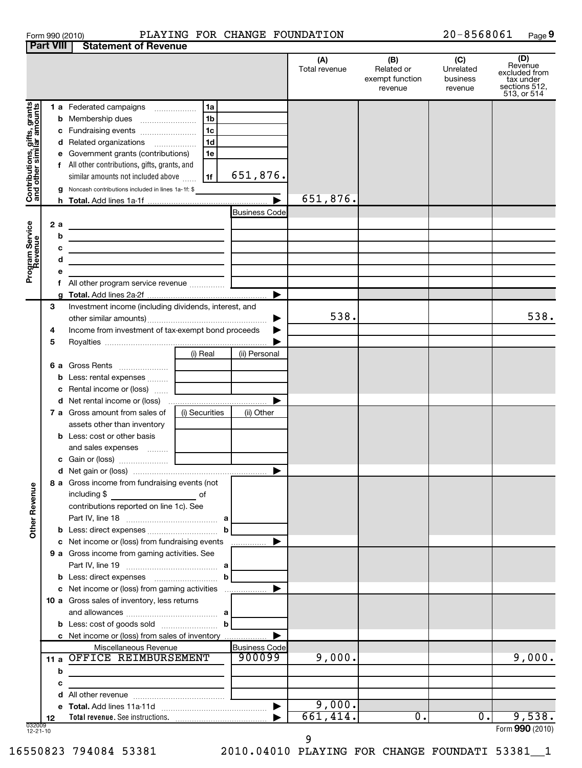| Form 990 (2010 |  |  |  |
|----------------|--|--|--|
|----------------|--|--|--|

## Form 990 (2010) PLAYING FOR CHANGE FOUNDATION 2 0-8 5 6 8 0 6 1 Page

20-8568061 Page 9

|                                                           | <b>Part VIII</b> | <b>Statement of Revenue</b>                                                                                                                     |                                            |                       |                      |                                                 |                                         |                                                                              |
|-----------------------------------------------------------|------------------|-------------------------------------------------------------------------------------------------------------------------------------------------|--------------------------------------------|-----------------------|----------------------|-------------------------------------------------|-----------------------------------------|------------------------------------------------------------------------------|
|                                                           |                  |                                                                                                                                                 |                                            |                       | (A)<br>Total revenue | (B)<br>Related or<br>exempt function<br>revenue | (C)<br>Unrelated<br>business<br>revenue | (D)<br>Revenue<br>excluded from<br>tax under<br>sections 512,<br>513, or 514 |
|                                                           |                  | 1 a Federated campaigns                                                                                                                         | 1a                                         |                       |                      |                                                 |                                         |                                                                              |
| Contributions, gifts, grants<br>and other similar amounts | b                | Membership dues                                                                                                                                 | 1 <sub>b</sub>                             |                       |                      |                                                 |                                         |                                                                              |
|                                                           | с                | Fundraising events                                                                                                                              | 1 <sub>c</sub>                             |                       |                      |                                                 |                                         |                                                                              |
|                                                           | d                | Related organizations                                                                                                                           | 1 <sub>d</sub><br>$\overline{\phantom{a}}$ |                       |                      |                                                 |                                         |                                                                              |
|                                                           | е                | Government grants (contributions)                                                                                                               | 1e                                         |                       |                      |                                                 |                                         |                                                                              |
|                                                           |                  | f All other contributions, gifts, grants, and                                                                                                   |                                            |                       |                      |                                                 |                                         |                                                                              |
|                                                           |                  | similar amounts not included above                                                                                                              | 1f                                         | 651,876.              |                      |                                                 |                                         |                                                                              |
|                                                           |                  |                                                                                                                                                 |                                            |                       |                      |                                                 |                                         |                                                                              |
|                                                           | a                | Noncash contributions included in lines 1a-1f: \$                                                                                               |                                            | $\blacktriangleright$ | 651,876.             |                                                 |                                         |                                                                              |
|                                                           | h.               |                                                                                                                                                 |                                            |                       |                      |                                                 |                                         |                                                                              |
|                                                           |                  |                                                                                                                                                 |                                            | <b>Business Code</b>  |                      |                                                 |                                         |                                                                              |
|                                                           | 2a               | <u> 1989 - Johann Barn, mars ann an t-Amhain Aonaich an t-Aonaich an t-Aonaich ann an t-Aonaich ann an t-Aonaich</u>                            |                                            |                       |                      |                                                 |                                         |                                                                              |
|                                                           | b                |                                                                                                                                                 |                                            |                       |                      |                                                 |                                         |                                                                              |
|                                                           | с                | the contract of the contract of the contract of the contract of the contract of                                                                 |                                            |                       |                      |                                                 |                                         |                                                                              |
|                                                           | d                | <u> 1989 - Johann Barbara, martin amerikan basal dan berasal dalam basal dalam basal dalam basal dalam basal dala</u>                           |                                            |                       |                      |                                                 |                                         |                                                                              |
| Program Service<br>Revenue                                | е                |                                                                                                                                                 |                                            |                       |                      |                                                 |                                         |                                                                              |
|                                                           |                  |                                                                                                                                                 |                                            |                       |                      |                                                 |                                         |                                                                              |
|                                                           |                  |                                                                                                                                                 |                                            | ▶                     |                      |                                                 |                                         |                                                                              |
|                                                           | 3                | Investment income (including dividends, interest, and                                                                                           |                                            |                       |                      |                                                 |                                         |                                                                              |
|                                                           |                  |                                                                                                                                                 |                                            |                       | 538.                 |                                                 |                                         | 538.                                                                         |
|                                                           | 4                | Income from investment of tax-exempt bond proceeds                                                                                              |                                            |                       |                      |                                                 |                                         |                                                                              |
|                                                           | 5                |                                                                                                                                                 |                                            |                       |                      |                                                 |                                         |                                                                              |
|                                                           |                  |                                                                                                                                                 | (i) Real                                   | (ii) Personal         |                      |                                                 |                                         |                                                                              |
|                                                           |                  |                                                                                                                                                 |                                            |                       |                      |                                                 |                                         |                                                                              |
|                                                           | b                | Less: rental expenses                                                                                                                           |                                            |                       |                      |                                                 |                                         |                                                                              |
|                                                           | с                | Rental income or (loss)                                                                                                                         |                                            |                       |                      |                                                 |                                         |                                                                              |
|                                                           |                  |                                                                                                                                                 |                                            | ▶                     |                      |                                                 |                                         |                                                                              |
|                                                           |                  | 7 a Gross amount from sales of                                                                                                                  | (i) Securities                             | (ii) Other            |                      |                                                 |                                         |                                                                              |
|                                                           |                  | assets other than inventory                                                                                                                     |                                            |                       |                      |                                                 |                                         |                                                                              |
|                                                           |                  | <b>b</b> Less: cost or other basis                                                                                                              |                                            |                       |                      |                                                 |                                         |                                                                              |
|                                                           |                  |                                                                                                                                                 |                                            |                       |                      |                                                 |                                         |                                                                              |
|                                                           |                  | and sales expenses                                                                                                                              |                                            |                       |                      |                                                 |                                         |                                                                              |
|                                                           |                  |                                                                                                                                                 |                                            |                       |                      |                                                 |                                         |                                                                              |
|                                                           |                  |                                                                                                                                                 |                                            | ▶                     |                      |                                                 |                                         |                                                                              |
| <b>Other Revenue</b>                                      |                  | 8 a Gross income from fundraising events (not<br>including \$<br>and the contract of the contract of<br>contributions reported on line 1c). See |                                            |                       |                      |                                                 |                                         |                                                                              |
|                                                           |                  |                                                                                                                                                 |                                            |                       |                      |                                                 |                                         |                                                                              |
|                                                           |                  |                                                                                                                                                 | b                                          |                       |                      |                                                 |                                         |                                                                              |
|                                                           |                  |                                                                                                                                                 |                                            |                       |                      |                                                 |                                         |                                                                              |
|                                                           |                  | c Net income or (loss) from fundraising events                                                                                                  |                                            | ▶<br>.                |                      |                                                 |                                         |                                                                              |
|                                                           |                  | 9 a Gross income from gaming activities. See                                                                                                    |                                            |                       |                      |                                                 |                                         |                                                                              |
|                                                           |                  |                                                                                                                                                 |                                            |                       |                      |                                                 |                                         |                                                                              |
|                                                           |                  |                                                                                                                                                 | b                                          |                       |                      |                                                 |                                         |                                                                              |
|                                                           |                  | c Net income or (loss) from gaming activities                                                                                                   |                                            | ▶                     |                      |                                                 |                                         |                                                                              |
|                                                           |                  | 10 a Gross sales of inventory, less returns                                                                                                     |                                            |                       |                      |                                                 |                                         |                                                                              |
|                                                           |                  |                                                                                                                                                 |                                            |                       |                      |                                                 |                                         |                                                                              |
|                                                           |                  |                                                                                                                                                 | b                                          |                       |                      |                                                 |                                         |                                                                              |
|                                                           |                  | c Net income or (loss) from sales of inventory                                                                                                  |                                            |                       |                      |                                                 |                                         |                                                                              |
|                                                           |                  | Miscellaneous Revenue                                                                                                                           |                                            | <b>Business Code</b>  |                      |                                                 |                                         |                                                                              |
|                                                           |                  | 11 a OFFICE REIMBURSEMENT                                                                                                                       |                                            | 900099                | 9,000.               |                                                 |                                         | 9,000.                                                                       |
|                                                           | b                |                                                                                                                                                 |                                            |                       |                      |                                                 |                                         |                                                                              |
|                                                           | с                |                                                                                                                                                 |                                            |                       |                      |                                                 |                                         |                                                                              |
|                                                           | d                |                                                                                                                                                 |                                            |                       |                      |                                                 |                                         |                                                                              |
|                                                           |                  |                                                                                                                                                 |                                            | $\blacktriangleright$ | 9,000.               |                                                 |                                         |                                                                              |
|                                                           | 12               |                                                                                                                                                 |                                            |                       | 661,414.             | 0.                                              | 0.                                      | 9,538.                                                                       |
| 032009<br>12-21-10                                        |                  |                                                                                                                                                 |                                            |                       |                      |                                                 |                                         | Form 990 (2010)                                                              |

9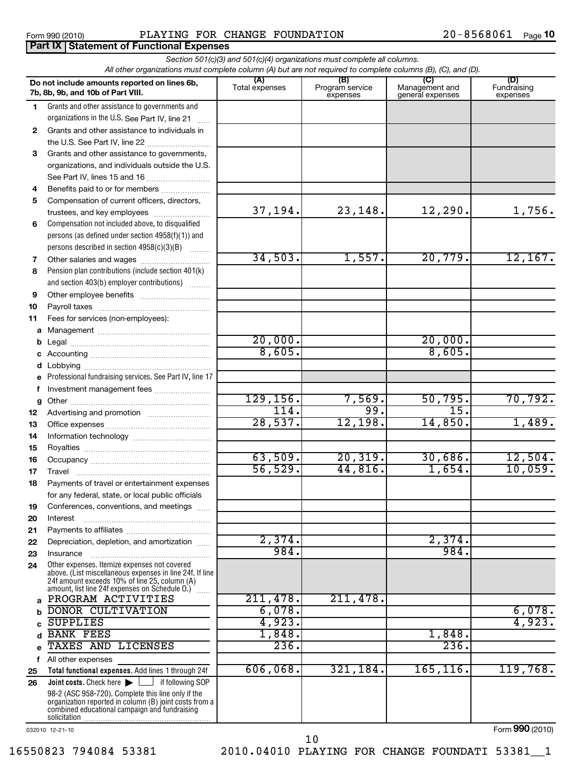# Form 990 (2010) Page PLAYING FOR CHANGE FOUNDATION 20-8568061

|              | All other organizations must complete column (A) but are not required to complete columns (B), (C), and (D).<br>Do not include amounts reported on lines 6b, |                  |                             |                                    |                    |
|--------------|--------------------------------------------------------------------------------------------------------------------------------------------------------------|------------------|-----------------------------|------------------------------------|--------------------|
|              |                                                                                                                                                              |                  | (B)                         | (C)                                | (D)<br>Fundraising |
|              | 7b, 8b, 9b, and 10b of Part VIII.                                                                                                                            | Total expenses   | Program service<br>expenses | Management and<br>general expenses | expenses           |
| 1.           | Grants and other assistance to governments and                                                                                                               |                  |                             |                                    |                    |
|              | organizations in the U.S. See Part IV, line 21                                                                                                               |                  |                             |                                    |                    |
| $\mathbf{2}$ | Grants and other assistance to individuals in                                                                                                                |                  |                             |                                    |                    |
|              | the U.S. See Part IV, line 22                                                                                                                                |                  |                             |                                    |                    |
| 3            | Grants and other assistance to governments,                                                                                                                  |                  |                             |                                    |                    |
|              | organizations, and individuals outside the U.S.                                                                                                              |                  |                             |                                    |                    |
|              | See Part IV, lines 15 and 16                                                                                                                                 |                  |                             |                                    |                    |
| 4            | Benefits paid to or for members                                                                                                                              |                  |                             |                                    |                    |
| 5            | Compensation of current officers, directors,                                                                                                                 |                  |                             |                                    |                    |
|              | trustees, and key employees                                                                                                                                  | 37,194.          | 23,148.                     | 12,290.                            | 1,756.             |
| 6            | Compensation not included above, to disqualified                                                                                                             |                  |                             |                                    |                    |
|              | persons (as defined under section 4958(f)(1)) and                                                                                                            |                  |                             |                                    |                    |
|              | persons described in section 4958(c)(3)(B)                                                                                                                   |                  |                             |                                    |                    |
| 7            | Other salaries and wages                                                                                                                                     | 34,503.          | 1,557.                      | 20,779.                            | 12,167.            |
| 8            | Pension plan contributions (include section 401(k)                                                                                                           |                  |                             |                                    |                    |
|              | and section 403(b) employer contributions)                                                                                                                   |                  |                             |                                    |                    |
| 9            | Other employee benefits                                                                                                                                      |                  |                             |                                    |                    |
| 10           |                                                                                                                                                              |                  |                             |                                    |                    |
| 11           | Fees for services (non-employees):                                                                                                                           |                  |                             |                                    |                    |
| a            |                                                                                                                                                              | 20,000.          |                             | 20,000.                            |                    |
| b            |                                                                                                                                                              | 8,605.           |                             | 8,605.                             |                    |
| c            |                                                                                                                                                              |                  |                             |                                    |                    |
| d            | Lobbying<br>Professional fundraising services. See Part IV, line 17                                                                                          |                  |                             |                                    |                    |
| f            | Investment management fees                                                                                                                                   |                  |                             |                                    |                    |
|              |                                                                                                                                                              | 129, 156.        | 7,569.                      | 50, 795.                           | 70, 792.           |
| g<br>12      |                                                                                                                                                              | 114.             | 99.                         | 15.                                |                    |
| 13           |                                                                                                                                                              | 28,537.          | 12,198.                     | 14,850.                            | 1,489.             |
| 14           |                                                                                                                                                              |                  |                             |                                    |                    |
| 15           |                                                                                                                                                              |                  |                             |                                    |                    |
| 16           |                                                                                                                                                              | 63,509.          | 20, 319.                    | 30,686.                            | 12,504.            |
| 17           | Travel                                                                                                                                                       | 56,529.          | 44,816.                     | 1,654.                             | 10,059.            |
| 18           | Payments of travel or entertainment expenses                                                                                                                 |                  |                             |                                    |                    |
|              | for any federal, state, or local public officials                                                                                                            |                  |                             |                                    |                    |
| 19           | Conferences, conventions, and meetings                                                                                                                       |                  |                             |                                    |                    |
| 20           | Interest                                                                                                                                                     |                  |                             |                                    |                    |
| 21           |                                                                                                                                                              |                  |                             |                                    |                    |
| 22           | Depreciation, depletion, and amortization                                                                                                                    | 2,374.           |                             | 2,374.                             |                    |
| 23           | Insurance                                                                                                                                                    | 984.             |                             | 984.                               |                    |
| 24           | Other expenses. Itemize expenses not covered<br>above. (List miscellaneous expenses in line 24f. If line                                                     |                  |                             |                                    |                    |
|              | 24f amount exceeds 10% of line 25, column (A)                                                                                                                |                  |                             |                                    |                    |
|              | amount, list line 24f expenses on Schedule O.)                                                                                                               |                  |                             |                                    |                    |
| a            | PROGRAM ACTIVITIES                                                                                                                                           | 211,478.         | 211,478.                    |                                    |                    |
|              | <b>DONOR CULTIVATION</b>                                                                                                                                     | 6,078.<br>4,923. |                             |                                    | 6,078.<br>4,923.   |
|              | <b>SUPPLIES</b><br><b>BANK FEES</b>                                                                                                                          | 1,848.           |                             | 1,848.                             |                    |
|              | TAXES AND LICENSES                                                                                                                                           | 236.             |                             | 236.                               |                    |
|              |                                                                                                                                                              |                  |                             |                                    |                    |
| f            | All other expenses<br>Total functional expenses. Add lines 1 through 24f                                                                                     | 606,068.         | 321,184.                    | 165, 116.                          | 119,768.           |
| 25<br>26     | <b>Joint costs.</b> Check here $\blacktriangleright$ $\lfloor \cdots \rfloor$ if following SOP                                                               |                  |                             |                                    |                    |
|              | 98-2 (ASC 958-720). Complete this line only if the                                                                                                           |                  |                             |                                    |                    |
|              | organization reported in column (B) joint costs from a                                                                                                       |                  |                             |                                    |                    |
|              | combined educational campaign and fundraising                                                                                                                |                  |                             |                                    |                    |

032010 12-21-10

Form (2010) **990**

10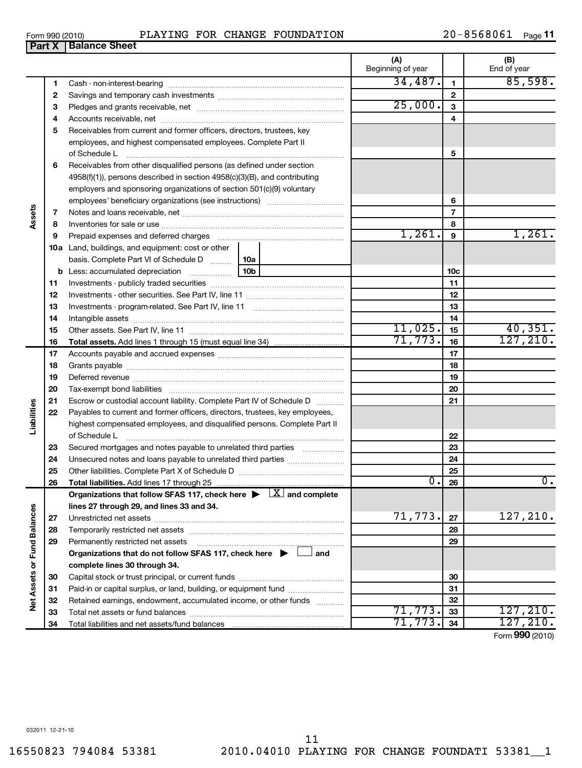| <b>Part X   Balance Sheet</b> |  |
|-------------------------------|--|
|                               |  |
|                               |  |

|                             |    |                                                                                          | Beginning of year |                 | End of year      |
|-----------------------------|----|------------------------------------------------------------------------------------------|-------------------|-----------------|------------------|
|                             | 1  |                                                                                          | 34,487.           | $\mathbf{1}$    | 85,598.          |
|                             | 2  |                                                                                          |                   | $\mathbf{2}$    |                  |
|                             | З  |                                                                                          | 25,000.           | 3               |                  |
|                             | 4  |                                                                                          |                   | 4               |                  |
|                             | 5  | Receivables from current and former officers, directors, trustees, key                   |                   |                 |                  |
|                             |    | employees, and highest compensated employees. Complete Part II                           |                   |                 |                  |
|                             |    | of Schedule L                                                                            |                   | 5               |                  |
|                             | 6  | Receivables from other disqualified persons (as defined under section                    |                   |                 |                  |
|                             |    | 4958(f)(1)), persons described in section 4958(c)(3)(B), and contributing                |                   |                 |                  |
|                             |    | employers and sponsoring organizations of section 501(c)(9) voluntary                    |                   |                 |                  |
|                             |    |                                                                                          |                   | 6               |                  |
|                             | 7  |                                                                                          |                   | $\overline{7}$  |                  |
| Assets                      | 8  |                                                                                          |                   | 8               |                  |
|                             | 9  |                                                                                          | 1,261.            | 9               | 1,261.           |
|                             |    | <b>10a</b> Land, buildings, and equipment: cost or other                                 |                   |                 |                  |
|                             |    | basis. Complete Part VI of Schedule D  10a                                               |                   |                 |                  |
|                             |    | 10 <sub>b</sub><br><b>b</b> Less: accumulated depreciation                               |                   | 10 <sub>c</sub> |                  |
|                             | 11 |                                                                                          |                   | 11              |                  |
|                             | 12 |                                                                                          |                   | 12              |                  |
|                             | 13 |                                                                                          |                   | 13              |                  |
|                             | 14 |                                                                                          |                   | 14              |                  |
|                             | 15 |                                                                                          | 11,025.           | 15              | 40,351.          |
|                             | 16 |                                                                                          | 71,773.           | 16              | 127, 210.        |
|                             | 17 |                                                                                          |                   | 17              |                  |
|                             | 18 |                                                                                          |                   | 18              |                  |
|                             | 19 |                                                                                          |                   | 19              |                  |
|                             | 20 |                                                                                          |                   | 20              |                  |
|                             | 21 | Escrow or custodial account liability. Complete Part IV of Schedule D                    |                   | 21              |                  |
| Liabilities                 | 22 | Payables to current and former officers, directors, trustees, key employees,             |                   |                 |                  |
|                             |    | highest compensated employees, and disqualified persons. Complete Part II                |                   |                 |                  |
|                             |    | of Schedule L                                                                            |                   | 22              |                  |
|                             | 23 |                                                                                          |                   | 23              |                  |
|                             | 24 | Unsecured notes and loans payable to unrelated third parties                             |                   | 24              |                  |
|                             | 25 |                                                                                          |                   | 25              |                  |
|                             | 26 | Total liabilities. Add lines 17 through 25                                               | 0.                | 26              | $\overline{0}$ . |
|                             |    | Organizations that follow SFAS 117, check here $\blacktriangleright \Box X$ and complete |                   |                 |                  |
|                             |    | lines 27 through 29, and lines 33 and 34.                                                |                   |                 |                  |
|                             | 27 |                                                                                          | 71,773.           | 27              | 127, 210.        |
|                             | 28 |                                                                                          |                   | 28              |                  |
|                             | 29 | Permanently restricted net assets                                                        |                   | 29              |                  |
|                             |    | Organizations that do not follow SFAS 117, check here $\blacktriangleright$<br>and       |                   |                 |                  |
|                             |    | complete lines 30 through 34.                                                            |                   |                 |                  |
| Net Assets or Fund Balances | 30 |                                                                                          |                   | 30              |                  |
|                             | 31 | Paid-in or capital surplus, or land, building, or equipment fund                         |                   | 31              |                  |
|                             | 32 | Retained earnings, endowment, accumulated income, or other funds                         |                   | 32              |                  |
|                             | 33 |                                                                                          | 71,773.           | 33              | 127, 210.        |
|                             | 34 | Total liabilities and net assets/fund balances                                           | 71,773.           | 34              | 127, 210.        |
|                             |    |                                                                                          |                   |                 | Form 990 (2010)  |

**(A) (B)**

 $\overline{\phantom{a}}$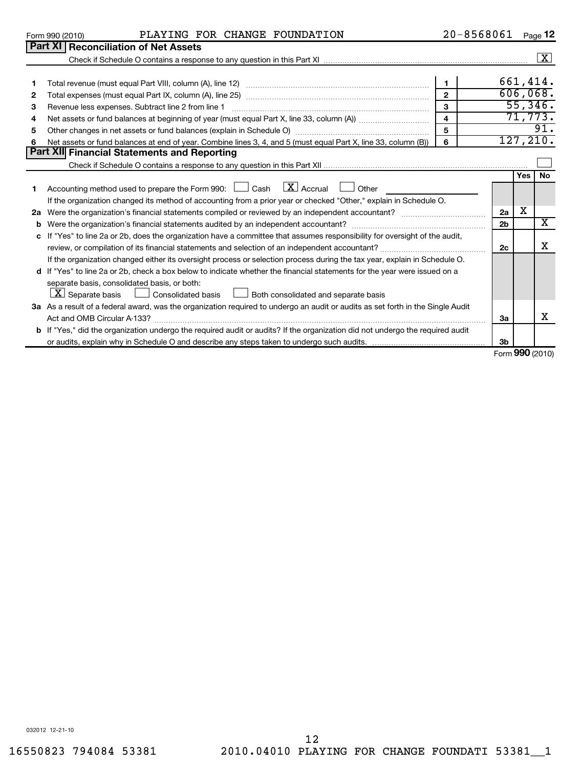| 550823 794084 53381 |  |
|---------------------|--|
|---------------------|--|

separate basis, consolidated basis, or both:

032012 12-21-10

**3a**

**3b**

Form (2010) **990**

X

|    | PLAYING FOR CHANGE FOUNDATION<br>Form 990 (2010)                                                                            | 20-8568061   |                |     | Page 12             |
|----|-----------------------------------------------------------------------------------------------------------------------------|--------------|----------------|-----|---------------------|
|    | <b>Part XI Reconciliation of Net Assets</b>                                                                                 |              |                |     |                     |
|    |                                                                                                                             |              |                |     | $\lfloor x \rfloor$ |
|    |                                                                                                                             |              |                |     |                     |
|    |                                                                                                                             |              |                |     | 661,414.            |
| 2  |                                                                                                                             | $\mathbf{2}$ |                |     | 606,068.            |
| 3  |                                                                                                                             | 3            |                |     | 55,346.             |
| 4  |                                                                                                                             | 4            |                |     | 71,773.             |
| 5  | Other changes in net assets or fund balances (explain in Schedule O)                                                        | 5            |                |     | 91.                 |
| 6  | Net assets or fund balances at end of year. Combine lines 3, 4, and 5 (must equal Part X, line 33, column (B))              | 6            |                |     | 127, 210.           |
|    | Part XII Financial Statements and Reporting                                                                                 |              |                |     |                     |
|    |                                                                                                                             |              |                |     |                     |
|    |                                                                                                                             |              |                | Yes | No.                 |
|    | Accounting method used to prepare the Form 990: $\Box$ Cash $\Box X$ Accrual $\Box$ Other                                   |              |                |     |                     |
|    | If the organization changed its method of accounting from a prior year or checked "Other," explain in Schedule O.           |              |                |     |                     |
| 2a |                                                                                                                             |              | 2a             | х   |                     |
| b  |                                                                                                                             |              | 2 <sub>b</sub> |     | x                   |
|    | c If "Yes" to line 2a or 2b, does the organization have a committee that assumes responsibility for oversight of the audit, |              |                |     |                     |
|    |                                                                                                                             |              | 2c             |     | х                   |
|    | If the organization changed either its oversight process or selection process during the tax year, explain in Schedule O.   |              |                |     |                     |

**3 a** As a result of a federal award, was the organization required to undergo an audit or audits as set forth in the Single Audit

**b** If "Yes," did the organization undergo the required audit or audits? If the organization did not undergo the required audit

Act and OMB Circular A-133? ~~~~~~~~~~~~~~~~~~~~~~~~~~~~~~~~~~~~~~~~~~~~~~~

**d** If "Yes" to line 2a or 2b, check a box below to indicate whether the financial statements for the year were issued on a

 $\boxed{\textbf{X}}$  Separate basis  $\boxed{\phantom{0}}$  Consolidated basis  $\boxed{\phantom{0}}$  Both consolidated and separate basis

or audits, explain why in Schedule O and describe any steps taken to undergo such audits.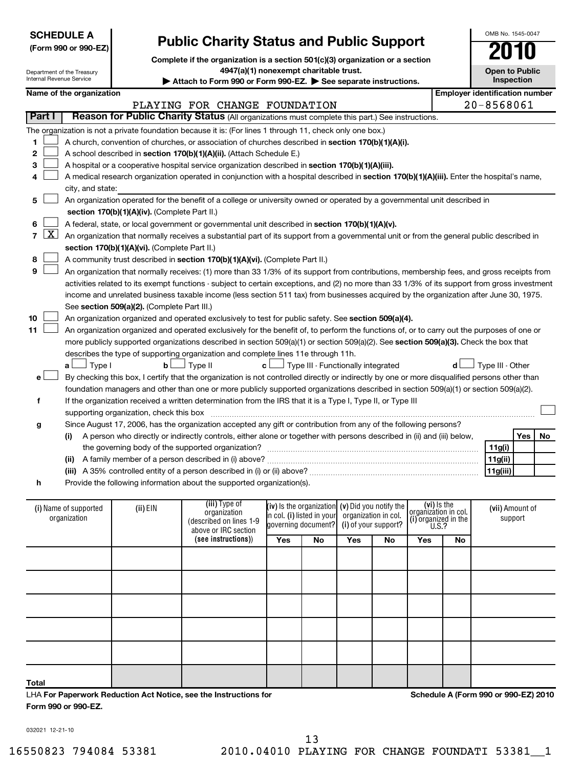| <b>SCHEDULE A</b><br><b>Public Charity Status and Public Support</b> |                            |                                               |                                                                                                                                               |     |                                                   |     | OMB No. 1545-0047    |                                     |    |                                       |                 |    |
|----------------------------------------------------------------------|----------------------------|-----------------------------------------------|-----------------------------------------------------------------------------------------------------------------------------------------------|-----|---------------------------------------------------|-----|----------------------|-------------------------------------|----|---------------------------------------|-----------------|----|
|                                                                      | (Form 990 or 990-EZ)       |                                               |                                                                                                                                               |     |                                                   |     |                      |                                     |    |                                       |                 |    |
|                                                                      |                            |                                               | Complete if the organization is a section 501(c)(3) organization or a section                                                                 |     |                                                   |     |                      |                                     |    |                                       |                 |    |
|                                                                      | Department of the Treasury |                                               | 4947(a)(1) nonexempt charitable trust.                                                                                                        |     |                                                   |     |                      |                                     |    | <b>Open to Public</b>                 |                 |    |
| <b>Internal Revenue Service</b>                                      |                            |                                               | Attach to Form 990 or Form 990-EZ. See separate instructions.                                                                                 |     |                                                   |     |                      |                                     |    |                                       | Inspection      |    |
|                                                                      | Name of the organization   |                                               |                                                                                                                                               |     |                                                   |     |                      |                                     |    | <b>Employer identification number</b> |                 |    |
|                                                                      |                            |                                               | PLAYING FOR CHANGE FOUNDATION                                                                                                                 |     |                                                   |     |                      |                                     |    | 20-8568061                            |                 |    |
| <b>Part I</b>                                                        |                            |                                               | Reason for Public Charity Status (All organizations must complete this part.) See instructions.                                               |     |                                                   |     |                      |                                     |    |                                       |                 |    |
|                                                                      |                            |                                               |                                                                                                                                               |     |                                                   |     |                      |                                     |    |                                       |                 |    |
|                                                                      |                            |                                               | The organization is not a private foundation because it is: (For lines 1 through 11, check only one box.)                                     |     |                                                   |     |                      |                                     |    |                                       |                 |    |
| 1                                                                    |                            |                                               | A church, convention of churches, or association of churches described in section 170(b)(1)(A)(i).                                            |     |                                                   |     |                      |                                     |    |                                       |                 |    |
| 2                                                                    |                            |                                               | A school described in section 170(b)(1)(A)(ii). (Attach Schedule E.)                                                                          |     |                                                   |     |                      |                                     |    |                                       |                 |    |
| 3                                                                    |                            |                                               | A hospital or a cooperative hospital service organization described in section 170(b)(1)(A)(iii).                                             |     |                                                   |     |                      |                                     |    |                                       |                 |    |
|                                                                      |                            |                                               | A medical research organization operated in conjunction with a hospital described in section 170(b)(1)(A)(iii). Enter the hospital's name,    |     |                                                   |     |                      |                                     |    |                                       |                 |    |
|                                                                      | city, and state:           |                                               |                                                                                                                                               |     |                                                   |     |                      |                                     |    |                                       |                 |    |
| 5                                                                    |                            |                                               | An organization operated for the benefit of a college or university owned or operated by a governmental unit described in                     |     |                                                   |     |                      |                                     |    |                                       |                 |    |
|                                                                      |                            | section 170(b)(1)(A)(iv). (Complete Part II.) |                                                                                                                                               |     |                                                   |     |                      |                                     |    |                                       |                 |    |
| 6                                                                    |                            |                                               | A federal, state, or local government or governmental unit described in section 170(b)(1)(A)(v).                                              |     |                                                   |     |                      |                                     |    |                                       |                 |    |
| <u>x  </u><br>7                                                      |                            |                                               | An organization that normally receives a substantial part of its support from a governmental unit or from the general public described in     |     |                                                   |     |                      |                                     |    |                                       |                 |    |
|                                                                      |                            | section 170(b)(1)(A)(vi). (Complete Part II.) |                                                                                                                                               |     |                                                   |     |                      |                                     |    |                                       |                 |    |
| 8                                                                    |                            |                                               | A community trust described in section 170(b)(1)(A)(vi). (Complete Part II.)                                                                  |     |                                                   |     |                      |                                     |    |                                       |                 |    |
| 9                                                                    |                            |                                               | An organization that normally receives: (1) more than 33 1/3% of its support from contributions, membership fees, and gross receipts from     |     |                                                   |     |                      |                                     |    |                                       |                 |    |
|                                                                      |                            |                                               | activities related to its exempt functions - subject to certain exceptions, and (2) no more than 33 1/3% of its support from gross investment |     |                                                   |     |                      |                                     |    |                                       |                 |    |
|                                                                      |                            |                                               | income and unrelated business taxable income (less section 511 tax) from businesses acquired by the organization after June 30, 1975.         |     |                                                   |     |                      |                                     |    |                                       |                 |    |
|                                                                      |                            | See section 509(a)(2). (Complete Part III.)   |                                                                                                                                               |     |                                                   |     |                      |                                     |    |                                       |                 |    |
| 10                                                                   |                            |                                               | An organization organized and operated exclusively to test for public safety. See section 509(a)(4).                                          |     |                                                   |     |                      |                                     |    |                                       |                 |    |
| 11                                                                   |                            |                                               | An organization organized and operated exclusively for the benefit of, to perform the functions of, or to carry out the purposes of one or    |     |                                                   |     |                      |                                     |    |                                       |                 |    |
|                                                                      |                            |                                               | more publicly supported organizations described in section 509(a)(1) or section 509(a)(2). See section 509(a)(3). Check the box that          |     |                                                   |     |                      |                                     |    |                                       |                 |    |
|                                                                      |                            |                                               | describes the type of supporting organization and complete lines 11e through 11h.                                                             |     |                                                   |     |                      |                                     |    |                                       |                 |    |
|                                                                      | $\lrcorner$ Type I<br>a L  | $\mathbf{b}$                                  | 」Type II                                                                                                                                      | c L | $\Box$ Type III - Functionally integrated         |     |                      |                                     |    | Type III - Other                      |                 |    |
| е                                                                    |                            |                                               | By checking this box, I certify that the organization is not controlled directly or indirectly by one or more disqualified persons other than |     |                                                   |     |                      |                                     |    |                                       |                 |    |
|                                                                      |                            |                                               |                                                                                                                                               |     |                                                   |     |                      |                                     |    |                                       |                 |    |
|                                                                      |                            |                                               | foundation managers and other than one or more publicly supported organizations described in section 509(a)(1) or section 509(a)(2).          |     |                                                   |     |                      |                                     |    |                                       |                 |    |
| f                                                                    |                            |                                               | If the organization received a written determination from the IRS that it is a Type I, Type II, or Type III                                   |     |                                                   |     |                      |                                     |    |                                       |                 |    |
|                                                                      |                            | supporting organization, check this box       |                                                                                                                                               |     |                                                   |     |                      |                                     |    |                                       |                 |    |
| g                                                                    |                            |                                               | Since August 17, 2006, has the organization accepted any gift or contribution from any of the following persons?                              |     |                                                   |     |                      |                                     |    |                                       |                 |    |
|                                                                      | (i)                        |                                               | A person who directly or indirectly controls, either alone or together with persons described in (ii) and (iii) below,                        |     |                                                   |     |                      |                                     |    |                                       | Yes             | No |
|                                                                      |                            |                                               | the governing body of the supported organization?                                                                                             |     |                                                   |     |                      |                                     |    | 11g(i)                                |                 |    |
|                                                                      |                            |                                               |                                                                                                                                               |     |                                                   |     |                      |                                     |    | 11g(ii)                               |                 |    |
|                                                                      |                            |                                               |                                                                                                                                               |     |                                                   |     |                      |                                     |    | 11g(iii)                              |                 |    |
| h                                                                    |                            |                                               | Provide the following information about the supported organization(s).                                                                        |     |                                                   |     |                      |                                     |    |                                       |                 |    |
|                                                                      |                            |                                               |                                                                                                                                               |     |                                                   |     |                      |                                     |    |                                       |                 |    |
|                                                                      | (i) Name of supported      | (ii) EIN                                      | (iii) Type of<br>organization                                                                                                                 |     | (iv) is the organization $(v)$ Did you notify the |     |                      | (vi) Is the<br>organization in col. |    |                                       | (vii) Amount of |    |
|                                                                      | organization               |                                               | (described on lines 1-9                                                                                                                       |     | in col. (i) listed in vour <b>l</b>               |     | organization in col. | $(i)$ organized in the U.S.?        |    |                                       | support         |    |
|                                                                      |                            |                                               | above or IRC section                                                                                                                          |     | governing document?                               |     | (i) of your support? |                                     |    |                                       |                 |    |
|                                                                      |                            |                                               | (see instructions))                                                                                                                           | Yes | No                                                | Yes | No                   | Yes                                 | No |                                       |                 |    |
|                                                                      |                            |                                               |                                                                                                                                               |     |                                                   |     |                      |                                     |    |                                       |                 |    |
|                                                                      |                            |                                               |                                                                                                                                               |     |                                                   |     |                      |                                     |    |                                       |                 |    |
|                                                                      |                            |                                               |                                                                                                                                               |     |                                                   |     |                      |                                     |    |                                       |                 |    |
|                                                                      |                            |                                               |                                                                                                                                               |     |                                                   |     |                      |                                     |    |                                       |                 |    |
|                                                                      |                            |                                               |                                                                                                                                               |     |                                                   |     |                      |                                     |    |                                       |                 |    |
|                                                                      |                            |                                               |                                                                                                                                               |     |                                                   |     |                      |                                     |    |                                       |                 |    |

# $\mathsf{l}$

LHA **For Paperwork Reduction Act Notice, see the Instructions for** 

OMB No. 1545-0047

032021 12-21-10

**Form 990 or 990-EZ.**

**Total**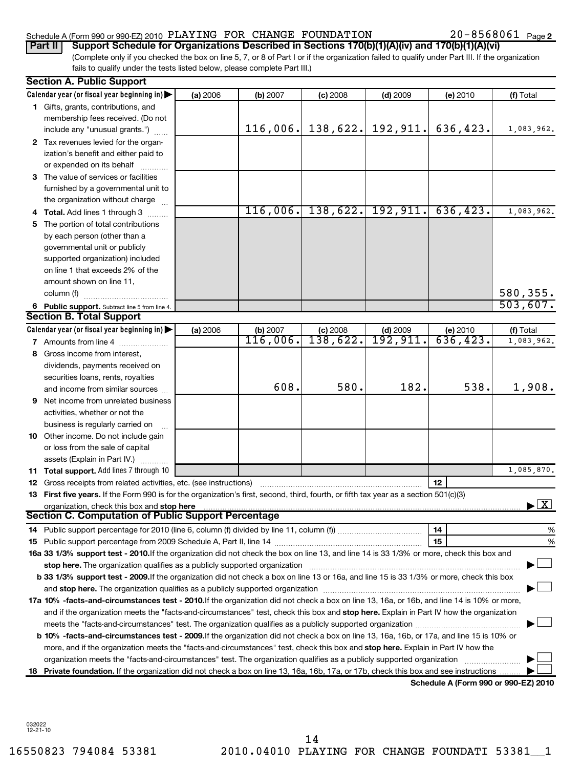# Schedule A (Form 990 or 990-EZ) 2010  $\,$  PLAYING FOR CHANGE FOUNDATION  $\,$  20-8568061  $\,$  Page

20-8568061 Page 2

(Complete only if you checked the box on line 5, 7, or 8 of Part I or if the organization failed to qualify under Part III. If the organization fails to qualify under the tests listed below, please complete Part III.) **Part II Support Schedule for Organizations Described in Sections 170(b)(1)(A)(iv) and 170(b)(1)(A)(vi)**

|   | <b>Section A. Public Support</b>                                                                                                                                                                                               |          |                      |                        |                                 |                                      |                                          |
|---|--------------------------------------------------------------------------------------------------------------------------------------------------------------------------------------------------------------------------------|----------|----------------------|------------------------|---------------------------------|--------------------------------------|------------------------------------------|
|   | Calendar year (or fiscal year beginning in)                                                                                                                                                                                    | (a) 2006 | (b) 2007             | $(c)$ 2008             | $(d)$ 2009                      | (e) 2010                             | (f) Total                                |
|   | 1 Gifts, grants, contributions, and                                                                                                                                                                                            |          |                      |                        |                                 |                                      |                                          |
|   | membership fees received. (Do not                                                                                                                                                                                              |          |                      |                        |                                 |                                      |                                          |
|   | include any "unusual grants.")                                                                                                                                                                                                 |          | 116,006.             |                        | $138,622.$ 192, 911.            | 636,423.                             | 1,083,962.                               |
|   | 2 Tax revenues levied for the organ-                                                                                                                                                                                           |          |                      |                        |                                 |                                      |                                          |
|   | ization's benefit and either paid to                                                                                                                                                                                           |          |                      |                        |                                 |                                      |                                          |
|   | or expended on its behalf                                                                                                                                                                                                      |          |                      |                        |                                 |                                      |                                          |
|   | 3 The value of services or facilities                                                                                                                                                                                          |          |                      |                        |                                 |                                      |                                          |
|   | furnished by a governmental unit to                                                                                                                                                                                            |          |                      |                        |                                 |                                      |                                          |
|   | the organization without charge                                                                                                                                                                                                |          |                      |                        |                                 |                                      |                                          |
|   | 4 Total. Add lines 1 through 3                                                                                                                                                                                                 |          |                      |                        | $116,006$ , 138, 622. 192, 911. | 636, 423.                            | 1,083,962.                               |
|   | 5 The portion of total contributions                                                                                                                                                                                           |          |                      |                        |                                 |                                      |                                          |
|   | by each person (other than a                                                                                                                                                                                                   |          |                      |                        |                                 |                                      |                                          |
|   | governmental unit or publicly                                                                                                                                                                                                  |          |                      |                        |                                 |                                      |                                          |
|   | supported organization) included                                                                                                                                                                                               |          |                      |                        |                                 |                                      |                                          |
|   | on line 1 that exceeds 2% of the                                                                                                                                                                                               |          |                      |                        |                                 |                                      |                                          |
|   | amount shown on line 11,                                                                                                                                                                                                       |          |                      |                        |                                 |                                      |                                          |
|   | column (f)                                                                                                                                                                                                                     |          |                      |                        |                                 |                                      | 580,355.                                 |
|   |                                                                                                                                                                                                                                |          |                      |                        |                                 |                                      | 503,607.                                 |
|   | 6 Public support. Subtract line 5 from line 4.<br><b>Section B. Total Support</b>                                                                                                                                              |          |                      |                        |                                 |                                      |                                          |
|   | Calendar year (or fiscal year beginning in)                                                                                                                                                                                    | (a) 2006 |                      |                        |                                 |                                      | (f) Total                                |
|   |                                                                                                                                                                                                                                |          | (b) 2007<br>116,006. | $(c)$ 2008<br>138,622. | $(d)$ 2009<br>192, 911.         | (e) 2010<br>636, 423.                | 1,083,962.                               |
|   | 7 Amounts from line 4                                                                                                                                                                                                          |          |                      |                        |                                 |                                      |                                          |
|   | 8 Gross income from interest,                                                                                                                                                                                                  |          |                      |                        |                                 |                                      |                                          |
|   | dividends, payments received on                                                                                                                                                                                                |          |                      |                        |                                 |                                      |                                          |
|   | securities loans, rents, royalties                                                                                                                                                                                             |          | 608.                 | 580.                   | 182.                            | 538.                                 | 1,908.                                   |
|   | and income from similar sources                                                                                                                                                                                                |          |                      |                        |                                 |                                      |                                          |
| 9 | Net income from unrelated business                                                                                                                                                                                             |          |                      |                        |                                 |                                      |                                          |
|   | activities, whether or not the                                                                                                                                                                                                 |          |                      |                        |                                 |                                      |                                          |
|   | business is regularly carried on                                                                                                                                                                                               |          |                      |                        |                                 |                                      |                                          |
|   | <b>10</b> Other income. Do not include gain                                                                                                                                                                                    |          |                      |                        |                                 |                                      |                                          |
|   | or loss from the sale of capital                                                                                                                                                                                               |          |                      |                        |                                 |                                      |                                          |
|   | assets (Explain in Part IV.)                                                                                                                                                                                                   |          |                      |                        |                                 |                                      |                                          |
|   | 11 Total support. Add lines 7 through 10                                                                                                                                                                                       |          |                      |                        |                                 |                                      | 1,085,870.                               |
|   | <b>12</b> Gross receipts from related activities, etc. (see instructions)                                                                                                                                                      |          |                      |                        |                                 | 12                                   |                                          |
|   | 13 First five years. If the Form 990 is for the organization's first, second, third, fourth, or fifth tax year as a section 501(c)(3)                                                                                          |          |                      |                        |                                 |                                      |                                          |
|   | organization, check this box and stop here manufactured and content to the state of the content of the state of the content of the content of the content of the content of the content of the content of the content of the c |          |                      |                        |                                 |                                      | $\blacktriangleright$ $\boxed{\text{X}}$ |
|   | Section C. Computation of Public Support Percentage                                                                                                                                                                            |          |                      |                        |                                 |                                      |                                          |
|   |                                                                                                                                                                                                                                |          |                      |                        |                                 | 14                                   | %                                        |
|   |                                                                                                                                                                                                                                |          |                      |                        |                                 | 15                                   | %                                        |
|   | 16a 33 1/3% support test - 2010. If the organization did not check the box on line 13, and line 14 is 33 1/3% or more, check this box and                                                                                      |          |                      |                        |                                 |                                      |                                          |
|   | stop here. The organization qualifies as a publicly supported organization manufaction manufacture or the organization manufacture or the organization manufacture or the organization manufacture or the state of the state o |          |                      |                        |                                 |                                      |                                          |
|   | b 33 1/3% support test - 2009. If the organization did not check a box on line 13 or 16a, and line 15 is 33 1/3% or more, check this box                                                                                       |          |                      |                        |                                 |                                      |                                          |
|   |                                                                                                                                                                                                                                |          |                      |                        |                                 |                                      |                                          |
|   | 17a 10% -facts-and-circumstances test - 2010. If the organization did not check a box on line 13, 16a, or 16b, and line 14 is 10% or more,                                                                                     |          |                      |                        |                                 |                                      |                                          |
|   | and if the organization meets the "facts-and-circumstances" test, check this box and stop here. Explain in Part IV how the organization                                                                                        |          |                      |                        |                                 |                                      |                                          |
|   |                                                                                                                                                                                                                                |          |                      |                        |                                 |                                      |                                          |
|   | b 10% -facts-and-circumstances test - 2009. If the organization did not check a box on line 13, 16a, 16b, or 17a, and line 15 is 10% or                                                                                        |          |                      |                        |                                 |                                      |                                          |
|   | more, and if the organization meets the "facts-and-circumstances" test, check this box and stop here. Explain in Part IV how the                                                                                               |          |                      |                        |                                 |                                      |                                          |
|   |                                                                                                                                                                                                                                |          |                      |                        |                                 |                                      |                                          |
|   | 18 Private foundation. If the organization did not check a box on line 13, 16a, 16b, 17a, or 17b, check this box and see instructions                                                                                          |          |                      |                        |                                 |                                      |                                          |
|   |                                                                                                                                                                                                                                |          |                      |                        |                                 | Schodule A (Form 000 or 000 F7) 2010 |                                          |

**Schedule A (Form 990 or 990-EZ) 2010**

032022 12-21-10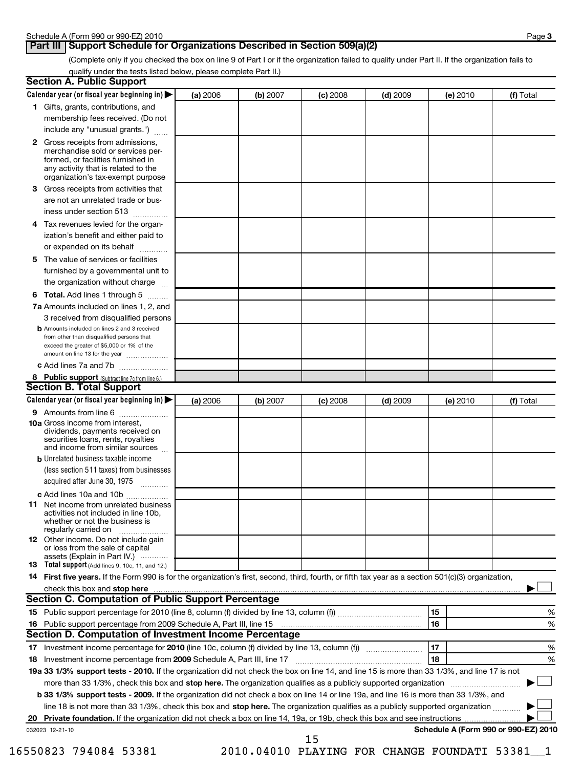# **Part III** Support Schedule for Organizations Described in Section 509(a)(2)

(Complete only if you checked the box on line 9 of Part I or if the organization failed to qualify under Part II. If the organization fails to qualify under the tests listed below, please complete Part II.)

| <b>Section A. Public Support</b>                                                                                                                                                                                               |          |          |            |            |                                      |           |
|--------------------------------------------------------------------------------------------------------------------------------------------------------------------------------------------------------------------------------|----------|----------|------------|------------|--------------------------------------|-----------|
| Calendar year (or fiscal year beginning in)                                                                                                                                                                                    | (a) 2006 | (b) 2007 | $(c)$ 2008 | $(d)$ 2009 | (e) 2010                             | (f) Total |
| 1 Gifts, grants, contributions, and                                                                                                                                                                                            |          |          |            |            |                                      |           |
| membership fees received. (Do not                                                                                                                                                                                              |          |          |            |            |                                      |           |
| include any "unusual grants.")                                                                                                                                                                                                 |          |          |            |            |                                      |           |
| <b>2</b> Gross receipts from admissions,<br>merchandise sold or services per-<br>formed, or facilities furnished in<br>any activity that is related to the<br>organization's tax-exempt purpose                                |          |          |            |            |                                      |           |
| 3 Gross receipts from activities that<br>are not an unrelated trade or bus-                                                                                                                                                    |          |          |            |            |                                      |           |
| iness under section 513                                                                                                                                                                                                        |          |          |            |            |                                      |           |
| Tax revenues levied for the organ-<br>4<br>ization's benefit and either paid to<br>or expended on its behalf                                                                                                                   |          |          |            |            |                                      |           |
| 5 The value of services or facilities                                                                                                                                                                                          |          |          |            |            |                                      |           |
| furnished by a governmental unit to<br>the organization without charge                                                                                                                                                         |          |          |            |            |                                      |           |
| <b>6 Total.</b> Add lines 1 through 5                                                                                                                                                                                          |          |          |            |            |                                      |           |
| 7a Amounts included on lines 1, 2, and<br>3 received from disqualified persons                                                                                                                                                 |          |          |            |            |                                      |           |
| <b>b</b> Amounts included on lines 2 and 3 received<br>from other than disqualified persons that<br>exceed the greater of \$5,000 or 1% of the<br>amount on line 13 for the year                                               |          |          |            |            |                                      |           |
| c Add lines 7a and 7b                                                                                                                                                                                                          |          |          |            |            |                                      |           |
| 8 Public support (Subtract line 7c from line 6.)                                                                                                                                                                               |          |          |            |            |                                      |           |
| <b>Section B. Total Support</b>                                                                                                                                                                                                |          |          |            |            |                                      |           |
| Calendar year (or fiscal year beginning in)                                                                                                                                                                                    | (a) 2006 | (b) 2007 | $(c)$ 2008 | $(d)$ 2009 | (e) 2010                             | (f) Total |
| 9 Amounts from line 6                                                                                                                                                                                                          |          |          |            |            |                                      |           |
| <b>10a</b> Gross income from interest,<br>dividends, payments received on<br>securities loans, rents, royalties<br>and income from similar sources                                                                             |          |          |            |            |                                      |           |
| <b>b</b> Unrelated business taxable income                                                                                                                                                                                     |          |          |            |            |                                      |           |
| (less section 511 taxes) from businesses<br>acquired after June 30, 1975                                                                                                                                                       |          |          |            |            |                                      |           |
| c Add lines 10a and 10b                                                                                                                                                                                                        |          |          |            |            |                                      |           |
| <b>11</b> Net income from unrelated business<br>activities not included in line 10b,<br>whether or not the business is<br>regularly carried on                                                                                 |          |          |            |            |                                      |           |
| 12 Other income. Do not include gain<br>or loss from the sale of capital<br>assets (Explain in Part IV.)                                                                                                                       |          |          |            |            |                                      |           |
| 13 Total support (Add lines 9, 10c, 11, and 12.)                                                                                                                                                                               |          |          |            |            |                                      |           |
| 14 First five years. If the Form 990 is for the organization's first, second, third, fourth, or fifth tax year as a section 501(c)(3) organization,                                                                            |          |          |            |            |                                      |           |
| check this box and stop here manufactured and content to the state of the state of the state of the state of the state of the state of the state of the state of the state of the state of the state of the state of the state |          |          |            |            |                                      |           |
| Section C. Computation of Public Support Percentage                                                                                                                                                                            |          |          |            |            |                                      |           |
|                                                                                                                                                                                                                                |          |          |            |            | 15                                   | %         |
|                                                                                                                                                                                                                                |          |          |            |            | 16                                   | %         |
| Section D. Computation of Investment Income Percentage                                                                                                                                                                         |          |          |            |            |                                      |           |
|                                                                                                                                                                                                                                |          |          |            |            | 17                                   | %         |
| 18 Investment income percentage from 2009 Schedule A, Part III, line 17                                                                                                                                                        |          |          |            |            | 18                                   | %         |
| 19a 33 1/3% support tests - 2010. If the organization did not check the box on line 14, and line 15 is more than 33 1/3%, and line 17 is not                                                                                   |          |          |            |            |                                      |           |
| more than 33 1/3%, check this box and stop here. The organization qualifies as a publicly supported organization                                                                                                               |          |          |            |            |                                      |           |
| b 33 1/3% support tests - 2009. If the organization did not check a box on line 14 or line 19a, and line 16 is more than 33 1/3%, and                                                                                          |          |          |            |            |                                      |           |
| line 18 is not more than 33 1/3%, check this box and stop here. The organization qualifies as a publicly supported organization                                                                                                |          |          |            |            |                                      |           |
| 20                                                                                                                                                                                                                             |          |          |            |            |                                      |           |
| 032023 12-21-10                                                                                                                                                                                                                |          |          | 15         |            | Schedule A (Form 990 or 990-EZ) 2010 |           |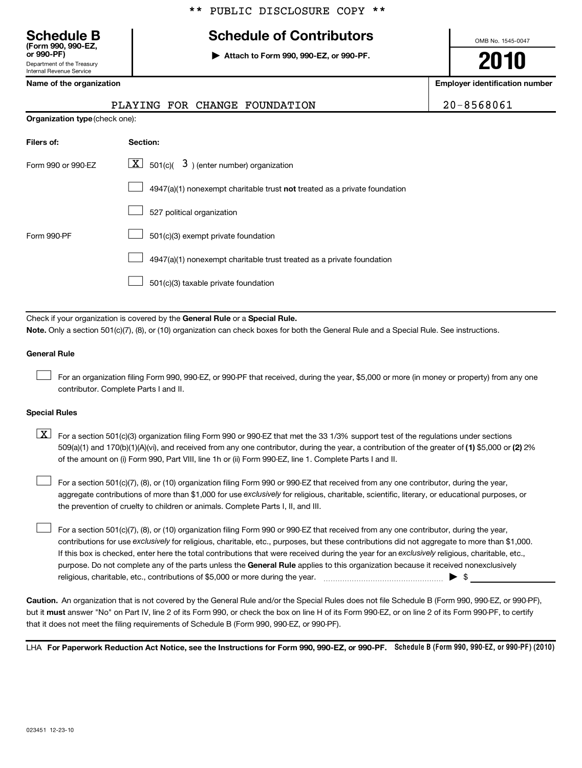# **Schedule B Schedule of Contributors**

**or 990-PF) | Attach to Form 990, 990-EZ, or 990-PF.**

PLAYING FOR CHANGE FOUNDATION 20-8568061

OMB No. 1545-0047

**2010**

**Name of the organization Employer identification number**

|  | Name of the organization |
|--|--------------------------|
|  |                          |

Department of the Treasury Internal Revenue Service

**(Form 990, 990-EZ,**

| TUAIING TON CHANGE TOONDAIION<br>20-090001 |                                                                           |  |  |  |  |  |
|--------------------------------------------|---------------------------------------------------------------------------|--|--|--|--|--|
|                                            | <b>Organization type (check one):</b>                                     |  |  |  |  |  |
| Filers of:                                 | Section:                                                                  |  |  |  |  |  |
| Form 990 or 990-EZ                         | $\lfloor \underline{X} \rfloor$ 501(c)( 3) (enter number) organization    |  |  |  |  |  |
|                                            | 4947(a)(1) nonexempt charitable trust not treated as a private foundation |  |  |  |  |  |
|                                            | 527 political organization                                                |  |  |  |  |  |
| Form 990-PF                                | 501(c)(3) exempt private foundation                                       |  |  |  |  |  |
|                                            | 4947(a)(1) nonexempt charitable trust treated as a private foundation     |  |  |  |  |  |
|                                            | 501(c)(3) taxable private foundation                                      |  |  |  |  |  |

Check if your organization is covered by the General Rule or a Special Rule. **Note.**  Only a section 501(c)(7), (8), or (10) organization can check boxes for both the General Rule and a Special Rule. See instructions.

### **General Rule**

For an organization filing Form 990, 990-EZ, or 990-PF that received, during the year, \$5,000 or more (in money or property) from any one contributor. Complete Parts I and II.  $\left\vert \cdot\right\vert$ 

#### **Special Rules**

509(a)(1) and 170(b)(1)(A)(vi), and received from any one contributor, during the year, a contribution of the greater of (1) \$5,000 or (2) 2%  $\boxed{\textbf{X}}$  For a section 501(c)(3) organization filing Form 990 or 990-EZ that met the 33 1/3% support test of the regulations under sections of the amount on (i) Form 990, Part VIII, line 1h or (ii) Form 990-EZ, line 1. Complete Parts I and II.

aggregate contributions of more than \$1,000 for use exclusively for religious, charitable, scientific, literary, or educational purposes, or  $\perp$  For a section 501(c)(7), (8), or (10) organization filing Form 990 or 990-EZ that received from any one contributor, during the year, the prevention of cruelty to children or animals. Complete Parts I, II, and III.  $\left\vert \cdot\right\vert$ 

purpose. Do not complete any of the parts unless the General Rule applies to this organization because it received nonexclusively contributions for use exclusively for religious, charitable, etc., purposes, but these contributions did not aggregate to more than \$1,000. If this box is checked, enter here the total contributions that were received during the year for an exclusively religious, charitable, etc., For a section 501(c)(7), (8), or (10) organization filing Form 990 or 990-EZ that received from any one contributor, during the year, religious, charitable, etc., contributions of \$5,000 or more during the year. ~~~~~~~~~~~~~~~~~ | \$  $\left\vert \cdot\right\vert$ 

**Caution.** An organization that is not covered by the General Rule and/or the Special Rules does not file Schedule B (Form 990, 990-EZ, or 990-PF), but it **must** answer "No" on Part IV, line 2 of its Form 990, or check the box on line H of its Form 990-EZ, or on line 2 of its Form 990-PF, to certify that it does not meet the filing requirements of Schedule B (Form 990, 990-EZ, or 990-PF).

LHA For Paperwork Reduction Act Notice, see the Instructions for Form 990, 990-EZ, or 990-PF. Schedule B (Form 990, 990-EZ, or 990-PF) (2010)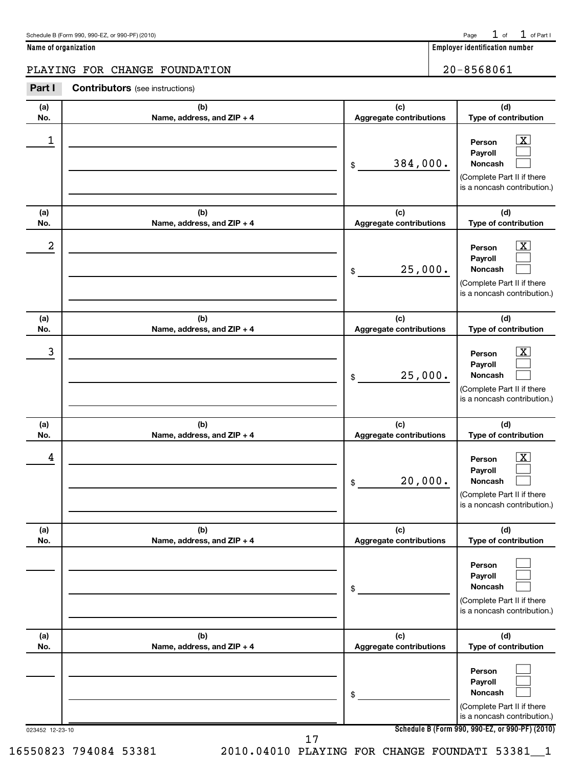| Schedule B (Form 990, 990-EZ, or 990-PF) (2010) |  |  | Page $1$ of $1$ of Part I |
|-------------------------------------------------|--|--|---------------------------|
|-------------------------------------------------|--|--|---------------------------|

**Name of organization Employer identification number**

# PLAYING FOR CHANGE FOUNDATION 20-8568061

| Part I | <b>Contributors</b> (see instructions) |  |
|--------|----------------------------------------|--|
|--------|----------------------------------------|--|

| (a)<br>No.      | (b)<br>Name, address, and ZIP + 4 | (c)<br>Aggregate contributions        | (d)<br>Type of contribution                                                                                                                         |
|-----------------|-----------------------------------|---------------------------------------|-----------------------------------------------------------------------------------------------------------------------------------------------------|
| 1               |                                   | 384,000.<br>$\frac{1}{2}$             | <u>x</u><br>Person<br>Payroll<br>Noncash<br>(Complete Part II if there<br>is a noncash contribution.)                                               |
| (a)<br>No.      | (b)<br>Name, address, and ZIP + 4 | (c)<br>Aggregate contributions        | (d)<br>Type of contribution                                                                                                                         |
| 2               |                                   | 25,000.<br>\$                         | $\mathbf{X}$<br>Person<br>Payroll<br><b>Noncash</b><br>(Complete Part II if there<br>is a noncash contribution.)                                    |
| (a)<br>No.      | (b)<br>Name, address, and ZIP + 4 | (c)<br>Aggregate contributions        | (d)<br>Type of contribution                                                                                                                         |
| 3               |                                   | 25,000.<br>\$                         | <u>x</u><br>Person<br>Payroll<br><b>Noncash</b><br>(Complete Part II if there<br>is a noncash contribution.)                                        |
| (a)<br>No.      | (b)<br>Name, address, and ZIP + 4 | (c)<br>Aggregate contributions        | (d)<br>Type of contribution                                                                                                                         |
| 4               |                                   | 20,000.<br>\$                         | <u>x</u><br>Person<br>Payroll<br><b>Noncash</b><br>(Complete Part II if there<br>is a noncash contribution.)                                        |
| (a)<br>No.      | (b)<br>Name, address, and ZIP + 4 | (c)<br><b>Aggregate contributions</b> | (d)<br>Type of contribution                                                                                                                         |
|                 |                                   | \$                                    | Person<br>Payroll<br>Noncash<br>(Complete Part II if there<br>is a noncash contribution.)                                                           |
| (a)<br>No.      | (b)<br>Name, address, and ZIP + 4 | (c)<br>Aggregate contributions        | (d)<br>Type of contribution                                                                                                                         |
| 023452 12-23-10 |                                   | \$                                    | Person<br>Payroll<br><b>Noncash</b><br>(Complete Part II if there<br>is a noncash contribution.)<br>Schedule B (Form 990, 990-EZ, or 990-PF) (2010) |
|                 | 17                                |                                       |                                                                                                                                                     |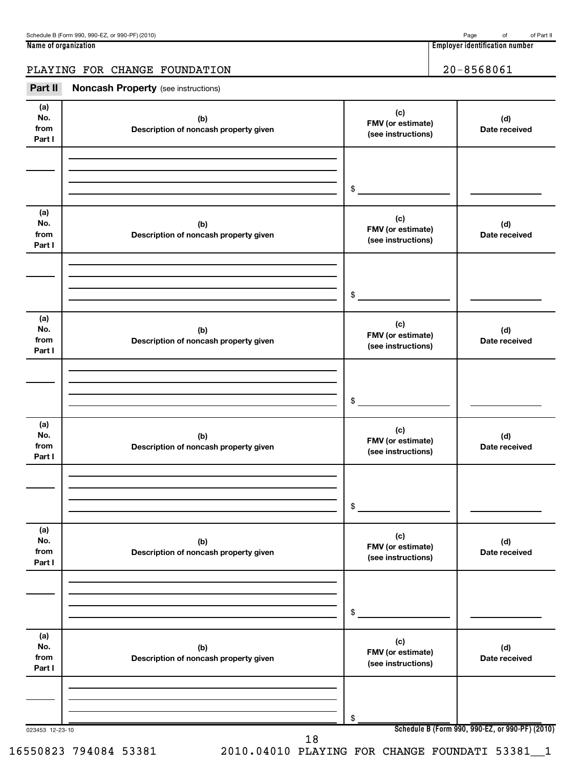**Name of organization Employer identification number**

# PLAYING FOR CHANGE FOUNDATION 20-8568061

| Part II                      | <b>Noncash Property</b> (see instructions)   |                                                |                                                 |
|------------------------------|----------------------------------------------|------------------------------------------------|-------------------------------------------------|
| (a)<br>No.<br>from<br>Part I | (b)<br>Description of noncash property given | (c)<br>FMV (or estimate)<br>(see instructions) | (d)<br>Date received                            |
|                              |                                              | \$                                             |                                                 |
| (a)<br>No.<br>from<br>Part I | (b)<br>Description of noncash property given | (c)<br>FMV (or estimate)<br>(see instructions) | (d)<br>Date received                            |
|                              |                                              | \$                                             |                                                 |
| (a)<br>No.<br>from<br>Part I | (b)<br>Description of noncash property given | (c)<br>FMV (or estimate)<br>(see instructions) | (d)<br>Date received                            |
|                              |                                              | \$                                             |                                                 |
| (a)<br>No.<br>from<br>Part I | (b)<br>Description of noncash property given | (c)<br>FMV (or estimate)<br>(see instructions) | (d)<br>Date received                            |
|                              |                                              | \$                                             |                                                 |
| (a)<br>No.<br>from<br>Part I | (b)<br>Description of noncash property given | (c)<br>FMV (or estimate)<br>(see instructions) | (d)<br>Date received                            |
|                              |                                              | \$                                             |                                                 |
| (a)<br>No.<br>from<br>Part I | (b)<br>Description of noncash property given | (c)<br>FMV (or estimate)<br>(see instructions) | (d)<br>Date received                            |
|                              |                                              | \$                                             |                                                 |
| 023453 12-23-10              | 18                                           |                                                | Schedule B (Form 990, 990-EZ, or 990-PF) (2010) |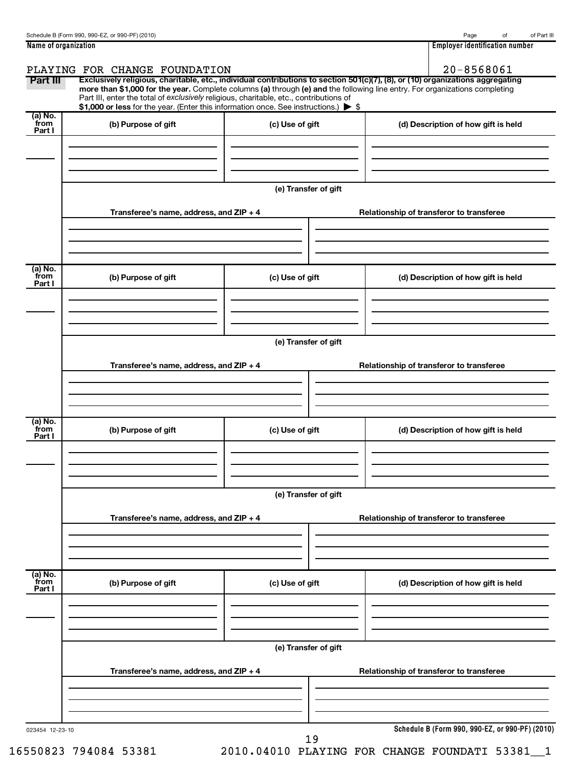| Name of organization | 1 1 1 1<br>Emplover<br>r identification number. |
|----------------------|-------------------------------------------------|

| Part III                    | Exclusively religious, charitable, etc., individual contributions to section 501(c)(7), (8), or (10) organizations aggregating<br>more than \$1,000 for the year. Complete columns (a) through (e) and the following line entry. For organizations completing<br>Part III, enter the total of exclusively religious, charitable, etc., contributions of<br>\$1,000 or less for the year. (Enter this information once. See instructions.) > \$ |                      |                                                 |
|-----------------------------|------------------------------------------------------------------------------------------------------------------------------------------------------------------------------------------------------------------------------------------------------------------------------------------------------------------------------------------------------------------------------------------------------------------------------------------------|----------------------|-------------------------------------------------|
| $(a)$ No.<br>from<br>Part I | (b) Purpose of gift                                                                                                                                                                                                                                                                                                                                                                                                                            | (c) Use of gift      | (d) Description of how gift is held             |
|                             | Transferee's name, address, and ZIP + 4                                                                                                                                                                                                                                                                                                                                                                                                        | (e) Transfer of gift | Relationship of transferor to transferee        |
|                             |                                                                                                                                                                                                                                                                                                                                                                                                                                                |                      |                                                 |
| (a) No.<br>from<br>Part I   | (b) Purpose of gift                                                                                                                                                                                                                                                                                                                                                                                                                            | (c) Use of gift      | (d) Description of how gift is held             |
|                             |                                                                                                                                                                                                                                                                                                                                                                                                                                                | (e) Transfer of gift |                                                 |
|                             | Transferee's name, address, and ZIP + 4                                                                                                                                                                                                                                                                                                                                                                                                        |                      | Relationship of transferor to transferee        |
| (a) No.<br>from<br>Part I   | (b) Purpose of gift                                                                                                                                                                                                                                                                                                                                                                                                                            | (c) Use of gift      | (d) Description of how gift is held             |
|                             |                                                                                                                                                                                                                                                                                                                                                                                                                                                | (e) Transfer of gift |                                                 |
|                             | Transferee's name, address, and $ZIP + 4$                                                                                                                                                                                                                                                                                                                                                                                                      |                      | Relationship of transferor to transferee        |
| (a) No.<br>from<br>Part I   | (b) Purpose of gift                                                                                                                                                                                                                                                                                                                                                                                                                            | (c) Use of gift      | (d) Description of how gift is held             |
|                             |                                                                                                                                                                                                                                                                                                                                                                                                                                                | (e) Transfer of gift |                                                 |
|                             | Transferee's name, address, and $ZIP + 4$                                                                                                                                                                                                                                                                                                                                                                                                      |                      | Relationship of transferor to transferee        |
|                             |                                                                                                                                                                                                                                                                                                                                                                                                                                                |                      | Schedule B (Form 990, 990-EZ, or 990-PF) (2010) |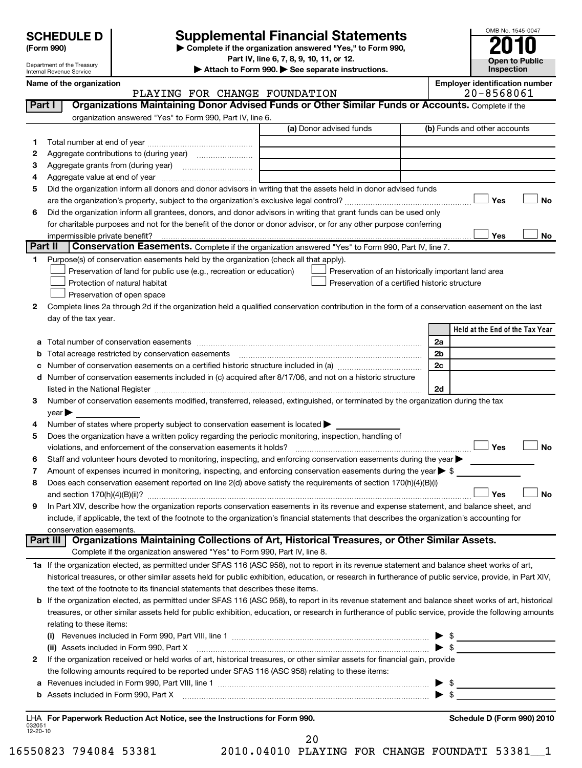| <b>SCHEDULE D</b> |  |
|-------------------|--|
|                   |  |

Department of the Treasury Internal Revenue Service

# **Supplemental Financial Statements**

**(Form 990) | Complete if the organization answered "Yes," to Form 990,**

**Part IV, line 6, 7, 8, 9, 10, 11, or 12. | Attach to Form 990. | See separate instructions.**

**Inspection Name of the oriental conducts of the oriental conducts of the oriental conducts of the oriental conducts of the oriental conducts of**  $\blacksquare$ 

OMB No. 1545-0047

**Open to Public**

|  | Name of the organization |
|--|--------------------------|
|--|--------------------------|

|                    | PLAYING FOR CHANGE FOUNDATION                                                                                                                                                                                                           |                                                | 20-8568061                                          |
|--------------------|-----------------------------------------------------------------------------------------------------------------------------------------------------------------------------------------------------------------------------------------|------------------------------------------------|-----------------------------------------------------|
| Part I             | Organizations Maintaining Donor Advised Funds or Other Similar Funds or Accounts. Complete if the                                                                                                                                       |                                                |                                                     |
|                    | organization answered "Yes" to Form 990, Part IV, line 6.                                                                                                                                                                               |                                                |                                                     |
|                    | (a) Donor advised funds                                                                                                                                                                                                                 |                                                | (b) Funds and other accounts                        |
| 1.                 |                                                                                                                                                                                                                                         |                                                |                                                     |
| 2                  |                                                                                                                                                                                                                                         |                                                |                                                     |
| З                  |                                                                                                                                                                                                                                         |                                                |                                                     |
| 4                  |                                                                                                                                                                                                                                         |                                                |                                                     |
| 5                  | Did the organization inform all donors and donor advisors in writing that the assets held in donor advised funds                                                                                                                        |                                                |                                                     |
|                    |                                                                                                                                                                                                                                         |                                                | Yes<br>No                                           |
| 6                  | Did the organization inform all grantees, donors, and donor advisors in writing that grant funds can be used only                                                                                                                       |                                                |                                                     |
|                    | for charitable purposes and not for the benefit of the donor or donor advisor, or for any other purpose conferring                                                                                                                      |                                                |                                                     |
|                    |                                                                                                                                                                                                                                         |                                                | Yes<br>No                                           |
|                    | Part II<br><b>Conservation Easements.</b> Complete if the organization answered "Yes" to Form 990, Part IV, line 7.                                                                                                                     |                                                |                                                     |
| 1.                 | Purpose(s) of conservation easements held by the organization (check all that apply).                                                                                                                                                   |                                                |                                                     |
|                    | Preservation of land for public use (e.g., recreation or education)                                                                                                                                                                     |                                                | Preservation of an historically important land area |
|                    | Protection of natural habitat                                                                                                                                                                                                           | Preservation of a certified historic structure |                                                     |
|                    | Preservation of open space                                                                                                                                                                                                              |                                                |                                                     |
| 2                  | Complete lines 2a through 2d if the organization held a qualified conservation contribution in the form of a conservation easement on the last                                                                                          |                                                |                                                     |
|                    | day of the tax year.                                                                                                                                                                                                                    |                                                |                                                     |
|                    |                                                                                                                                                                                                                                         |                                                | Held at the End of the Tax Year                     |
| а                  |                                                                                                                                                                                                                                         |                                                | 2a                                                  |
| b                  | Total acreage restricted by conservation easements                                                                                                                                                                                      |                                                | 2 <sub>b</sub>                                      |
| с                  | Number of conservation easements on a certified historic structure included in (a) manufacture included in (a)                                                                                                                          |                                                | 2c                                                  |
| d                  | Number of conservation easements included in (c) acquired after 8/17/06, and not on a historic structure                                                                                                                                |                                                |                                                     |
|                    | listed in the National Register [111] Marshall Register [11] Marshall Register [11] Marshall Register [11] Marshall Register [11] Marshall Register [11] Marshall Register [11] Marshall Register [11] Marshall Register [11]           |                                                | 2d                                                  |
| 3                  | Number of conservation easements modified, transferred, released, extinguished, or terminated by the organization during the tax                                                                                                        |                                                |                                                     |
| 4                  | $year \blacktriangleright$<br>Number of states where property subject to conservation easement is located >                                                                                                                             |                                                |                                                     |
| 5                  | Does the organization have a written policy regarding the periodic monitoring, inspection, handling of                                                                                                                                  |                                                |                                                     |
|                    | violations, and enforcement of the conservation easements it holds?                                                                                                                                                                     |                                                | Yes<br><b>No</b>                                    |
| 6                  | Staff and volunteer hours devoted to monitoring, inspecting, and enforcing conservation easements during the year                                                                                                                       |                                                |                                                     |
| 7                  | Amount of expenses incurred in monitoring, inspecting, and enforcing conservation easements during the year $\triangleright$ \$                                                                                                         |                                                |                                                     |
| 8                  | Does each conservation easement reported on line 2(d) above satisfy the requirements of section 170(h)(4)(B)(i)                                                                                                                         |                                                |                                                     |
|                    |                                                                                                                                                                                                                                         |                                                | <b>No</b><br>Yes                                    |
| 9                  | In Part XIV, describe how the organization reports conservation easements in its revenue and expense statement, and balance sheet, and                                                                                                  |                                                |                                                     |
|                    | include, if applicable, the text of the footnote to the organization's financial statements that describes the organization's accounting for                                                                                            |                                                |                                                     |
|                    | conservation easements.                                                                                                                                                                                                                 |                                                |                                                     |
|                    | Organizations Maintaining Collections of Art, Historical Treasures, or Other Similar Assets.<br>Part III                                                                                                                                |                                                |                                                     |
|                    | Complete if the organization answered "Yes" to Form 990, Part IV, line 8.                                                                                                                                                               |                                                |                                                     |
|                    | 1a If the organization elected, as permitted under SFAS 116 (ASC 958), not to report in its revenue statement and balance sheet works of art,                                                                                           |                                                |                                                     |
|                    | historical treasures, or other similar assets held for public exhibition, education, or research in furtherance of public service, provide, in Part XIV,                                                                                |                                                |                                                     |
|                    | the text of the footnote to its financial statements that describes these items.<br>b If the organization elected, as permitted under SFAS 116 (ASC 958), to report in its revenue statement and balance sheet works of art, historical |                                                |                                                     |
|                    | treasures, or other similar assets held for public exhibition, education, or research in furtherance of public service, provide the following amounts                                                                                   |                                                |                                                     |
|                    | relating to these items:                                                                                                                                                                                                                |                                                |                                                     |
|                    |                                                                                                                                                                                                                                         |                                                |                                                     |
|                    | (ii) Assets included in Form 990, Part X                                                                                                                                                                                                |                                                | $\blacktriangleright$ s                             |
| 2                  | If the organization received or held works of art, historical treasures, or other similar assets for financial gain, provide                                                                                                            |                                                |                                                     |
|                    | the following amounts required to be reported under SFAS 116 (ASC 958) relating to these items:                                                                                                                                         |                                                |                                                     |
|                    |                                                                                                                                                                                                                                         |                                                |                                                     |
|                    |                                                                                                                                                                                                                                         |                                                |                                                     |
|                    |                                                                                                                                                                                                                                         |                                                |                                                     |
|                    | LHA For Paperwork Reduction Act Notice, see the Instructions for Form 990.                                                                                                                                                              |                                                | Schedule D (Form 990) 2010                          |
| 032051<br>12-20-10 |                                                                                                                                                                                                                                         |                                                |                                                     |

20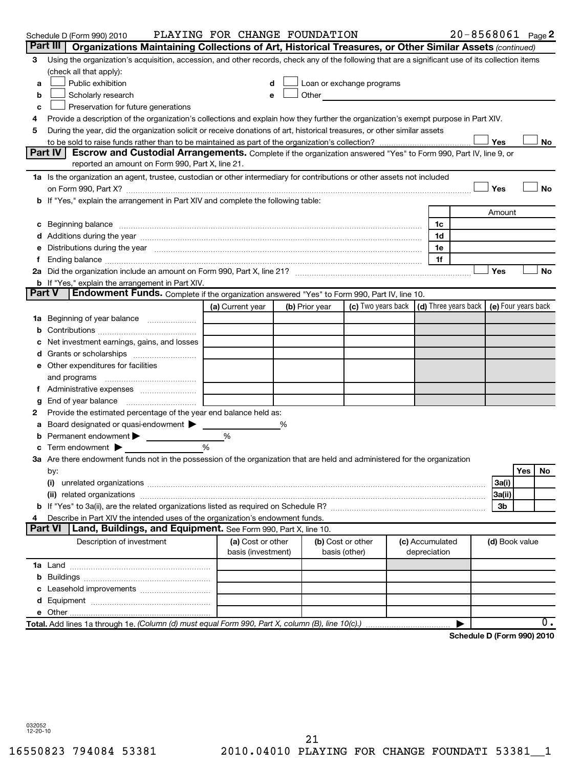|    | Schedule D (Form 990) 2010                                                                                                                                                                                                     | PLAYING FOR CHANGE FOUNDATION |                |               |                            |  |                                                 |                | 20-8568061 Page 2   |
|----|--------------------------------------------------------------------------------------------------------------------------------------------------------------------------------------------------------------------------------|-------------------------------|----------------|---------------|----------------------------|--|-------------------------------------------------|----------------|---------------------|
|    | Part III  <br>Organizations Maintaining Collections of Art, Historical Treasures, or Other Similar Assets (continued)                                                                                                          |                               |                |               |                            |  |                                                 |                |                     |
| 3  | Using the organization's acquisition, accession, and other records, check any of the following that are a significant use of its collection items                                                                              |                               |                |               |                            |  |                                                 |                |                     |
|    | (check all that apply):                                                                                                                                                                                                        |                               |                |               |                            |  |                                                 |                |                     |
| a  | Public exhibition<br>Loan or exchange programs                                                                                                                                                                                 |                               |                |               |                            |  |                                                 |                |                     |
| b  | Scholarly research                                                                                                                                                                                                             | $\mathbf e$                   |                |               | Other <u>Communication</u> |  |                                                 |                |                     |
| c  | Preservation for future generations                                                                                                                                                                                            |                               |                |               |                            |  |                                                 |                |                     |
| 4  | Provide a description of the organization's collections and explain how they further the organization's exempt purpose in Part XIV.                                                                                            |                               |                |               |                            |  |                                                 |                |                     |
| 5  | During the year, did the organization solicit or receive donations of art, historical treasures, or other similar assets                                                                                                       |                               |                |               |                            |  |                                                 |                |                     |
|    |                                                                                                                                                                                                                                |                               |                |               |                            |  |                                                 | Yes            | No                  |
|    | Part IV<br>Escrow and Custodial Arrangements. Complete if the organization answered "Yes" to Form 990, Part IV, line 9, or                                                                                                     |                               |                |               |                            |  |                                                 |                |                     |
|    | reported an amount on Form 990, Part X, line 21.                                                                                                                                                                               |                               |                |               |                            |  |                                                 |                |                     |
|    | 1a Is the organization an agent, trustee, custodian or other intermediary for contributions or other assets not included                                                                                                       |                               |                |               |                            |  |                                                 |                |                     |
|    | on Form 990, Part X? [11] matter and the contract of the contract of the contract of the contract of the contract of the contract of the contract of the contract of the contract of the contract of the contract of the contr |                               |                |               |                            |  |                                                 | Yes            | <b>No</b>           |
|    | <b>b</b> If "Yes," explain the arrangement in Part XIV and complete the following table:                                                                                                                                       |                               |                |               |                            |  |                                                 |                |                     |
|    |                                                                                                                                                                                                                                |                               |                |               |                            |  |                                                 | Amount         |                     |
| с  | Beginning balance manufactured and contain an account of the state of the state of the state of the state of the state of the state of the state of the state of the state of the state of the state of the state of the state |                               |                |               |                            |  | 1c                                              |                |                     |
|    |                                                                                                                                                                                                                                |                               |                |               |                            |  | 1d                                              |                |                     |
| е  | Distributions during the year manufactured and continuum control of the state of the control of the state of the state of the state of the state of the state of the state of the state of the state of the state of the state |                               |                |               |                            |  | 1е                                              |                |                     |
| f. |                                                                                                                                                                                                                                |                               |                |               |                            |  | 1f                                              |                |                     |
|    |                                                                                                                                                                                                                                |                               |                |               |                            |  |                                                 | Yes            | No                  |
|    | <b>b</b> If "Yes," explain the arrangement in Part XIV.                                                                                                                                                                        |                               |                |               |                            |  |                                                 |                |                     |
|    | Endowment Funds. Complete if the organization answered "Yes" to Form 990, Part IV, line 10.<br><b>Part V</b>                                                                                                                   |                               |                |               |                            |  |                                                 |                |                     |
|    |                                                                                                                                                                                                                                | (a) Current year              | (b) Prior year |               |                            |  | (c) Two years back $ $ (d) Three years back $ $ |                | (e) Four years back |
|    | 1a Beginning of year balance                                                                                                                                                                                                   |                               |                |               |                            |  |                                                 |                |                     |
| b  |                                                                                                                                                                                                                                |                               |                |               |                            |  |                                                 |                |                     |
| c  | Net investment earnings, gains, and losses                                                                                                                                                                                     |                               |                |               |                            |  |                                                 |                |                     |
| d  | Grants or scholarships <i>manually contained</i>                                                                                                                                                                               |                               |                |               |                            |  |                                                 |                |                     |
|    | e Other expenditures for facilities                                                                                                                                                                                            |                               |                |               |                            |  |                                                 |                |                     |
|    | and programs                                                                                                                                                                                                                   |                               |                |               |                            |  |                                                 |                |                     |
|    |                                                                                                                                                                                                                                |                               |                |               |                            |  |                                                 |                |                     |
| g  |                                                                                                                                                                                                                                |                               |                |               |                            |  |                                                 |                |                     |
| 2  | Provide the estimated percentage of the year end balance held as:                                                                                                                                                              |                               |                |               |                            |  |                                                 |                |                     |
| а  | Board designated or quasi-endowment >                                                                                                                                                                                          |                               | %              |               |                            |  |                                                 |                |                     |
|    | <b>b</b> Permanent endowment $\blacktriangleright$                                                                                                                                                                             | %                             |                |               |                            |  |                                                 |                |                     |
| с  | Term endowment $\blacktriangleright$                                                                                                                                                                                           | %                             |                |               |                            |  |                                                 |                |                     |
|    | 3a Are there endowment funds not in the possession of the organization that are held and administered for the organization                                                                                                     |                               |                |               |                            |  |                                                 |                |                     |
|    | by:                                                                                                                                                                                                                            |                               |                |               |                            |  |                                                 |                | Yes<br>No           |
|    | (i)                                                                                                                                                                                                                            |                               |                |               |                            |  |                                                 | 3a(i)          |                     |
|    |                                                                                                                                                                                                                                |                               |                |               |                            |  |                                                 | 3a(ii)         |                     |
|    |                                                                                                                                                                                                                                |                               |                |               |                            |  |                                                 | 3b             |                     |
| 4  | Describe in Part XIV the intended uses of the organization's endowment funds.                                                                                                                                                  |                               |                |               |                            |  |                                                 |                |                     |
|    | Land, Buildings, and Equipment. See Form 990, Part X, line 10.<br><b>Part VI</b>                                                                                                                                               |                               |                |               |                            |  |                                                 |                |                     |
|    | Description of investment                                                                                                                                                                                                      | (a) Cost or other             |                |               | (b) Cost or other          |  | (c) Accumulated                                 | (d) Book value |                     |
|    |                                                                                                                                                                                                                                | basis (investment)            |                | basis (other) |                            |  | depreciation                                    |                |                     |
|    |                                                                                                                                                                                                                                |                               |                |               |                            |  |                                                 |                |                     |
| b  |                                                                                                                                                                                                                                |                               |                |               |                            |  |                                                 |                |                     |
|    |                                                                                                                                                                                                                                |                               |                |               |                            |  |                                                 |                |                     |
| d  |                                                                                                                                                                                                                                |                               |                |               |                            |  |                                                 |                |                     |
| е  |                                                                                                                                                                                                                                |                               |                |               |                            |  |                                                 |                |                     |
|    | Total. Add lines 1a through 1e. (Column (d) must equal Form 990, Part X, column (B), line 10(c).)                                                                                                                              |                               |                |               |                            |  |                                                 |                | $\overline{0}$ .    |
|    |                                                                                                                                                                                                                                |                               |                |               |                            |  |                                                 |                |                     |

**Schedule D (Form 990) 2010**

032052 12-20-10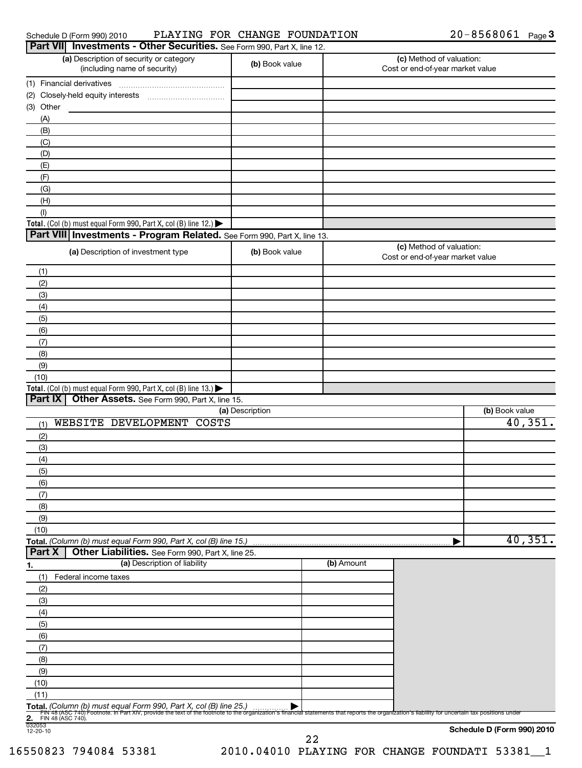| Schedule D (Form 990) 2010 |
|----------------------------|
|----------------------------|

### Schedule D (Form 990) 2010 Page PLAYING FOR CHANGE FOUNDATION 20-8568061

| Part VII Investments - Other Securities. See Form 990, Part X, line 12.                                                                                                                                                                                               |                 |            |                                                              |                            |
|-----------------------------------------------------------------------------------------------------------------------------------------------------------------------------------------------------------------------------------------------------------------------|-----------------|------------|--------------------------------------------------------------|----------------------------|
| (a) Description of security or category<br>(including name of security)                                                                                                                                                                                               | (b) Book value  |            | (c) Method of valuation:<br>Cost or end-of-year market value |                            |
| (1) Financial derivatives                                                                                                                                                                                                                                             |                 |            |                                                              |                            |
|                                                                                                                                                                                                                                                                       |                 |            |                                                              |                            |
| (3) Other                                                                                                                                                                                                                                                             |                 |            |                                                              |                            |
| (A)                                                                                                                                                                                                                                                                   |                 |            |                                                              |                            |
| (B)                                                                                                                                                                                                                                                                   |                 |            |                                                              |                            |
| (C)                                                                                                                                                                                                                                                                   |                 |            |                                                              |                            |
| (D)                                                                                                                                                                                                                                                                   |                 |            |                                                              |                            |
| (E)                                                                                                                                                                                                                                                                   |                 |            |                                                              |                            |
| (F)                                                                                                                                                                                                                                                                   |                 |            |                                                              |                            |
| (G)                                                                                                                                                                                                                                                                   |                 |            |                                                              |                            |
| (H)                                                                                                                                                                                                                                                                   |                 |            |                                                              |                            |
| (1)                                                                                                                                                                                                                                                                   |                 |            |                                                              |                            |
| Total. (Col (b) must equal Form 990, Part X, col (B) line 12.) $\blacktriangleright$                                                                                                                                                                                  |                 |            |                                                              |                            |
| Part VIII Investments - Program Related. See Form 990, Part X, line 13.                                                                                                                                                                                               |                 |            |                                                              |                            |
| (a) Description of investment type                                                                                                                                                                                                                                    | (b) Book value  |            | (c) Method of valuation:<br>Cost or end-of-year market value |                            |
| (1)                                                                                                                                                                                                                                                                   |                 |            |                                                              |                            |
| (2)                                                                                                                                                                                                                                                                   |                 |            |                                                              |                            |
| (3)                                                                                                                                                                                                                                                                   |                 |            |                                                              |                            |
| (4)                                                                                                                                                                                                                                                                   |                 |            |                                                              |                            |
| (5)                                                                                                                                                                                                                                                                   |                 |            |                                                              |                            |
| (6)<br>(7)                                                                                                                                                                                                                                                            |                 |            |                                                              |                            |
| (8)                                                                                                                                                                                                                                                                   |                 |            |                                                              |                            |
| (9)                                                                                                                                                                                                                                                                   |                 |            |                                                              |                            |
| (10)                                                                                                                                                                                                                                                                  |                 |            |                                                              |                            |
| Total. (Col (b) must equal Form 990, Part X, col (B) line 13.)                                                                                                                                                                                                        |                 |            |                                                              |                            |
| Part IX<br>Other Assets. See Form 990, Part X, line 15.                                                                                                                                                                                                               |                 |            |                                                              |                            |
|                                                                                                                                                                                                                                                                       | (a) Description |            |                                                              | (b) Book value             |
| WEBSITE DEVELOPMENT COSTS<br>(1)                                                                                                                                                                                                                                      |                 |            |                                                              | 40,351.                    |
| (2)                                                                                                                                                                                                                                                                   |                 |            |                                                              |                            |
| (3)                                                                                                                                                                                                                                                                   |                 |            |                                                              |                            |
| (4)                                                                                                                                                                                                                                                                   |                 |            |                                                              |                            |
| (5)                                                                                                                                                                                                                                                                   |                 |            |                                                              |                            |
| (6)                                                                                                                                                                                                                                                                   |                 |            |                                                              |                            |
| (7)                                                                                                                                                                                                                                                                   |                 |            |                                                              |                            |
| (8)                                                                                                                                                                                                                                                                   |                 |            |                                                              |                            |
| (9)                                                                                                                                                                                                                                                                   |                 |            |                                                              |                            |
| (10)                                                                                                                                                                                                                                                                  |                 |            |                                                              |                            |
| Total. (Column (b) must equal Form 990, Part X, col (B) line 15.)                                                                                                                                                                                                     |                 |            |                                                              | 40,351.                    |
| Part X<br>Other Liabilities. See Form 990, Part X, line 25.                                                                                                                                                                                                           |                 |            |                                                              |                            |
| (a) Description of liability<br>1.                                                                                                                                                                                                                                    |                 | (b) Amount |                                                              |                            |
| (1)<br>Federal income taxes                                                                                                                                                                                                                                           |                 |            |                                                              |                            |
| (2)                                                                                                                                                                                                                                                                   |                 |            |                                                              |                            |
| (3)                                                                                                                                                                                                                                                                   |                 |            |                                                              |                            |
| (4)                                                                                                                                                                                                                                                                   |                 |            |                                                              |                            |
| (5)                                                                                                                                                                                                                                                                   |                 |            |                                                              |                            |
| (6)                                                                                                                                                                                                                                                                   |                 |            |                                                              |                            |
| (7)                                                                                                                                                                                                                                                                   |                 |            |                                                              |                            |
| (8)                                                                                                                                                                                                                                                                   |                 |            |                                                              |                            |
| (9)                                                                                                                                                                                                                                                                   |                 |            |                                                              |                            |
| (10)                                                                                                                                                                                                                                                                  |                 |            |                                                              |                            |
| (11)                                                                                                                                                                                                                                                                  |                 |            |                                                              |                            |
| Total. (Column (b) must equal Form 990, Part X, col (B) line 25.)<br>Fill 48 (ASC 740) Footnote. In Part XIV, provide the text of the footnote to the organization's financial statements that reports the organization's liability for uncertain tax positions under |                 |            |                                                              |                            |
| 2. FIN $\frac{1}{032053}$<br>12-20-10<br>FIN 48 (ASC 740).                                                                                                                                                                                                            |                 |            |                                                              |                            |
|                                                                                                                                                                                                                                                                       |                 |            |                                                              | Schedule D (Form 990) 2010 |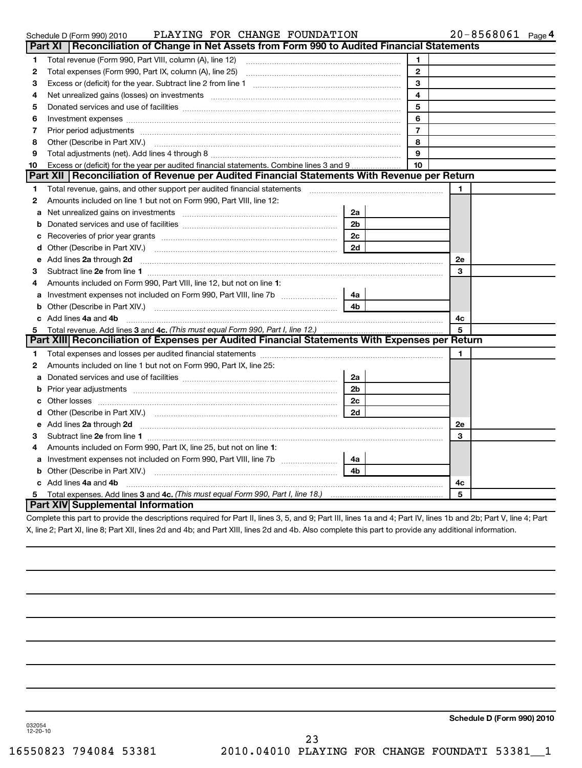|    | PLAYING FOR CHANGE FOUNDATION<br>Schedule D (Form 990) 2010                                                                                                                                                                         |                      |                         |           | $20 - 8568061$ Page 4 |
|----|-------------------------------------------------------------------------------------------------------------------------------------------------------------------------------------------------------------------------------------|----------------------|-------------------------|-----------|-----------------------|
|    | Reconciliation of Change in Net Assets from Form 990 to Audited Financial Statements<br>Part XI                                                                                                                                     |                      |                         |           |                       |
| 1  |                                                                                                                                                                                                                                     |                      | 1                       |           |                       |
| 2  |                                                                                                                                                                                                                                     |                      | $\mathbf{2}$            |           |                       |
| З  |                                                                                                                                                                                                                                     |                      | 3                       |           |                       |
| 4  | Net unrealized gains (losses) on investments [11] matter continuum matter and all the set of the set of the set of the set of the set of the set of the set of the set of the set of the set of the set of the set of the set       |                      | $\overline{\mathbf{4}}$ |           |                       |
| 5  |                                                                                                                                                                                                                                     |                      | 5                       |           |                       |
| 6  |                                                                                                                                                                                                                                     |                      | 6                       |           |                       |
| 7  | Prior period adjustments [111] manufactured and prior period adjustments [11] manufactured and period adjustments                                                                                                                   |                      | $\overline{7}$          |           |                       |
| 8  |                                                                                                                                                                                                                                     |                      | 8                       |           |                       |
| 9  |                                                                                                                                                                                                                                     |                      | 9                       |           |                       |
| 10 | Excess or (deficit) for the year per audited financial statements. Combine lines 3 and 9                                                                                                                                            |                      | 10                      |           |                       |
|    | Part XII   Reconciliation of Revenue per Audited Financial Statements With Revenue per Return                                                                                                                                       |                      |                         |           |                       |
| 1  | Total revenue, gains, and other support per audited financial statements [11, 11] matter controller and the support per audited financial statements [11] matter controller and the support of the statements and results are       |                      |                         | 1         |                       |
| 2  | Amounts included on line 1 but not on Form 990, Part VIII, line 12:                                                                                                                                                                 |                      |                         |           |                       |
| a  |                                                                                                                                                                                                                                     | 2a                   |                         |           |                       |
| b  |                                                                                                                                                                                                                                     | 2 <sub>b</sub>       |                         |           |                       |
| с  |                                                                                                                                                                                                                                     | 2 <sub>c</sub><br>2d |                         |           |                       |
|    |                                                                                                                                                                                                                                     |                      |                         |           |                       |
| е  | Add lines 2a through 2d                                                                                                                                                                                                             |                      |                         | <b>2e</b> |                       |
| З  |                                                                                                                                                                                                                                     |                      |                         | 3         |                       |
| 4  | Amounts included on Form 990, Part VIII, line 12, but not on line 1:                                                                                                                                                                |                      |                         |           |                       |
| a  |                                                                                                                                                                                                                                     | 4a                   |                         |           |                       |
| b  | Other (Describe in Part XIV.) <b>CONFIDENT</b> 2014 12:00 12:00 12:00 12:00 12:00 12:00 12:00 12:00 12:00 12:00 12:00 12:00 12:00 12:00 12:00 12:00 12:00 12:00 12:00 12:00 12:00 12:00 12:00 12:00 12:00 12:00 12:00 12:00 12:00 1 | 4 <sub>b</sub>       |                         |           |                       |
|    | c Add lines 4a and 4b                                                                                                                                                                                                               |                      |                         | 4c        |                       |
| 5  | Total revenue. Add lines 3 and 4c. (This must equal Form 990, Part I, line 12.)                                                                                                                                                     |                      |                         | 5         |                       |
|    | Part XIII Reconciliation of Expenses per Audited Financial Statements With Expenses per Return                                                                                                                                      |                      |                         |           |                       |
| 1  |                                                                                                                                                                                                                                     |                      |                         | 1         |                       |
| 2  | Amounts included on line 1 but not on Form 990, Part IX, line 25:                                                                                                                                                                   |                      |                         |           |                       |
| a  |                                                                                                                                                                                                                                     | 2a                   |                         |           |                       |
| b  |                                                                                                                                                                                                                                     | 2 <sub>b</sub>       |                         |           |                       |
| c  |                                                                                                                                                                                                                                     | 2 <sub>c</sub>       |                         |           |                       |
| d  |                                                                                                                                                                                                                                     | 2d                   |                         |           |                       |
|    | e Add lines 2a through 2d                                                                                                                                                                                                           |                      |                         | <b>2e</b> |                       |
| з  |                                                                                                                                                                                                                                     |                      |                         | 3         |                       |
| 4  | Amounts included on Form 990, Part IX, line 25, but not on line 1:                                                                                                                                                                  |                      |                         |           |                       |
|    | a Investment expenses not included on Form 990, Part VIII, line 7b                                                                                                                                                                  | 4a                   |                         |           |                       |
|    |                                                                                                                                                                                                                                     | 4 <sub>b</sub>       |                         |           |                       |
|    | c Add lines 4a and 4b                                                                                                                                                                                                               |                      |                         | 4с        |                       |
|    |                                                                                                                                                                                                                                     |                      |                         | 5         |                       |
|    | Part XIV Supplemental Information                                                                                                                                                                                                   |                      |                         |           |                       |
|    | Complete this part to provide the descriptions required for Part II, lines 3, 5, and Q: Part III, lines 1a and 4: Part IV, lines 1b and 2b: Part V, line 4: Part                                                                    |                      |                         |           |                       |

Complete this part to provide the descriptions required for Part II, lines 3, 5, and 9; Part III, lines 1a and 4; Part IV, lines 1b and 2b; Part V, line 4; Part X, line 2; Part XI, line 8; Part XII, lines 2d and 4b; and Part XIII, lines 2d and 4b. Also complete this part to provide any additional information.

**Schedule D (Form 990) 2010**

**4**

032054 12-20-10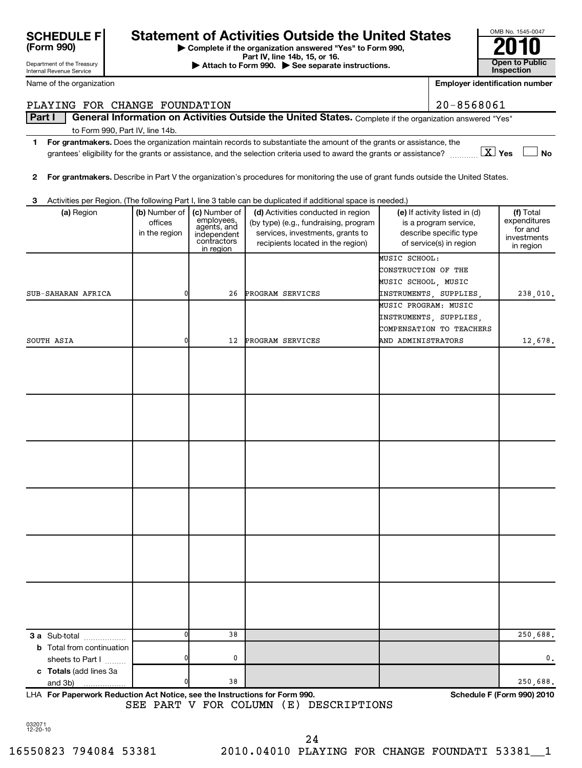| JUNEDULE F<br>(Form 990)   |
|----------------------------|
| Department of the Treasury |

Internal Revenue Service

# **SCHEDULE F** Statement of Activities Outside the United States

**| Complete if the organization answered "Yes" to Form 990,**

**Part IV, line 14b, 15, or 16. Conserved Bart IV, 15, external at the Second Bart IV, 15, or 16. Conserved Bart IV, 15, or 16. Open to Public Inspection** 

| OMB No. 1545-0047                   |
|-------------------------------------|
| 2010                                |
| <b>Open to Public</b><br>Inspection |

Name of the organization

| Name of the organization         |               |                            |                                                                                                                                                       |                      | <b>Employer identification number</b> |                        |
|----------------------------------|---------------|----------------------------|-------------------------------------------------------------------------------------------------------------------------------------------------------|----------------------|---------------------------------------|------------------------|
| PLAYING FOR CHANGE FOUNDATION    |               |                            |                                                                                                                                                       |                      | $20 - 8568061$                        |                        |
| Part I                           |               |                            | General Information on Activities Outside the United States. Complete if the organization answered "Yes"                                              |                      |                                       |                        |
| to Form 990, Part IV, line 14b.  |               |                            |                                                                                                                                                       |                      |                                       |                        |
| 1                                |               |                            | For grantmakers. Does the organization maintain records to substantiate the amount of the grants or assistance, the                                   |                      |                                       |                        |
|                                  |               |                            | grantees' eligibility for the grants or assistance, and the selection criteria used to award the grants or assistance? $\frac{1}{1},,\frac{1}{N}$ Yes |                      |                                       | <b>No</b>              |
|                                  |               |                            |                                                                                                                                                       |                      |                                       |                        |
| 2                                |               |                            | For grantmakers. Describe in Part V the organization's procedures for monitoring the use of grant funds outside the United States.                    |                      |                                       |                        |
| З                                |               |                            | Activities per Region. (The following Part I, line 3 table can be duplicated if additional space is needed.)                                          |                      |                                       |                        |
| (a) Region                       | (b) Number of | (c) Number of              | (d) Activities conducted in region                                                                                                                    |                      | (e) If activity listed in (d)         | (f) Total              |
|                                  | offices       | employees,<br>agents, and  | (by type) (e.g., fundraising, program                                                                                                                 |                      | is a program service,                 | expenditures           |
|                                  | in the region | independent<br>contractors | services, investments, grants to                                                                                                                      |                      | describe specific type                | for and<br>investments |
|                                  |               | in region                  | recipients located in the region)                                                                                                                     |                      | of service(s) in region               | in region              |
|                                  |               |                            |                                                                                                                                                       | MUSIC SCHOOL:        |                                       |                        |
|                                  |               |                            |                                                                                                                                                       | CONSTRUCTION OF THE  |                                       |                        |
| SUB-SAHARAN AFRICA               | 0             | 26                         | PROGRAM SERVICES                                                                                                                                      | MUSIC SCHOOL, MUSIC  | INSTRUMENTS, SUPPLIES,                | 238,010.               |
|                                  |               |                            |                                                                                                                                                       | MUSIC PROGRAM: MUSIC |                                       |                        |
|                                  |               |                            |                                                                                                                                                       |                      | INSTRUMENTS, SUPPLIES,                |                        |
|                                  |               |                            |                                                                                                                                                       |                      | COMPENSATION TO TEACHERS              |                        |
| SOUTH ASIA                       | 0             | 12                         | PROGRAM SERVICES                                                                                                                                      | AND ADMINISTRATORS   |                                       | 12,678.                |
|                                  |               |                            |                                                                                                                                                       |                      |                                       |                        |
|                                  |               |                            |                                                                                                                                                       |                      |                                       |                        |
|                                  |               |                            |                                                                                                                                                       |                      |                                       |                        |
|                                  |               |                            |                                                                                                                                                       |                      |                                       |                        |
|                                  |               |                            |                                                                                                                                                       |                      |                                       |                        |
|                                  |               |                            |                                                                                                                                                       |                      |                                       |                        |
|                                  |               |                            |                                                                                                                                                       |                      |                                       |                        |
|                                  |               |                            |                                                                                                                                                       |                      |                                       |                        |
|                                  |               |                            |                                                                                                                                                       |                      |                                       |                        |
|                                  |               |                            |                                                                                                                                                       |                      |                                       |                        |
|                                  |               |                            |                                                                                                                                                       |                      |                                       |                        |
|                                  |               |                            |                                                                                                                                                       |                      |                                       |                        |
|                                  |               |                            |                                                                                                                                                       |                      |                                       |                        |
|                                  |               |                            |                                                                                                                                                       |                      |                                       |                        |
|                                  |               |                            |                                                                                                                                                       |                      |                                       |                        |
|                                  |               |                            |                                                                                                                                                       |                      |                                       |                        |
|                                  |               |                            |                                                                                                                                                       |                      |                                       |                        |
|                                  |               |                            |                                                                                                                                                       |                      |                                       |                        |
|                                  |               |                            |                                                                                                                                                       |                      |                                       |                        |
|                                  |               |                            |                                                                                                                                                       |                      |                                       |                        |
|                                  |               |                            |                                                                                                                                                       |                      |                                       |                        |
| 3 a Sub-total                    | n             | 38                         |                                                                                                                                                       |                      |                                       | 250,688.               |
| <b>b</b> Total from continuation |               |                            |                                                                                                                                                       |                      |                                       |                        |
| sheets to Part I                 |               | 0                          |                                                                                                                                                       |                      |                                       | 0.                     |
| c Totals (add lines 3a           |               |                            |                                                                                                                                                       |                      |                                       |                        |
| and 3b)                          |               | 38                         |                                                                                                                                                       |                      |                                       | 250,688.               |

**For Paperwork Reduction Act Notice, see the Instructions for Form 990. Schedule F (Form 990) 2010** LHA SEE PART V FOR COLUMN (E) DESCRIPTIONS

032071 12-20-10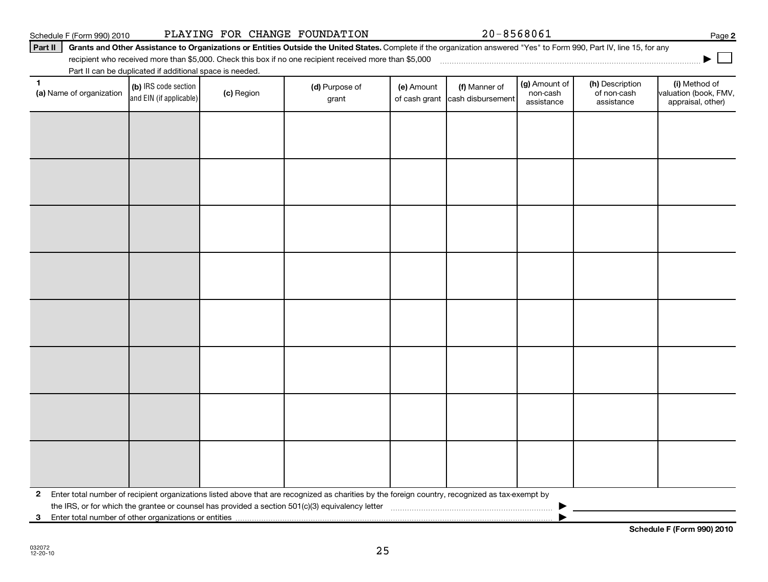**3** Enter total number of other organizations or entities |

**Schedule F (Form 990) 2010**

# Schedule F (Form 990) 2010 PLAYING FOR CHANGE FOUNDATION  $20-8568061$  Page

# Part II | Grants and Other Assistance to Organizations or Entities Outside the United States. Complete if the organization answered "Yes" to Form 990, Part IV, line 15, for any

recipient who received more than \$5,000. Check this box if no one recipient received more than \$5,000

|              |                          |                                                          |            | recipient who received more than \$5,000. Check this box if no one recipient received more than \$5,000                                                                                                                                             |                             |                                    |                                         |                                              | ▶                                                           |
|--------------|--------------------------|----------------------------------------------------------|------------|-----------------------------------------------------------------------------------------------------------------------------------------------------------------------------------------------------------------------------------------------------|-----------------------------|------------------------------------|-----------------------------------------|----------------------------------------------|-------------------------------------------------------------|
|              |                          | Part II can be duplicated if additional space is needed. |            |                                                                                                                                                                                                                                                     |                             |                                    |                                         |                                              |                                                             |
| 1            | (a) Name of organization | (b) IRS code section<br>and EIN (if applicable)          | (c) Region | (d) Purpose of<br>grant                                                                                                                                                                                                                             | (e) Amount<br>of cash grant | (f) Manner of<br>cash disbursement | (g) Amount of<br>non-cash<br>assistance | (h) Description<br>of non-cash<br>assistance | (i) Method of<br>valuation (book, FMV,<br>appraisal, other) |
|              |                          |                                                          |            |                                                                                                                                                                                                                                                     |                             |                                    |                                         |                                              |                                                             |
|              |                          |                                                          |            |                                                                                                                                                                                                                                                     |                             |                                    |                                         |                                              |                                                             |
|              |                          |                                                          |            |                                                                                                                                                                                                                                                     |                             |                                    |                                         |                                              |                                                             |
|              |                          |                                                          |            |                                                                                                                                                                                                                                                     |                             |                                    |                                         |                                              |                                                             |
|              |                          |                                                          |            |                                                                                                                                                                                                                                                     |                             |                                    |                                         |                                              |                                                             |
|              |                          |                                                          |            |                                                                                                                                                                                                                                                     |                             |                                    |                                         |                                              |                                                             |
|              |                          |                                                          |            |                                                                                                                                                                                                                                                     |                             |                                    |                                         |                                              |                                                             |
|              |                          |                                                          |            |                                                                                                                                                                                                                                                     |                             |                                    |                                         |                                              |                                                             |
|              |                          |                                                          |            |                                                                                                                                                                                                                                                     |                             |                                    |                                         |                                              |                                                             |
|              |                          |                                                          |            |                                                                                                                                                                                                                                                     |                             |                                    |                                         |                                              |                                                             |
|              |                          |                                                          |            |                                                                                                                                                                                                                                                     |                             |                                    |                                         |                                              |                                                             |
|              |                          |                                                          |            |                                                                                                                                                                                                                                                     |                             |                                    |                                         |                                              |                                                             |
|              |                          |                                                          |            |                                                                                                                                                                                                                                                     |                             |                                    |                                         |                                              |                                                             |
|              |                          |                                                          |            |                                                                                                                                                                                                                                                     |                             |                                    |                                         |                                              |                                                             |
|              |                          |                                                          |            |                                                                                                                                                                                                                                                     |                             |                                    |                                         |                                              |                                                             |
|              |                          |                                                          |            |                                                                                                                                                                                                                                                     |                             |                                    |                                         |                                              |                                                             |
| $\mathbf{2}$ |                          |                                                          |            | Enter total number of recipient organizations listed above that are recognized as charities by the foreign country, recognized as tax-exempt by<br>the IRS, or for which the grantee or counsel has provided a section 501(c)(3) equivalency letter |                             |                                    |                                         |                                              |                                                             |

25

**2**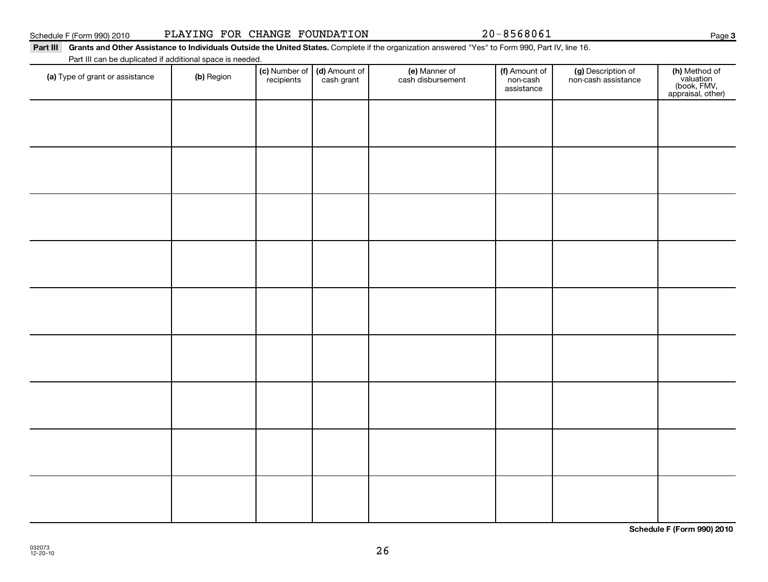| Schedule F (Form 990) 2010 |  |  |  |  |  |  |  |
|----------------------------|--|--|--|--|--|--|--|

26

# Schedule F (Form 990) 2010 PLAYING FOR CHANGE FOUNDATION  $20-8568061$  Page

(c) Number of **recipients** 

# Part III Grants and Other Assistance to Individuals Outside the United States. Complete if the organization answered "Yes" to Form 990, Part IV, line 16.

(a) Type of grant or assistance (b) Region (b) Region (c) Number of (d) Amount of (e) Manner of (f) Amount of (f)<br>Region (cash grant cash dishursement pop-cash non-cash assistance v

(e) Manner of cash disbursement

(d) Amount of cash grant

Part III can be duplicated if additional space is needed.

(g) Description of non-cash assistance

(f) Amount of non-cash assistance

**3**

**(h)** Method of<br>valuation<br>(book, FMV,<br>appraisal, other)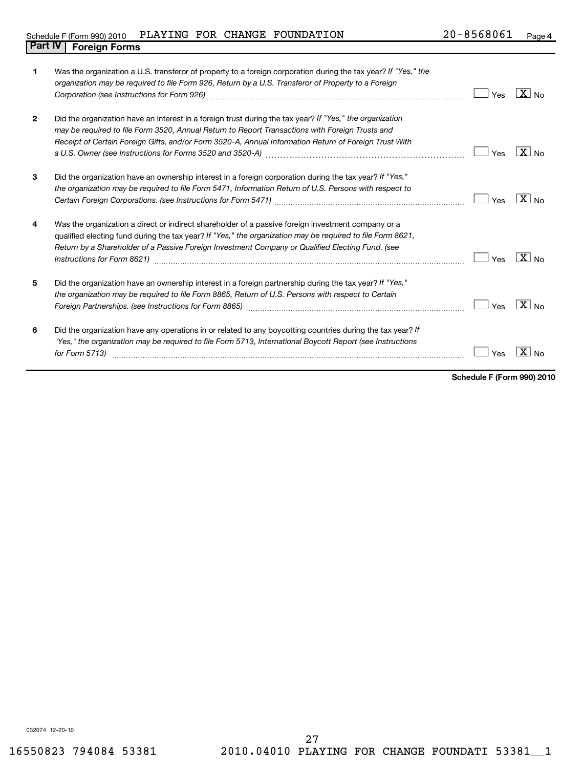# Schedule F (Form 990) 2010 PLAYING FOR CHANGE FOUNDATION  $20-8568061$  Page **Part IV Foreign Forms**

| 1            | Was the organization a U.S. transferor of property to a foreign corporation during the tax year? If "Yes," the<br>organization may be required to file Form 926, Return by a U.S. Transferor of Property to a Foreign<br>Corporation (see Instructions for Form 926) [11] matter continuum matter of the Instruction (see Instructions for Form 926)                                                                                           | Yes | $\overline{X}$ No |
|--------------|------------------------------------------------------------------------------------------------------------------------------------------------------------------------------------------------------------------------------------------------------------------------------------------------------------------------------------------------------------------------------------------------------------------------------------------------|-----|-------------------|
| $\mathbf{2}$ | Did the organization have an interest in a foreign trust during the tax year? If "Yes," the organization<br>may be required to file Form 3520, Annual Return to Report Transactions with Foreign Trusts and<br>Receipt of Certain Foreign Gifts, and/or Form 3520-A, Annual Information Return of Foreign Trust With                                                                                                                           | Yes | $X _{\text{No}}$  |
| 3            | Did the organization have an ownership interest in a foreign corporation during the tax year? If "Yes,"<br>the organization may be required to file Form 5471, Information Return of U.S. Persons with respect to                                                                                                                                                                                                                              | Yes | $\overline{X}$ No |
| 4            | Was the organization a direct or indirect shareholder of a passive foreign investment company or a<br>qualified electing fund during the tax year? If "Yes," the organization may be required to file Form 8621,<br>Return by a Shareholder of a Passive Foreign Investment Company or Qualified Electing Fund. (see                                                                                                                           | Yes | $\overline{X}$ No |
| 5            | Did the organization have an ownership interest in a foreign partnership during the tax year? If "Yes,"<br>the organization may be required to file Form 8865, Return of U.S. Persons with respect to Certain<br>Foreign Partnerships. (see Instructions for Form 8865) [111] [12] matter contract the state of the state of the state of the state of the state of the state of the state of the state of the state of the state of the state | Yes | $X _{N0}$         |
| 6            | Did the organization have any operations in or related to any boycotting countries during the tax year? If<br>"Yes," the organization may be required to file Form 5713, International Boycott Report (see Instructions<br>for Form 5713)                                                                                                                                                                                                      | Yes |                   |

**Schedule F (Form 990) 2010**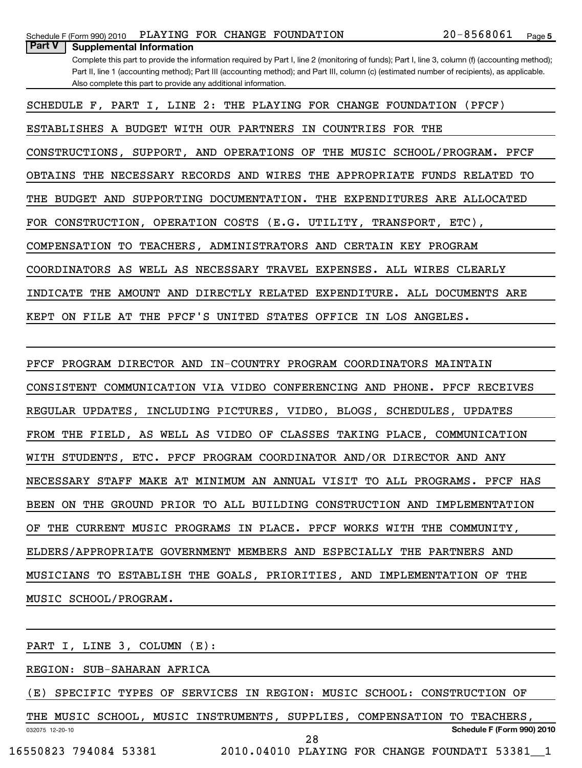| Schedule F (Form 990) 2010                | PLAYING FOR CHANGE FOUNDATION |  |                                                                                                                                               | 20-8568061 | Page |
|-------------------------------------------|-------------------------------|--|-----------------------------------------------------------------------------------------------------------------------------------------------|------------|------|
| Part V<br><b>Supplemental Information</b> |                               |  |                                                                                                                                               |            |      |
|                                           |                               |  | Complete this part to provide the information required by Part I. line 2 (monitoring of funds): Part I. line 3, column (f) (accounting method |            |      |

Complete this part to provide the information required by Part I, line 2 (monitoring of funds); Part I, line 3, column (f) (accounting method); Part II, line 1 (accounting method); Part III (accounting method); and Part III, column (c) (estimated number of recipients), as applicable. Also complete this part to provide any additional information.

SCHEDULE F, PART I, LINE 2: THE PLAYING FOR CHANGE FOUNDATION (PFCF) ESTABLISHES A BUDGET WITH OUR PARTNERS IN COUNTRIES FOR THE CONSTRUCTIONS, SUPPORT, AND OPERATIONS OF THE MUSIC SCHOOL/PROGRAM. PFCF OBTAINS THE NECESSARY RECORDS AND WIRES THE APPROPRIATE FUNDS RELATED TO THE BUDGET AND SUPPORTING DOCUMENTATION. THE EXPENDITURES ARE ALLOCATED FOR CONSTRUCTION, OPERATION COSTS (E.G. UTILITY, TRANSPORT, ETC),

COMPENSATION TO TEACHERS, ADMINISTRATORS AND CERTAIN KEY PROGRAM

COORDINATORS AS WELL AS NECESSARY TRAVEL EXPENSES. ALL WIRES CLEARLY

INDICATE THE AMOUNT AND DIRECTLY RELATED EXPENDITURE. ALL DOCUMENTS ARE

KEPT ON FILE AT THE PFCF'S UNITED STATES OFFICE IN LOS ANGELES.

PFCF PROGRAM DIRECTOR AND IN-COUNTRY PROGRAM COORDINATORS MAINTAIN CONSISTENT COMMUNICATION VIA VIDEO CONFERENCING AND PHONE. PFCF RECEIVES REGULAR UPDATES, INCLUDING PICTURES, VIDEO, BLOGS, SCHEDULES, UPDATES FROM THE FIELD, AS WELL AS VIDEO OF CLASSES TAKING PLACE, COMMUNICATION WITH STUDENTS, ETC. PFCF PROGRAM COORDINATOR AND/OR DIRECTOR AND ANY NECESSARY STAFF MAKE AT MINIMUM AN ANNUAL VISIT TO ALL PROGRAMS. PFCF HAS BEEN ON THE GROUND PRIOR TO ALL BUILDING CONSTRUCTION AND IMPLEMENTATION OF THE CURRENT MUSIC PROGRAMS IN PLACE. PFCF WORKS WITH THE COMMUNITY, ELDERS/APPROPRIATE GOVERNMENT MEMBERS AND ESPECIALLY THE PARTNERS AND MUSICIANS TO ESTABLISH THE GOALS, PRIORITIES, AND IMPLEMENTATION OF THE MUSIC SCHOOL/PROGRAM.

PART I, LINE 3, COLUMN (E):

REGION: SUB-SAHARAN AFRICA

(E) SPECIFIC TYPES OF SERVICES IN REGION: MUSIC SCHOOL: CONSTRUCTION OF

032075 12-20-10 **Schedule F (Form 990) 2010** THE MUSIC SCHOOL, MUSIC INSTRUMENTS, SUPPLIES, COMPENSATION TO TEACHERS, 16550823 794084 53381 2010.04010 PLAYING FOR CHANGE FOUNDATI 53381\_\_1 28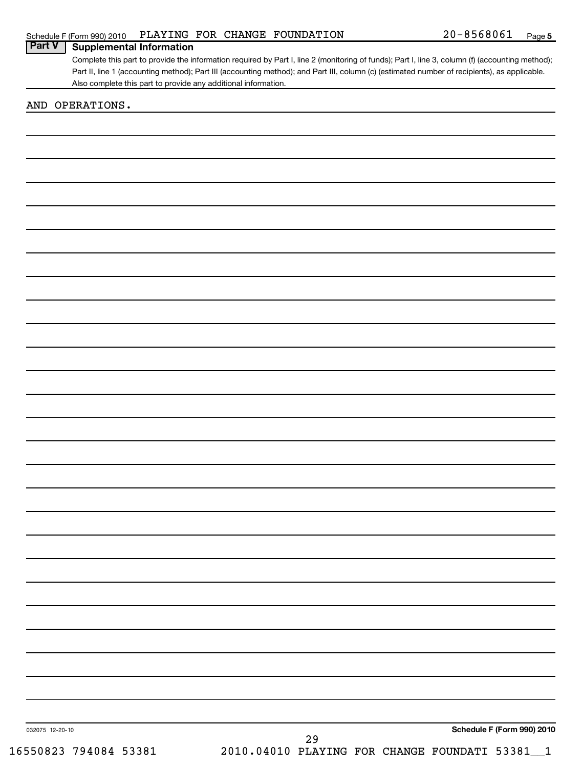Complete this part to provide the information required by Part I, line 2 (monitoring of funds); Part I, line 3, column (f) (accounting method); Part II, line 1 (accounting method); Part III (accounting method); and Part III, column (c) (estimated number of recipients), as applicable. Also complete this part to provide any additional information. **Part V Supplemental Information**

# AND OPERATIONS.

032075 12-20-10

**Schedule F (Form 990) 2010**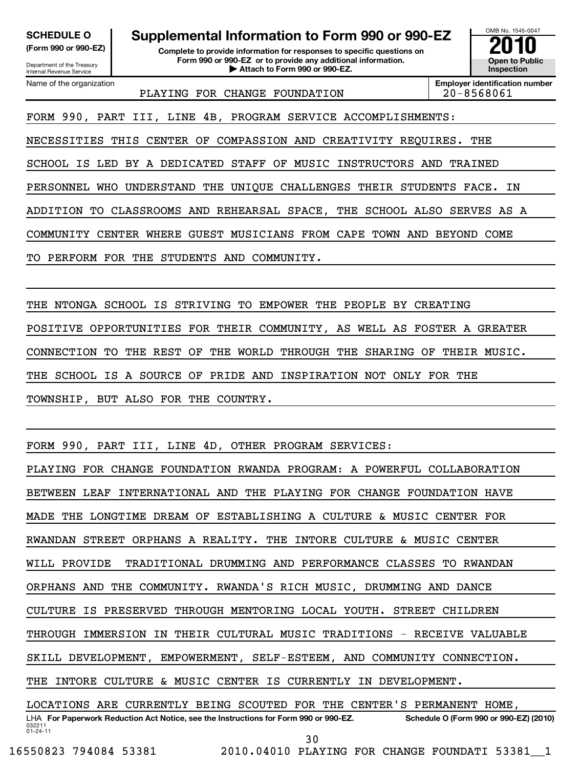Department of the Treasury Internal Revenue Service

**(Form 990 or 990-EZ) Complete to provide information for responses to specific questions on Form 990 or 990-EZ or to provide any additional information. | Attach to Form 990 or 990-EZ. Open to Public SCHEDULE O Supplemental Information to Form 990 or 990-EZ**<br> **Supplemental Information for responses to specific questions on**<br> **Experimental Supplemental Supplemental Schedule Schedule And Additional information.**<br> **Exp** 

OMB No. 1545-0047 **Inspection**

Name of the organization

PLAYING FOR CHANGE FOUNDATION 120-8568061

**Employer identification number**

FORM 990, PART III, LINE 4B, PROGRAM SERVICE ACCOMPLISHMENTS:

NECESSITIES THIS CENTER OF COMPASSION AND CREATIVITY REQUIRES. THE

SCHOOL IS LED BY A DEDICATED STAFF OF MUSIC INSTRUCTORS AND TRAINED

PERSONNEL WHO UNDERSTAND THE UNIQUE CHALLENGES THEIR STUDENTS FACE. IN

ADDITION TO CLASSROOMS AND REHEARSAL SPACE, THE SCHOOL ALSO SERVES AS A

COMMUNITY CENTER WHERE GUEST MUSICIANS FROM CAPE TOWN AND BEYOND COME

TO PERFORM FOR THE STUDENTS AND COMMUNITY.

THE NTONGA SCHOOL IS STRIVING TO EMPOWER THE PEOPLE BY CREATING

POSITIVE OPPORTUNITIES FOR THEIR COMMUNITY, AS WELL AS FOSTER A GREATER

CONNECTION TO THE REST OF THE WORLD THROUGH THE SHARING OF THEIR MUSIC.

THE SCHOOL IS A SOURCE OF PRIDE AND INSPIRATION NOT ONLY FOR THE

TOWNSHIP, BUT ALSO FOR THE COUNTRY.

FORM 990, PART III, LINE 4D, OTHER PROGRAM SERVICES:

PLAYING FOR CHANGE FOUNDATION RWANDA PROGRAM: A POWERFUL COLLABORATION

BETWEEN LEAF INTERNATIONAL AND THE PLAYING FOR CHANGE FOUNDATION HAVE

MADE THE LONGTIME DREAM OF ESTABLISHING A CULTURE & MUSIC CENTER FOR

RWANDAN STREET ORPHANS A REALITY. THE INTORE CULTURE & MUSIC CENTER

WILL PROVIDE TRADITIONAL DRUMMING AND PERFORMANCE CLASSES TO RWANDAN

ORPHANS AND THE COMMUNITY. RWANDA'S RICH MUSIC, DRUMMING AND DANCE

CULTURE IS PRESERVED THROUGH MENTORING LOCAL YOUTH. STREET CHILDREN

THROUGH IMMERSION IN THEIR CULTURAL MUSIC TRADITIONS - RECEIVE VALUABLE

SKILL DEVELOPMENT, EMPOWERMENT, SELF-ESTEEM, AND COMMUNITY CONNECTION.

THE INTORE CULTURE & MUSIC CENTER IS CURRENTLY IN DEVELOPMENT.

032211 01-24-11 LHA For Paperwork Reduction Act Notice, see the Instructions for Form 990 or 990-EZ. Schedule O (Form 990 or 990-EZ) (2010) LOCATIONS ARE CURRENTLY BEING SCOUTED FOR THE CENTER'S PERMANENT HOME,

30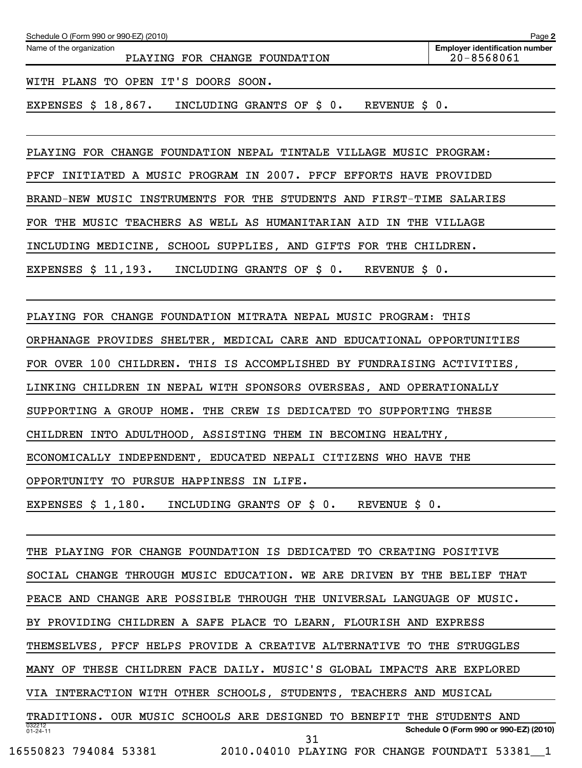| Schedule O (Form 990 or 990-EZ) (2010)                    | Page 2                                              |
|-----------------------------------------------------------|-----------------------------------------------------|
| Name of the organization<br>PLAYING FOR CHANGE FOUNDATION | <b>Employer identification number</b><br>20-8568061 |
| WITH PLANS TO OPEN IT'S DOORS SOON.                       |                                                     |
| EXPENSES $$18,867$ .<br>INCLUDING GRANTS OF \$ 0.         | REVENUE \$ 0.                                       |

PLAYING FOR CHANGE FOUNDATION NEPAL TINTALE VILLAGE MUSIC PROGRAM:

PFCF INITIATED A MUSIC PROGRAM IN 2007. PFCF EFFORTS HAVE PROVIDED

BRAND-NEW MUSIC INSTRUMENTS FOR THE STUDENTS AND FIRST-TIME SALARIES

FOR THE MUSIC TEACHERS AS WELL AS HUMANITARIAN AID IN THE VILLAGE

INCLUDING MEDICINE, SCHOOL SUPPLIES, AND GIFTS FOR THE CHILDREN.

EXPENSES \$ 11,193. INCLUDING GRANTS OF \$ 0. REVENUE \$ 0.

PLAYING FOR CHANGE FOUNDATION MITRATA NEPAL MUSIC PROGRAM: THIS

ORPHANAGE PROVIDES SHELTER, MEDICAL CARE AND EDUCATIONAL OPPORTUNITIES

FOR OVER 100 CHILDREN. THIS IS ACCOMPLISHED BY FUNDRAISING ACTIVITIES,

LINKING CHILDREN IN NEPAL WITH SPONSORS OVERSEAS, AND OPERATIONALLY

SUPPORTING A GROUP HOME. THE CREW IS DEDICATED TO SUPPORTING THESE

CHILDREN INTO ADULTHOOD, ASSISTING THEM IN BECOMING HEALTHY,

ECONOMICALLY INDEPENDENT, EDUCATED NEPALI CITIZENS WHO HAVE THE

OPPORTUNITY TO PURSUE HAPPINESS IN LIFE.

EXPENSES \$ 1,180. INCLUDING GRANTS OF \$ 0. REVENUE \$ 0.

032212 01-24-11 **Schedule O (Form 990 or 990-EZ) (2010)** THE PLAYING FOR CHANGE FOUNDATION IS DEDICATED TO CREATING POSITIVE SOCIAL CHANGE THROUGH MUSIC EDUCATION. WE ARE DRIVEN BY THE BELIEF THAT PEACE AND CHANGE ARE POSSIBLE THROUGH THE UNIVERSAL LANGUAGE OF MUSIC. BY PROVIDING CHILDREN A SAFE PLACE TO LEARN, FLOURISH AND EXPRESS THEMSELVES, PFCF HELPS PROVIDE A CREATIVE ALTERNATIVE TO THE STRUGGLES MANY OF THESE CHILDREN FACE DAILY. MUSIC'S GLOBAL IMPACTS ARE EXPLORED VIA INTERACTION WITH OTHER SCHOOLS, STUDENTS, TEACHERS AND MUSICAL TRADITIONS. OUR MUSIC SCHOOLS ARE DESIGNED TO BENEFIT THE STUDENTS AND 31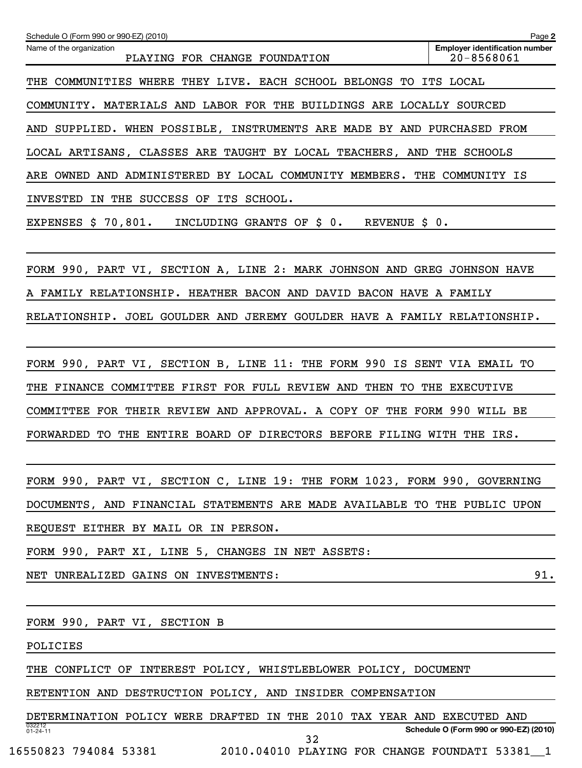| Schedule O (Form 990 or 990-EZ) (2010)                                    | Page 2                                              |
|---------------------------------------------------------------------------|-----------------------------------------------------|
| Name of the organization<br>PLAYING FOR CHANGE FOUNDATION                 | <b>Employer identification number</b><br>20-8568061 |
| THE COMMUNITIES WHERE THEY LIVE. EACH SCHOOL BELONGS TO ITS LOCAL         |                                                     |
| COMMUNITY. MATERIALS AND LABOR FOR THE BUILDINGS ARE LOCALLY SOURCED      |                                                     |
| AND SUPPLIED. WHEN POSSIBLE, INSTRUMENTS ARE MADE BY AND PURCHASED FROM   |                                                     |
| LOCAL ARTISANS, CLASSES ARE TAUGHT BY LOCAL TEACHERS, AND THE SCHOOLS     |                                                     |
| ARE OWNED AND ADMINISTERED BY LOCAL COMMUNITY MEMBERS. THE COMMUNITY IS   |                                                     |
| INVESTED IN THE SUCCESS OF ITS SCHOOL.                                    |                                                     |
| EXPENSES $$70,801.$ INCLUDING GRANTS OF $$0.$<br>REVENUE \$ 0.            |                                                     |
|                                                                           |                                                     |
| FORM 990, PART VI, SECTION A, LINE 2: MARK JOHNSON AND GREG JOHNSON HAVE  |                                                     |
| A FAMILY RELATIONSHIP. HEATHER BACON AND DAVID BACON HAVE A FAMILY        |                                                     |
| RELATIONSHIP. JOEL GOULDER AND JEREMY GOULDER HAVE A FAMILY RELATIONSHIP. |                                                     |
|                                                                           |                                                     |
| FORM 990, PART VI, SECTION B, LINE 11: THE FORM 990 IS SENT VIA EMAIL TO  |                                                     |
| THE FINANCE COMMITTEE FIRST FOR FULL REVIEW AND THEN TO THE EXECUTIVE     |                                                     |
| COMMITTEE FOR THEIR REVIEW AND APPROVAL. A COPY OF THE FORM 990 WILL BE   |                                                     |
| FORWARDED TO THE ENTIRE BOARD OF DIRECTORS BEFORE FILING WITH THE IRS.    |                                                     |
|                                                                           |                                                     |
| FORM 990, PART VI, SECTION C, LINE 19: THE FORM 1023, FORM 990, GOVERNING |                                                     |
| DOCUMENTS, AND FINANCIAL STATEMENTS ARE MADE AVAILABLE TO THE PUBLIC UPON |                                                     |
| REQUEST EITHER BY MAIL OR IN PERSON.                                      |                                                     |
| FORM 990, PART XI, LINE 5, CHANGES IN NET ASSETS:                         |                                                     |
| NET UNREALIZED GAINS ON INVESTMENTS:                                      | 91.                                                 |
|                                                                           |                                                     |
| FORM 990, PART VI, SECTION B                                              |                                                     |
| POLICIES                                                                  |                                                     |
| THE CONFLICT OF INTEREST POLICY, WHISTLEBLOWER POLICY, DOCUMENT           |                                                     |
| RETENTION AND DESTRUCTION POLICY, AND INSIDER COMPENSATION                |                                                     |
| DETERMINATION POLICY WERE DRAFTED IN THE 2010 TAX YEAR AND EXECUTED AND   |                                                     |

032212 01-24-11

32

**Schedule O (Form 990 or 990-EZ) (2010)**